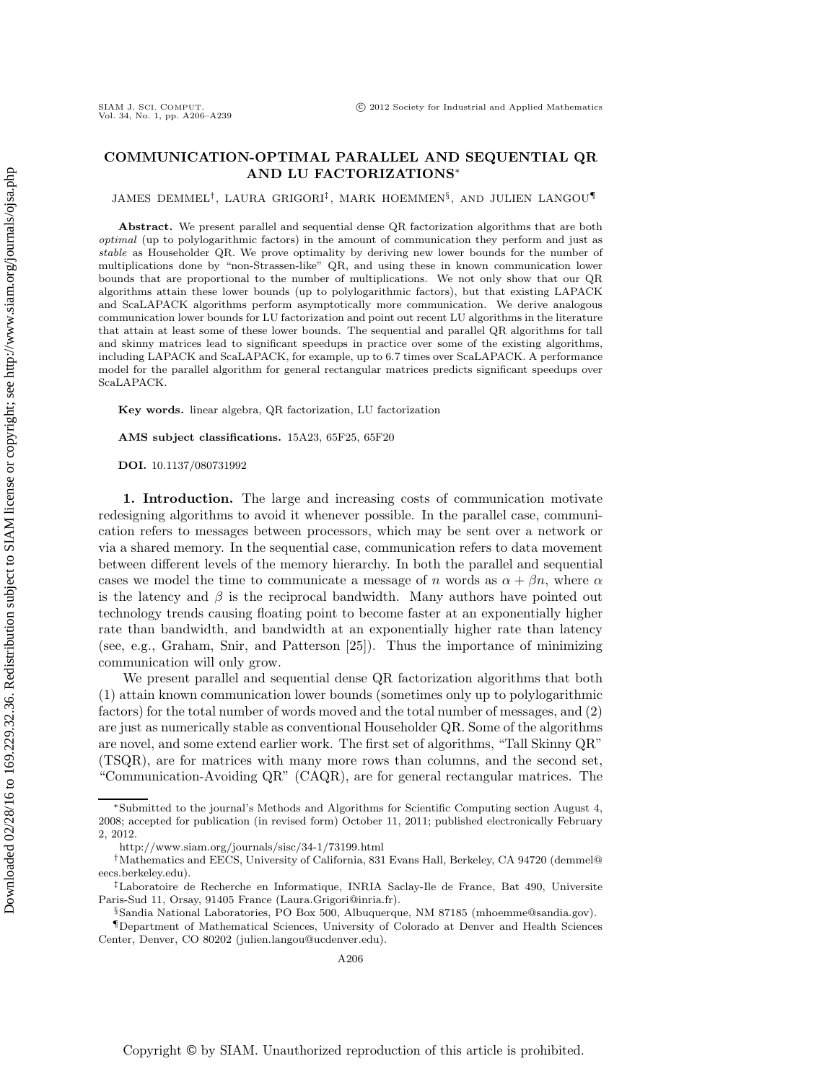## **COMMUNICATION-OPTIMAL PARALLEL AND SEQUENTIAL QR AND LU FACTORIZATIONS**∗

JAMES DEMMEL†, LAURA GRIGORI‡ , MARK HOEMMEN§, AND JULIEN LANGOU¶

**Abstract.** We present parallel and sequential dense QR factorization algorithms that are both optimal (up to polylogarithmic factors) in the amount of communication they perform and just as stable as Householder QR. We prove optimality by deriving new lower bounds for the number of multiplications done by "non-Strassen-like" QR, and using these in known communication lower bounds that are proportional to the number of multiplications. We not only show that our QR algorithms attain these lower bounds (up to polylogarithmic factors), but that existing LAPACK and ScaLAPACK algorithms perform asymptotically more communication. We derive analogous communication lower bounds for LU factorization and point out recent LU algorithms in the literature that attain at least some of these lower bounds. The sequential and parallel QR algorithms for tall and skinny matrices lead to significant speedups in practice over some of the existing algorithms, including LAPACK and ScaLAPACK, for example, up to 6.7 times over ScaLAPACK. A performance model for the parallel algorithm for general rectangular matrices predicts significant speedups over ScaLAPACK.

**Key words.** linear algebra, QR factorization, LU factorization

**AMS subject classifications.** 15A23, 65F25, 65F20

**DOI.** 10.1137/080731992

**1. Introduction.** The large and increasing costs of communication motivate redesigning algorithms to avoid it whenever possible. In the parallel case, communication refers to messages between processors, which may be sent over a network or via a shared memory. In the sequential case, communication refers to data movement between different levels of the memory hierarchy. In both the parallel and sequential cases we model the time to communicate a message of n words as  $\alpha + \beta n$ , where  $\alpha$ is the latency and  $\beta$  is the reciprocal bandwidth. Many authors have pointed out technology trends causing floating point to become faster at an exponentially higher rate than bandwidth, and bandwidth at an exponentially higher rate than latency (see, e.g., Graham, Snir, and Patterson [25]). Thus the importance of minimizing communication will only grow.

We present parallel and sequential dense QR factorization algorithms that both (1) attain known communication lower bounds (sometimes only up to polylogarithmic factors) for the total number of words moved and the total number of messages, and (2) are just as numerically stable as conventional Householder QR. Some of the algorithms are novel, and some extend earlier work. The first set of algorithms, "Tall Skinny QR" (TSQR), are for matrices with many more rows than columns, and the second set, "Communication-Avoiding QR" (CAQR), are for general rectangular matrices. The

<sup>∗</sup>Submitted to the journal's Methods and Algorithms for Scientific Computing section August 4, 2008; accepted for publication (in revised form) October 11, 2011; published electronically February 2, 2012.

http://www.siam.org/journals/sisc/34-1/73199.html

<sup>†</sup>Mathematics and EECS, University of California, 831 Evans Hall, Berkeley, CA 94720 (demmel@ eecs.berkeley.edu).

<sup>‡</sup>Laboratoire de Recherche en Informatique, INRIA Saclay-Ile de France, Bat 490, Universite Paris-Sud 11, Orsay, 91405 France (Laura.Grigori@inria.fr).

<sup>§</sup>Sandia National Laboratories, PO Box 500, Albuquerque, NM 87185 (mhoemme@sandia.gov).

<sup>¶</sup>Department of Mathematical Sciences, University of Colorado at Denver and Health Sciences Center, Denver, CO 80202 (julien.langou@ucdenver.edu).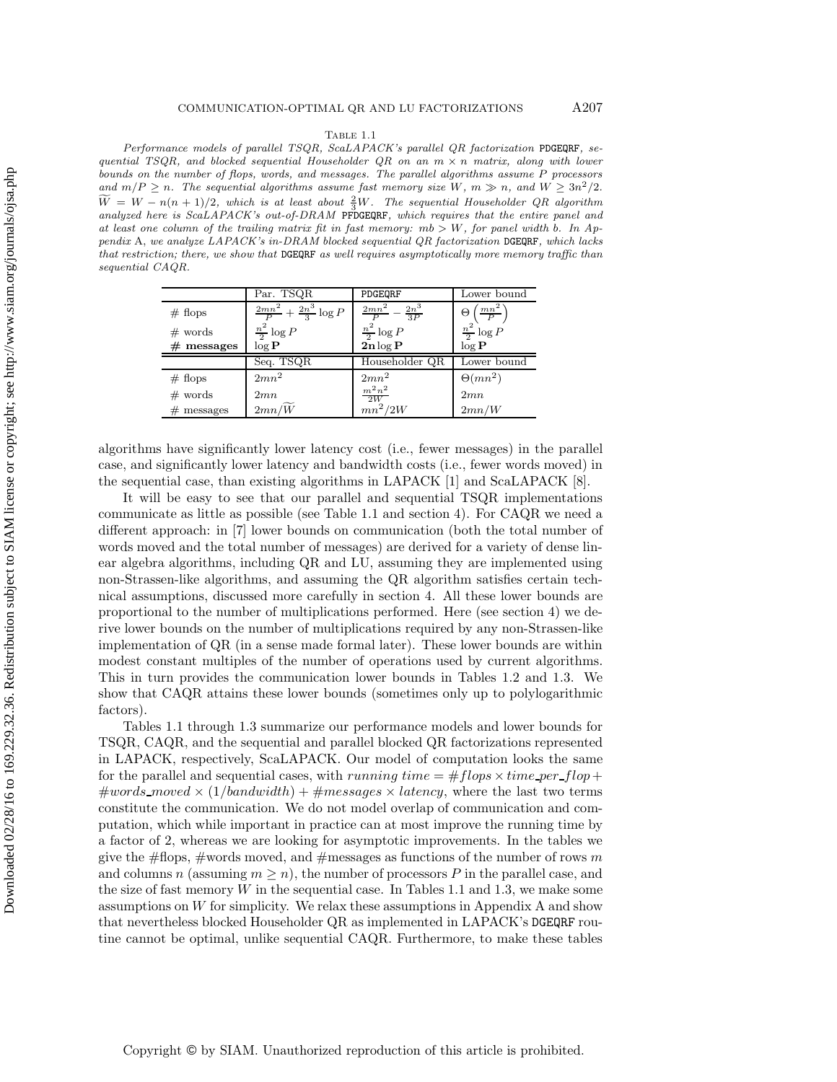### Table 1.1

Performance models of parallel TSQR, ScaLAPACK's parallel QR factorization PDGEQRF, sequential TSQR, and blocked sequential Householder  $QR$  on an  $m \times n$  matrix, along with lower bounds on the number of flops, words, and messages. The parallel algorithms assume *P* processors and  $m/P \ge n$ . The sequential algorithms assume fast memory size  $W$ ,  $m \gg n$ , and  $W \ge 3n^2/2$ .  $\widetilde{W} = W - n(n+1)/2$ , which is at least about  $\frac{2}{3}W$ . The sequential Householder QR algorithm analyzed here is ScaLAPACK's out-of-DRAM PFDGEQRF, which requires that the entire panel and at least one column of the trailing matrix fit in fast memory: *mb > W*, for panel width *b*. In Appendix A, we analyze LAPACK's in-DRAM blocked sequential QR factorization DGEQRF, which lacks that restriction; there, we show that DGEQRF as well requires asymptotically more memory traffic than sequential CAQR.

|              | Par. TSQR                                 | PDGEQRF                                              | Lower bound              |
|--------------|-------------------------------------------|------------------------------------------------------|--------------------------|
| $#$ flops    | $\frac{2mn^2}{P} + \frac{2n^3}{3} \log P$ | $2mn^2$<br>$-\frac{2n^3}{3P}$                        | $\frac{m n^2}{P}$ )<br>Θ |
| $#$ words    | $\frac{n^2}{2} \log P$                    | $\frac{n^2}{2}\log P$<br>$\mathbf{2n}\log\mathbf{P}$ | $\frac{n^2}{2}$ log P    |
| $#$ messages | $\overline{\log P}$                       |                                                      | $\overline{\log P}$      |
|              | Seq. TSQR                                 | Householder QR                                       | Lower bound              |
| $#$ flops    | $2mn^2$                                   | $2mn^2$                                              | $\Theta(mn^2)$           |
| $#$ words    | 2mn                                       | $\frac{m^2n^2}{2W}$                                  | 2mn                      |
| $#$ messages | $2mn/\widetilde{W}$                       | $mn^2/2W$                                            | 2mn/W                    |

algorithms have significantly lower latency cost (i.e., fewer messages) in the parallel case, and significantly lower latency and bandwidth costs (i.e., fewer words moved) in the sequential case, than existing algorithms in LAPACK [1] and ScaLAPACK [8].

It will be easy to see that our parallel and sequential TSQR implementations communicate as little as possible (see Table 1.1 and section 4). For CAQR we need a different approach: in [7] lower bounds on communication (both the total number of words moved and the total number of messages) are derived for a variety of dense linear algebra algorithms, including QR and LU, assuming they are implemented using non-Strassen-like algorithms, and assuming the QR algorithm satisfies certain technical assumptions, discussed more carefully in section 4. All these lower bounds are proportional to the number of multiplications performed. Here (see section 4) we derive lower bounds on the number of multiplications required by any non-Strassen-like implementation of QR (in a sense made formal later). These lower bounds are within modest constant multiples of the number of operations used by current algorithms. This in turn provides the communication lower bounds in Tables 1.2 and 1.3. We show that CAQR attains these lower bounds (sometimes only up to polylogarithmic factors).

Tables 1.1 through 1.3 summarize our performance models and lower bounds for TSQR, CAQR, and the sequential and parallel blocked QR factorizations represented in LAPACK, respectively, ScaLAPACK. Our model of computation looks the same for the parallel and sequential cases, with running time  $=$   $\# flops \times time\_per\_flop +$  $\#words\_{model} \times (1/bandwidth) + \#messages \times latency,$  where the last two terms constitute the communication. We do not model overlap of communication and computation, which while important in practice can at most improve the running time by a factor of 2, whereas we are looking for asymptotic improvements. In the tables we give the  $\#f$  flops,  $\#$  words moved, and  $\#$  messages as functions of the number of rows m and columns n (assuming  $m \geq n$ ), the number of processors P in the parallel case, and the size of fast memory W in the sequential case. In Tables 1.1 and 1.3, we make some assumptions on W for simplicity. We relax these assumptions in Appendix A and show that nevertheless blocked Householder QR as implemented in LAPACK's DGEQRF routine cannot be optimal, unlike sequential CAQR. Furthermore, to make these tables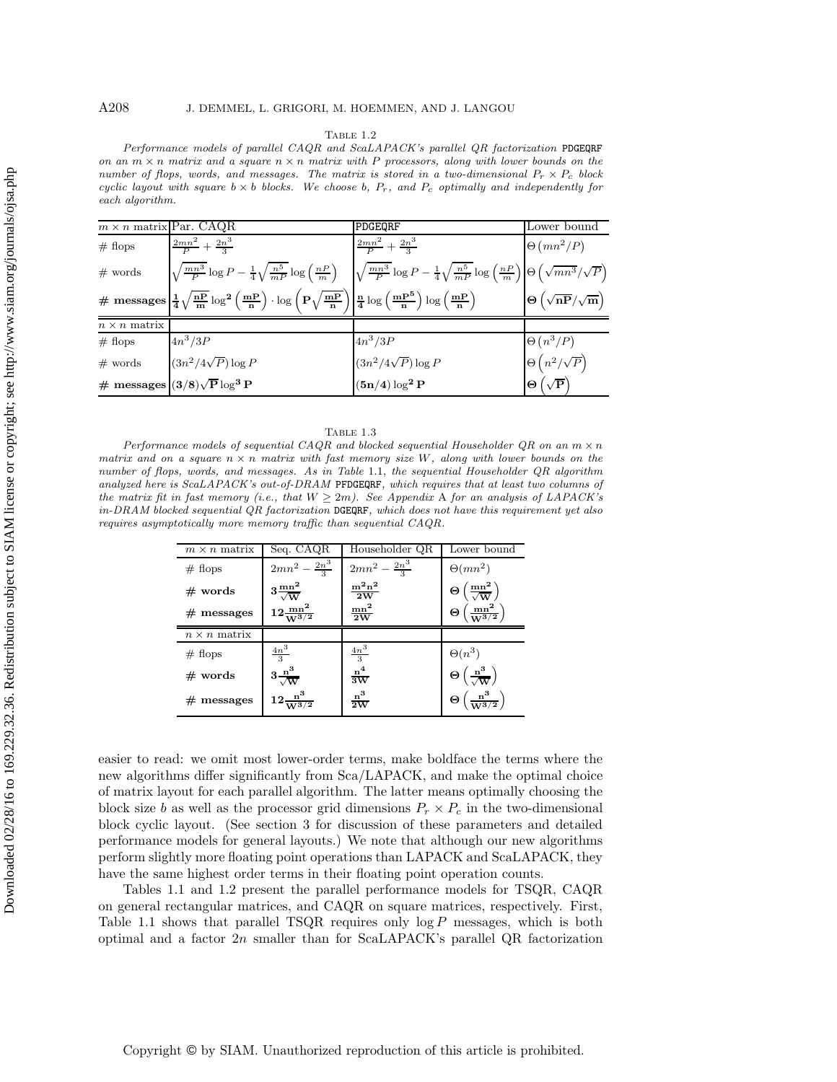### TABLE 1.2

Performance models of parallel CAQR and ScaLAPACK's parallel QR factorization PDGEQRF on an  $m \times n$  matrix and a square  $n \times n$  matrix with P processors, along with lower bounds on the number of flops, words, and messages. The matrix is stored in a two-dimensional  $P_r \times P_c$  block cyclic layout with square  $b \times b$  blocks. We choose  $b, P_r,$  and  $P_c$  optimally and independently for each algorithm.

| $m \times n$ matrix Par. CAQR |                                                                                                                                                                                                                                                              | PDGEQRF                                                  | Lower bound                                                     |
|-------------------------------|--------------------------------------------------------------------------------------------------------------------------------------------------------------------------------------------------------------------------------------------------------------|----------------------------------------------------------|-----------------------------------------------------------------|
| # flops                       | $\frac{2mn^2}{P} + \frac{2n^3}{3}$                                                                                                                                                                                                                           | $\frac{2mn^2}{P} + \frac{2n^3}{3}$                       | $\Theta(mn^2/P)$                                                |
| $#$ words                     | $\left \sqrt{\frac{mn^3}{P}}\log P - \frac{1}{4}\sqrt{\frac{n^5}{mP}}\log\left(\frac{nP}{m}\right) - \left \sqrt{\frac{mn^3}{P}}\log P - \frac{1}{4}\sqrt{\frac{n^5}{mP}}\log\left(\frac{nP}{m}\right)\right \Theta\left(\sqrt{mn^3}/\sqrt{P}\right)\right $ |                                                          |                                                                 |
|                               | $\#\hspace{0.1cm} \textbf{messages} \left \frac{1}{4} \sqrt{\frac{nP}{m}} \log^{2}\left(\frac{mP}{n}\right) \cdot \log \left(P \sqrt{\frac{mP}{n}} \right) \right  \frac{n}{4} \log \left(\frac{mP^{5}}{n}\right) \log \left(\frac{mP}{n}\right)$            |                                                          | $\Theta\left(\sqrt{\text{nP}}/\sqrt{\text{m}}\right)$           |
| $n \times n$ matrix           |                                                                                                                                                                                                                                                              |                                                          |                                                                 |
| # flops                       | $4n^3/3P$                                                                                                                                                                                                                                                    | $4n^3/3P$                                                |                                                                 |
| $#$ words                     | $(3n^2/4\sqrt{P})\log P$                                                                                                                                                                                                                                     | $\frac{(3n^2/4\sqrt{P})\log P}{(\mathbf{5n/4})\log^2 P}$ | $\Theta\left(n^3/P\right)$<br>$\Theta\left(n^2/\sqrt{P}\right)$ |
|                               | # messages $(3/8)\sqrt{P} \log^3 P$                                                                                                                                                                                                                          |                                                          | $\Theta\left(\sqrt{\mathbf{P}}\right)$                          |

### Table 1.3

Performance models of sequential CAQR and blocked sequential Householder QR on an  $m \times n$ matrix and on a square  $n \times n$  matrix with fast memory size  $W$ , along with lower bounds on the number of flops, words, and messages. As in Table 1.1, the sequential Householder QR algorithm analyzed here is ScaLAPACK's out-of-DRAM PFDGEQRF, which requires that at least two columns of the matrix fit in fast memory (i.e., that  $W \geq 2m$ ). See Appendix A for an analysis of LAPACK's in-DRAM blocked sequential QR factorization DGEQRF, which does not have this requirement yet also requires asymptotically more memory traffic than sequential CAQR.

| $m \times n$ matrix | Seq. CAQR                               | Householder QR                  | Lower bound                                                               |
|---------------------|-----------------------------------------|---------------------------------|---------------------------------------------------------------------------|
| $#$ flops           | $2mn^2 - \frac{2n^3}{3}$                | $2mn^2 - \frac{2n^3}{3}$        | $\Theta(mn^2)$                                                            |
| $#$ words           | $3\frac{\text{mn}^2}{\sqrt{\text{W}}}$  | $\frac{m^2n^2}{2W}$             | $\Theta\left(\frac{mn^2}{\sqrt{W}}\right)$                                |
| $#$ messages        | $12 \frac{\text{mn}^2}{\text{W}^{3/2}}$ | $\frac{\text{mn}^2}{2\text{W}}$ | $\left(\frac{\text{mn}^2}{\text{W}^3/\text{2}}\right)$<br>$\Theta$        |
| $n \times n$ matrix |                                         |                                 |                                                                           |
| $#$ flops           | $\frac{4n^3}{3}$                        | $\frac{4n^3}{3}$                |                                                                           |
| $#$ words           | $3\frac{n^3}{\sqrt{W}}$                 | $\frac{n^4}{3W}$                | $\Theta(n^3)$ $\Theta\left(\frac{\mathbf{n}^3}{\sqrt{\mathbf{W}}}\right)$ |
| $#$ messages        | $12\frac{n^3}{W^{3/2}}$                 | $\frac{n^3}{2W}$                | $\Theta\left(\frac{n^3}{W^{3/2}}\right)$                                  |

easier to read: we omit most lower-order terms, make boldface the terms where the new algorithms differ significantly from Sca/LAPACK, and make the optimal choice of matrix layout for each parallel algorithm. The latter means optimally choosing the block size b as well as the processor grid dimensions  $P_r \times P_c$  in the two-dimensional block cyclic layout. (See section 3 for discussion of these parameters and detailed performance models for general layouts.) We note that although our new algorithms perform slightly more floating point operations than LAPACK and ScaLAPACK, they have the same highest order terms in their floating point operation counts.

Tables 1.1 and 1.2 present the parallel performance models for TSQR, CAQR on general rectangular matrices, and CAQR on square matrices, respectively. First, Table 1.1 shows that parallel TSQR requires only  $log P$  messages, which is both optimal and a factor  $2n$  smaller than for ScaLAPACK's parallel QR factorization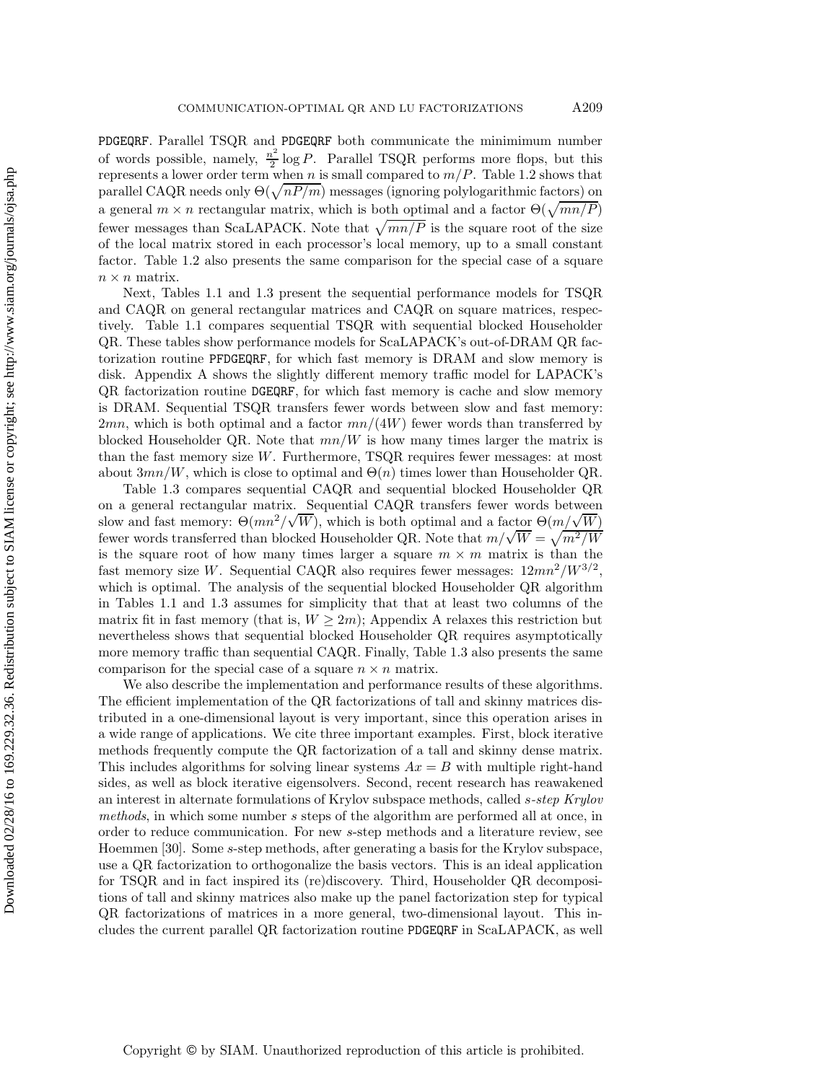PDGEQRF. Parallel TSQR and PDGEQRF both communicate the minimimum number of words possible, namely,  $\frac{n^2}{2} \log P$ . Parallel TSQR performs more flops, but this represents a lower order term when n is small compared to  $m/P$ . Table 1.2 shows that parallel CAQR needs only  $\Theta(\sqrt{nP/m})$  messages (ignoring polylogarithmic factors) on a general  $m \times n$  rectangular matrix, which is both optimal and a factor  $\Theta(\sqrt{mn/P})$ fewer messages than ScaLAPACK. Note that  $\sqrt{mn/P}$  is the square root of the size of the local matrix stored in each processor's local memory, up to a small constant factor. Table 1.2 also presents the same comparison for the special case of a square  $n \times n$  matrix.

Next, Tables 1.1 and 1.3 present the sequential performance models for TSQR and CAQR on general rectangular matrices and CAQR on square matrices, respectively. Table 1.1 compares sequential TSQR with sequential blocked Householder QR. These tables show performance models for ScaLAPACK's out-of-DRAM QR factorization routine PFDGEQRF, for which fast memory is DRAM and slow memory is disk. Appendix A shows the slightly different memory traffic model for LAPACK's QR factorization routine DGEQRF, for which fast memory is cache and slow memory is DRAM. Sequential TSQR transfers fewer words between slow and fast memory:  $2mn$ , which is both optimal and a factor  $mn/(4W)$  fewer words than transferred by blocked Householder QR. Note that  $mn/W$  is how many times larger the matrix is than the fast memory size  $W$ . Furthermore, TSQR requires fewer messages: at most about  $3mn/W$ , which is close to optimal and  $\Theta(n)$  times lower than Householder QR.

Table 1.3 compares sequential CAQR and sequential blocked Householder QR on a general rectangular matrix. Sequential CAQR transfers fewer words between on a general rectangular matrix. Sequential CAQR transfers fewer words between<br>slow and fast memory:  $\Theta(mn^2/\sqrt{W})$ , which is both optimal and a factor  $\Theta(m/\sqrt{W})$ slow and fast memory:  $\Theta(mn^{-}/\sqrt{W})$ , which is both optimal and a factor  $\Theta(m/\sqrt{W})$ <br>fewer words transferred than blocked Householder QR. Note that  $m/\sqrt{W} = \sqrt{m^2/W}$ is the square root of how many times larger a square  $m \times m$  matrix is than the fast memory size W. Sequential CAQR also requires fewer messages:  $12mn^2/W^{3/2}$ , which is optimal. The analysis of the sequential blocked Householder QR algorithm in Tables 1.1 and 1.3 assumes for simplicity that that at least two columns of the matrix fit in fast memory (that is,  $W \geq 2m$ ); Appendix A relaxes this restriction but nevertheless shows that sequential blocked Householder QR requires asymptotically more memory traffic than sequential CAQR. Finally, Table 1.3 also presents the same comparison for the special case of a square  $n \times n$  matrix.

We also describe the implementation and performance results of these algorithms. The efficient implementation of the QR factorizations of tall and skinny matrices distributed in a one-dimensional layout is very important, since this operation arises in a wide range of applications. We cite three important examples. First, block iterative methods frequently compute the QR factorization of a tall and skinny dense matrix. This includes algorithms for solving linear systems  $Ax = B$  with multiple right-hand sides, as well as block iterative eigensolvers. Second, recent research has reawakened an interest in alternate formulations of Krylov subspace methods, called s*-step Krylov methods*, in which some number s steps of the algorithm are performed all at once, in order to reduce communication. For new s-step methods and a literature review, see Hoemmen [30]. Some s-step methods, after generating a basis for the Krylov subspace, use a QR factorization to orthogonalize the basis vectors. This is an ideal application for TSQR and in fact inspired its (re)discovery. Third, Householder QR decompositions of tall and skinny matrices also make up the panel factorization step for typical QR factorizations of matrices in a more general, two-dimensional layout. This includes the current parallel QR factorization routine PDGEQRF in ScaLAPACK, as well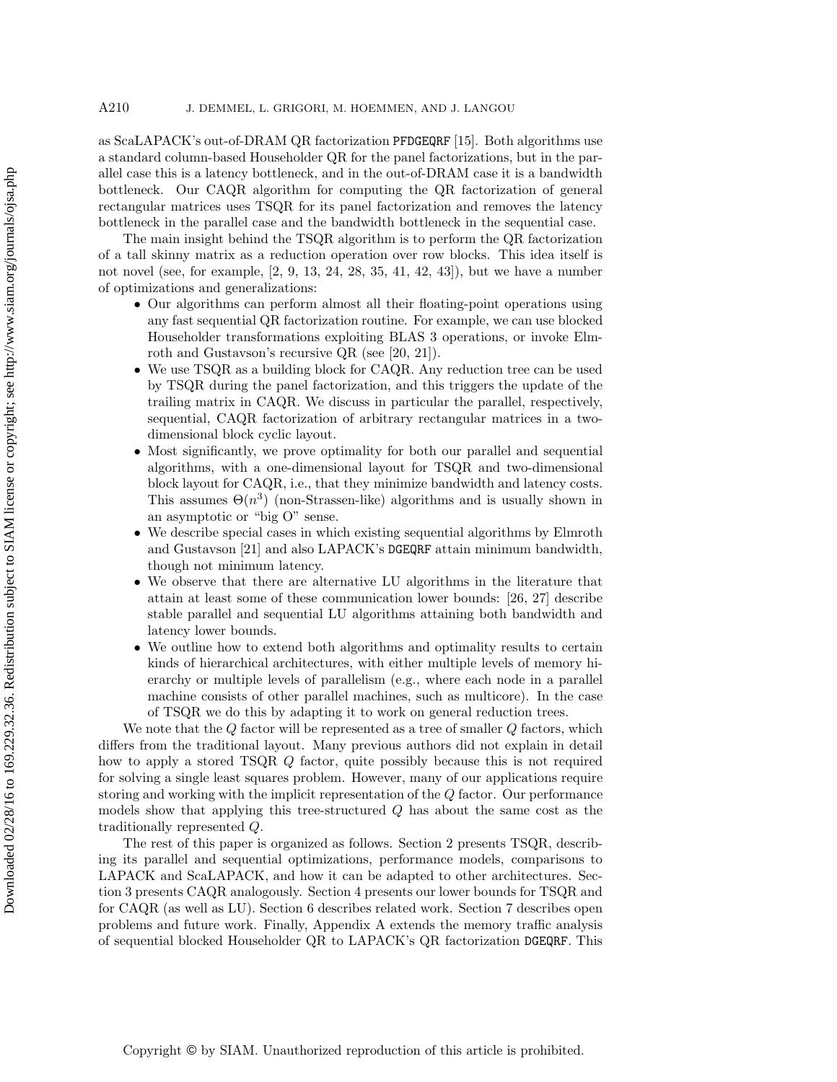as ScaLAPACK's out-of-DRAM QR factorization PFDGEQRF [15]. Both algorithms use a standard column-based Householder QR for the panel factorizations, but in the parallel case this is a latency bottleneck, and in the out-of-DRAM case it is a bandwidth bottleneck. Our CAQR algorithm for computing the QR factorization of general rectangular matrices uses TSQR for its panel factorization and removes the latency bottleneck in the parallel case and the bandwidth bottleneck in the sequential case.

The main insight behind the TSQR algorithm is to perform the QR factorization of a tall skinny matrix as a reduction operation over row blocks. This idea itself is not novel (see, for example, [2, 9, 13, 24, 28, 35, 41, 42, 43]), but we have a number of optimizations and generalizations:

- Our algorithms can perform almost all their floating-point operations using any fast sequential QR factorization routine. For example, we can use blocked Householder transformations exploiting BLAS 3 operations, or invoke Elmroth and Gustavson's recursive QR (see [20, 21]).
- We use TSQR as a building block for CAQR. Any reduction tree can be used by TSQR during the panel factorization, and this triggers the update of the trailing matrix in CAQR. We discuss in particular the parallel, respectively, sequential, CAQR factorization of arbitrary rectangular matrices in a twodimensional block cyclic layout.
- Most significantly, we prove optimality for both our parallel and sequential algorithms, with a one-dimensional layout for TSQR and two-dimensional block layout for CAQR, i.e., that they minimize bandwidth and latency costs. This assumes  $\Theta(n^3)$  (non-Strassen-like) algorithms and is usually shown in an asymptotic or "big O" sense.
- We describe special cases in which existing sequential algorithms by Elmroth and Gustavson [21] and also LAPACK's DGEQRF attain minimum bandwidth, though not minimum latency.
- We observe that there are alternative LU algorithms in the literature that attain at least some of these communication lower bounds: [26, 27] describe stable parallel and sequential LU algorithms attaining both bandwidth and latency lower bounds.
- We outline how to extend both algorithms and optimality results to certain kinds of hierarchical architectures, with either multiple levels of memory hierarchy or multiple levels of parallelism (e.g., where each node in a parallel machine consists of other parallel machines, such as multicore). In the case of TSQR we do this by adapting it to work on general reduction trees.

We note that the  $Q$  factor will be represented as a tree of smaller  $Q$  factors, which differs from the traditional layout. Many previous authors did not explain in detail how to apply a stored TSQR Q factor, quite possibly because this is not required for solving a single least squares problem. However, many of our applications require storing and working with the implicit representation of the Q factor. Our performance models show that applying this tree-structured Q has about the same cost as the traditionally represented Q.

The rest of this paper is organized as follows. Section 2 presents TSQR, describing its parallel and sequential optimizations, performance models, comparisons to LAPACK and ScaLAPACK, and how it can be adapted to other architectures. Section 3 presents CAQR analogously. Section 4 presents our lower bounds for TSQR and for CAQR (as well as LU). Section 6 describes related work. Section 7 describes open problems and future work. Finally, Appendix A extends the memory traffic analysis of sequential blocked Householder QR to LAPACK's QR factorization DGEQRF. This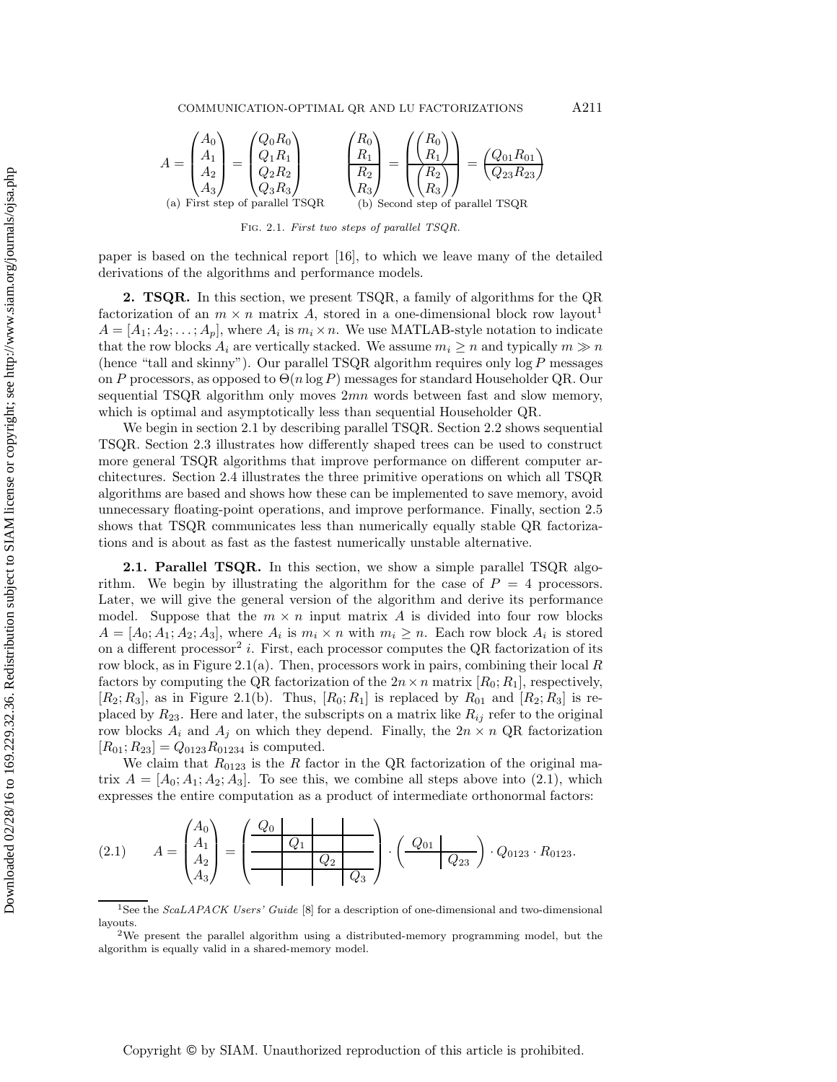COMMUNICATION-OPTIMAL QR AND LU FACTORIZATIONS A211

$$
A = \begin{pmatrix} A_0 \\ A_1 \\ A_2 \\ A_3 \end{pmatrix} = \begin{pmatrix} Q_0 R_0 \\ Q_1 R_1 \\ Q_2 R_2 \\ Q_3 R_3 \end{pmatrix} \qquad \qquad \begin{pmatrix} R_0 \\ R_1 \\ R_2 \\ R_3 \end{pmatrix} = \begin{pmatrix} \begin{pmatrix} R_0 \\ R_1 \end{pmatrix} \\ \begin{pmatrix} R_2 \\ R_3 \end{pmatrix} \end{pmatrix} = \begin{pmatrix} Q_{01} R_{01} \\ Q_{23} R_{23} \end{pmatrix}
$$
  
(a) First step of parallel TSQR  
(b) Second step of parallel TSQR

FIG. 2.1. First two steps of parallel TSQR.

paper is based on the technical report [16], to which we leave many of the detailed derivations of the algorithms and performance models.

**2. TSQR.** In this section, we present TSQR, a family of algorithms for the QR factorization of an  $m \times n$  matrix A, stored in a one-dimensional block row layout<sup>1</sup>  $A = [A_1; A_2; \dots; A_p]$ , where  $A_i$  is  $m_i \times n$ . We use MATLAB-style notation to indicate that the row blocks  $A_i$  are vertically stacked. We assume  $m_i \geq n$  and typically  $m \gg n$ (hence "tall and skinny"). Our parallel  $TSQR$  algorithm requires only  $log P$  messages on P processors, as opposed to  $\Theta(n \log P)$  messages for standard Householder QR. Our sequential TSQR algorithm only moves  $2mn$  words between fast and slow memory, which is optimal and asymptotically less than sequential Householder QR.

We begin in section 2.1 by describing parallel TSQR. Section 2.2 shows sequential TSQR. Section 2.3 illustrates how differently shaped trees can be used to construct more general TSQR algorithms that improve performance on different computer architectures. Section 2.4 illustrates the three primitive operations on which all TSQR algorithms are based and shows how these can be implemented to save memory, avoid unnecessary floating-point operations, and improve performance. Finally, section 2.5 shows that TSQR communicates less than numerically equally stable QR factorizations and is about as fast as the fastest numerically unstable alternative.

**2.1. Parallel TSQR.** In this section, we show a simple parallel TSQR algorithm. We begin by illustrating the algorithm for the case of  $P = 4$  processors. Later, we will give the general version of the algorithm and derive its performance model. Suppose that the  $m \times n$  input matrix A is divided into four row blocks  $A = [A_0; A_1; A_2; A_3]$ , where  $A_i$  is  $m_i \times n$  with  $m_i \geq n$ . Each row block  $A_i$  is stored on a different processor<sup>2</sup> i. First, each processor computes the QR factorization of its row block, as in Figure 2.1(a). Then, processors work in pairs, combining their local  $R$ factors by computing the QR factorization of the  $2n \times n$  matrix  $[R_0; R_1]$ , respectively,  $[R_2; R_3]$ , as in Figure 2.1(b). Thus,  $[R_0; R_1]$  is replaced by  $R_{01}$  and  $[R_2; R_3]$  is replaced by  $R_{23}$ . Here and later, the subscripts on a matrix like  $R_{ij}$  refer to the original row blocks  $A_i$  and  $A_j$  on which they depend. Finally, the  $2n \times n$  QR factorization  $[R_{01}; R_{23}] = Q_{0123}R_{01234}$  is computed.

We claim that  $R_{0123}$  is the R factor in the QR factorization of the original matrix  $A = [A_0; A_1; A_2; A_3]$ . To see this, we combine all steps above into (2.1), which expresses the entire computation as a product of intermediate orthonormal factors:

(2.1) 
$$
A = \begin{pmatrix} A_0 \\ A_1 \\ A_2 \\ A_3 \end{pmatrix} = \begin{pmatrix} Q_0 \\ \hline & Q_1 \\ \hline & Q_2 \\ \hline & & Q_3 \end{pmatrix} \cdot \begin{pmatrix} Q_{01} \\ \hline & Q_{23} \\ \hline & & Q_{33} \end{pmatrix} \cdot Q_{0123} \cdot R_{0123}.
$$

<sup>1</sup>See the ScaLAPACK Users' Guide [8] for a description of one-dimensional and two-dimensional layouts. <br><sup>2</sup>We present the parallel algorithm using a distributed-memory programming model, but the

algorithm is equally valid in a shared-memory model.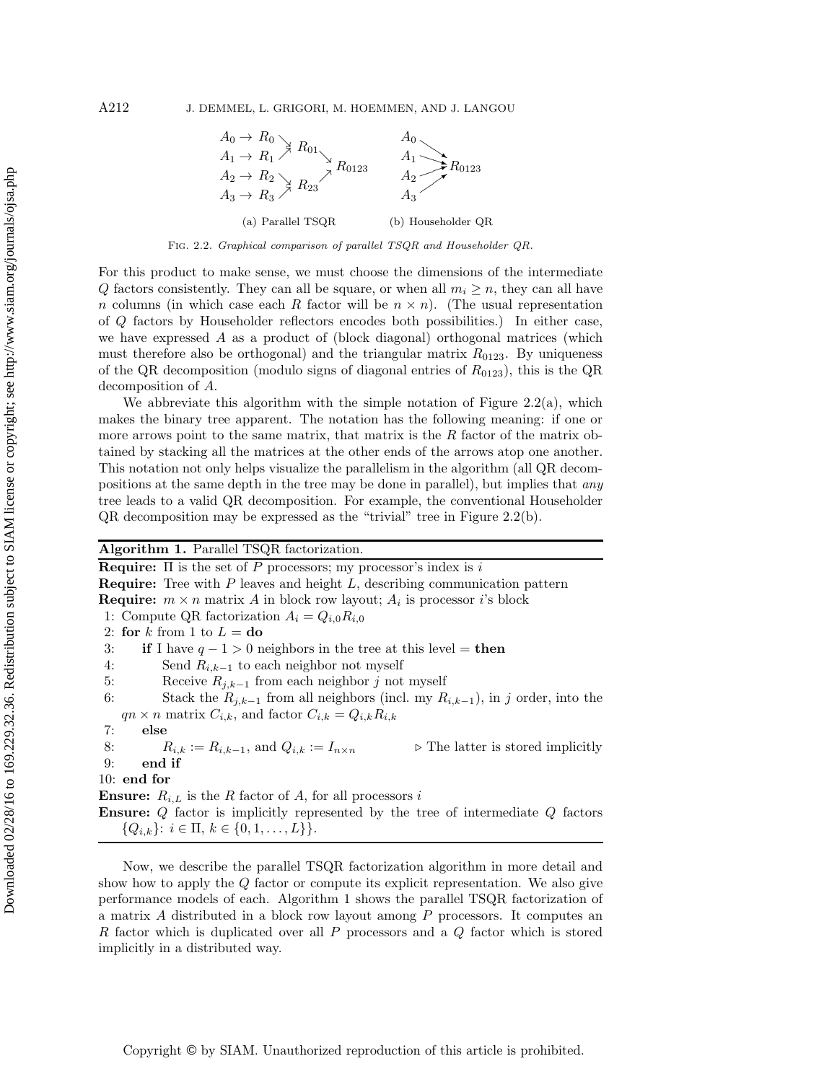

Fig. 2.2. Graphical comparison of parallel TSQR and Householder QR.

For this product to make sense, we must choose the dimensions of the intermediate Q factors consistently. They can all be square, or when all  $m_i \geq n$ , they can all have n columns (in which case each R factor will be  $n \times n$ ). (The usual representation of Q factors by Householder reflectors encodes both possibilities.) In either case, we have expressed A as a product of (block diagonal) orthogonal matrices (which must therefore also be orthogonal) and the triangular matrix  $R_{0123}$ . By uniqueness of the QR decomposition (modulo signs of diagonal entries of  $R_{0123}$ ), this is the QR decomposition of A.

We abbreviate this algorithm with the simple notation of Figure  $2.2(a)$ , which makes the binary tree apparent. The notation has the following meaning: if one or more arrows point to the same matrix, that matrix is the  $R$  factor of the matrix obtained by stacking all the matrices at the other ends of the arrows atop one another. This notation not only helps visualize the parallelism in the algorithm (all QR decompositions at the same depth in the tree may be done in parallel), but implies that *any* tree leads to a valid QR decomposition. For example, the conventional Householder QR decomposition may be expressed as the "trivial" tree in Figure 2.2(b).

# **Algorithm 1.** Parallel TSQR factorization.

**Require:** Π is the set of P processors; my processor's index is i **Require:** Tree with P leaves and height L, describing communication pattern **Require:**  $m \times n$  matrix A in block row layout;  $A_i$  is processor *i*'s block 1: Compute QR factorization  $A_i = Q_{i,0}R_{i,0}$ 2: **for**  $k$  from 1 to  $L =$  **do** 3: **if** I have  $q - 1 > 0$  neighbors in the tree at this level = **then** 4: Send  $R_{i,k-1}$  to each neighbor not myself<br>5: Receive  $R_{i,k-1}$  from each neighbor j not 5: Receive  $R_{j,k-1}$  from each neighbor j not myself<br>6: Stack the  $R_{i,k-1}$  from all neighbors (incl. my R Stack the  $R_{j,k-1}$  from all neighbors (incl. my  $R_{i,k-1}$ ), in j order, into the  $qn \times n$  matrix  $C_{i,k}$ , and factor  $C_{i,k} = Q_{i,k} R_{i,k}$ 7: **else** 8:  $R_{i,k} := R_{i,k-1}$ , and  $Q_{i,k} := I_{n \times n}$   $\triangleright$  The latter is stored implicitly **end if** 9: **end if** 10: **end for Ensure:**  $R_{i,L}$  is the R factor of A, for all processors i **Ensure:** Q factor is implicitly represented by the tree of intermediate Q factors

 ${Q_{i,k}}: i \in \Pi, k \in \{0,1,\ldots,L\}$ .

Now, we describe the parallel TSQR factorization algorithm in more detail and show how to apply the Q factor or compute its explicit representation. We also give performance models of each. Algorithm 1 shows the parallel TSQR factorization of a matrix A distributed in a block row layout among P processors. It computes an R factor which is duplicated over all P processors and a Q factor which is stored implicitly in a distributed way.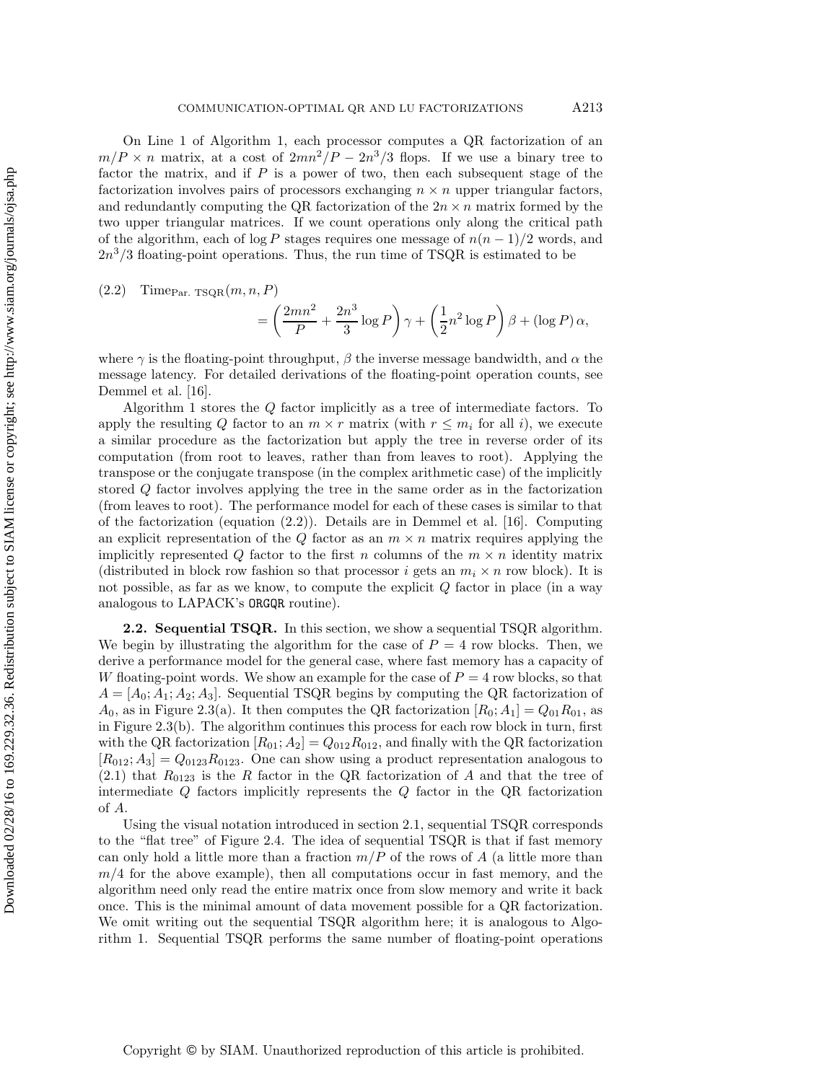On Line 1 of Algorithm 1, each processor computes a QR factorization of an  $m/P \times n$  matrix, at a cost of  $2mn^2/P - 2n^3/3$  flops. If we use a binary tree to factor the matrix, and if P is a power of two, then each subsequent stage of the factorization involves pairs of processors exchanging  $n \times n$  upper triangular factors, and redundantly computing the QR factorization of the  $2n \times n$  matrix formed by the two upper triangular matrices. If we count operations only along the critical path of the algorithm, each of log P stages requires one message of  $n(n-1)/2$  words, and  $2n<sup>3</sup>/3$  floating-point operations. Thus, the run time of TSQR is estimated to be

$$
(2.2) \quad \text{Time}_{\text{Par. TSQR}}(m, n, P)
$$

$$
= \left(\frac{2mn^2}{P} + \frac{2n^3}{3}\log P\right)\gamma + \left(\frac{1}{2}n^2\log P\right)\beta + (\log P)\,\alpha,
$$

where  $\gamma$  is the floating-point throughput,  $\beta$  the inverse message bandwidth, and  $\alpha$  the message latency. For detailed derivations of the floating-point operation counts, see Demmel et al. [16].

Algorithm 1 stores the Q factor implicitly as a tree of intermediate factors. To apply the resulting Q factor to an  $m \times r$  matrix (with  $r \leq m_i$  for all i), we execute a similar procedure as the factorization but apply the tree in reverse order of its computation (from root to leaves, rather than from leaves to root). Applying the transpose or the conjugate transpose (in the complex arithmetic case) of the implicitly stored Q factor involves applying the tree in the same order as in the factorization (from leaves to root). The performance model for each of these cases is similar to that of the factorization (equation  $(2.2)$ ). Details are in Demmel et al. [16]. Computing an explicit representation of the  $Q$  factor as an  $m \times n$  matrix requires applying the implicitly represented Q factor to the first n columns of the  $m \times n$  identity matrix (distributed in block row fashion so that processor i gets an  $m_i \times n$  row block). It is not possible, as far as we know, to compute the explicit  $Q$  factor in place (in a way analogous to LAPACK's ORGQR routine).

**2.2. Sequential TSQR.** In this section, we show a sequential TSQR algorithm. We begin by illustrating the algorithm for the case of  $P = 4$  row blocks. Then, we derive a performance model for the general case, where fast memory has a capacity of W floating-point words. We show an example for the case of  $P = 4$  row blocks, so that  $A = [A_0; A_1; A_2; A_3]$ . Sequential TSQR begins by computing the QR factorization of  $A_0$ , as in Figure 2.3(a). It then computes the QR factorization  $[R_0; A_1] = Q_{01}R_{01}$ , as in Figure 2.3(b). The algorithm continues this process for each row block in turn, first with the QR factorization  $[R_{01}; A_2] = Q_{012}R_{012}$ , and finally with the QR factorization  $[R_{012}; A_3] = Q_{0123}R_{0123}$ . One can show using a product representation analogous to  $(2.1)$  that  $R_{0123}$  is the R factor in the QR factorization of A and that the tree of intermediate  $Q$  factors implicitly represents the  $Q$  factor in the  $QR$  factorization of A.

Using the visual notation introduced in section 2.1, sequential TSQR corresponds to the "flat tree" of Figure 2.4. The idea of sequential TSQR is that if fast memory can only hold a little more than a fraction  $m/P$  of the rows of A (a little more than  $m/4$  for the above example), then all computations occur in fast memory, and the algorithm need only read the entire matrix once from slow memory and write it back once. This is the minimal amount of data movement possible for a QR factorization. We omit writing out the sequential TSQR algorithm here; it is analogous to Algorithm 1. Sequential TSQR performs the same number of floating-point operations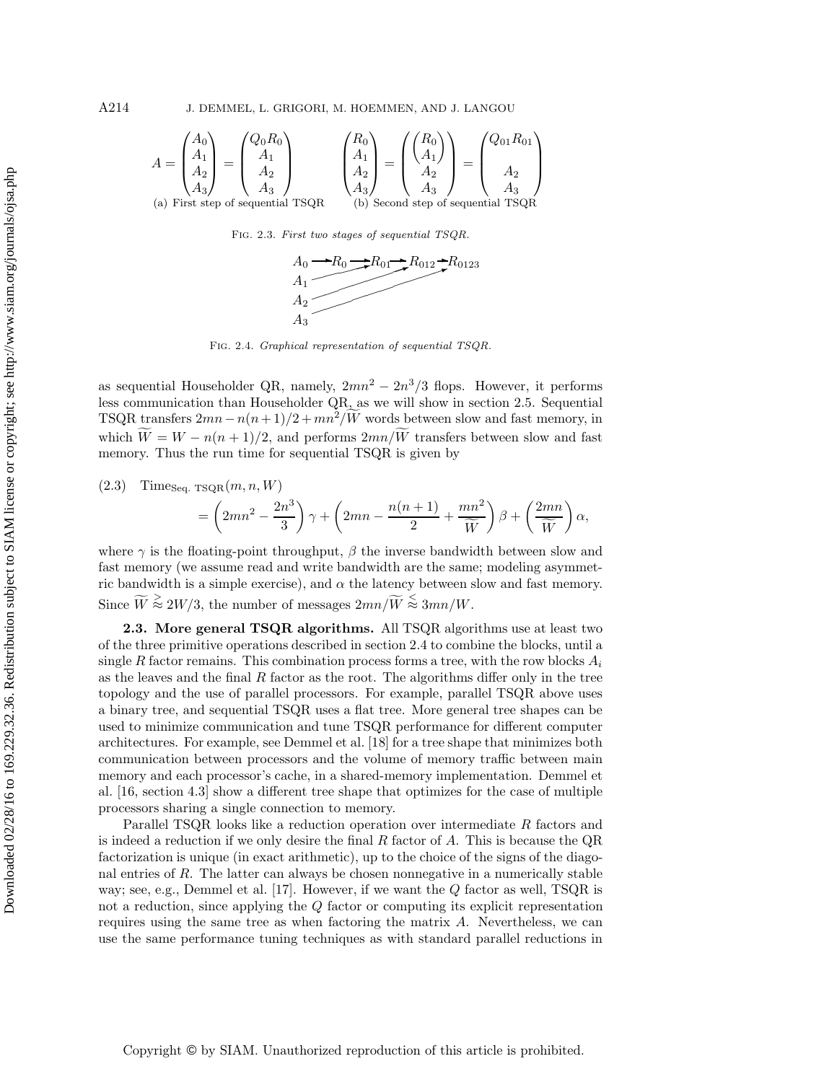A214 J. DEMMEL, L. GRIGORI, M. HOEMMEN, AND J. LANGOU

$$
A = \begin{pmatrix} A_0 \\ A_1 \\ A_2 \\ A_3 \end{pmatrix} = \begin{pmatrix} Q_0 R_0 \\ A_1 \\ A_2 \\ A_3 \end{pmatrix}
$$

$$
\begin{pmatrix} R_0 \\ A_1 \\ A_2 \\ A_3 \end{pmatrix} = \begin{pmatrix} R_0 \\ A_1 \\ A_2 \\ A_3 \end{pmatrix} = \begin{pmatrix} R_0 \\ A_1 \\ A_2 \\ A_3 \end{pmatrix}
$$

$$
\begin{pmatrix} Q_{01} R_{01} \\ A_2 \\ A_3 \\ A_3 \end{pmatrix}
$$
  
(a) First step of sequential TSQR (b) Second step of sequential TSQR

Fig. 2.3. First two stages of sequential TSQR.



Fig. 2.4. Graphical representation of sequential TSQR.

as sequential Householder QR, namely,  $2mn^2 - 2n^3/3$  flops. However, it performs less communication than Householder QR, as we will show in section 2.5. Sequential TSQR transfers  $2mn - n(n + 1)/2 + mn^2/W$  words between slow and fast memory, in which  $W = W - n(n+1)/2$ , and performs  $2mn/W$  transfers between slow and fast memory. Thus the run time for sequential TSQR is given by

$$
(2.3) \quad \text{Time}_{\text{Seq. TSQR}}(m, n, W)
$$

$$
= \left(2mn^2 - \frac{2n^3}{3}\right)\gamma + \left(2mn - \frac{n(n+1)}{2} + \frac{mn^2}{\widetilde{W}}\right)\beta + \left(\frac{2mn}{\widetilde{W}}\right)\alpha,
$$

where  $\gamma$  is the floating-point throughput,  $\beta$  the inverse bandwidth between slow and fast memory (we assume read and write bandwidth are the same; modeling asymmetric bandwidth is a simple exercise), and  $\alpha$  the latency between slow and fast memory. Since  $\widetilde{W} \stackrel{\geq}{\approx} 2W/3$ , the number of messages  $2mn/\widetilde{W} \stackrel{\leq}{\approx} 3mn/W$ .

**2.3. More general TSQR algorithms.** All TSQR algorithms use at least two of the three primitive operations described in section 2.4 to combine the blocks, until a single R factor remains. This combination process forms a tree, with the row blocks  $A_i$ as the leaves and the final R factor as the root. The algorithms differ only in the tree topology and the use of parallel processors. For example, parallel TSQR above uses a binary tree, and sequential TSQR uses a flat tree. More general tree shapes can be used to minimize communication and tune TSQR performance for different computer architectures. For example, see Demmel et al. [18] for a tree shape that minimizes both communication between processors and the volume of memory traffic between main memory and each processor's cache, in a shared-memory implementation. Demmel et al. [16, section 4.3] show a different tree shape that optimizes for the case of multiple processors sharing a single connection to memory.

Parallel TSQR looks like a reduction operation over intermediate R factors and is indeed a reduction if we only desire the final  $R$  factor of  $A$ . This is because the  $QR$ factorization is unique (in exact arithmetic), up to the choice of the signs of the diagonal entries of R. The latter can always be chosen nonnegative in a numerically stable way; see, e.g., Demmel et al. [17]. However, if we want the  $Q$  factor as well, TSQR is not a reduction, since applying the Q factor or computing its explicit representation requires using the same tree as when factoring the matrix A. Nevertheless, we can use the same performance tuning techniques as with standard parallel reductions in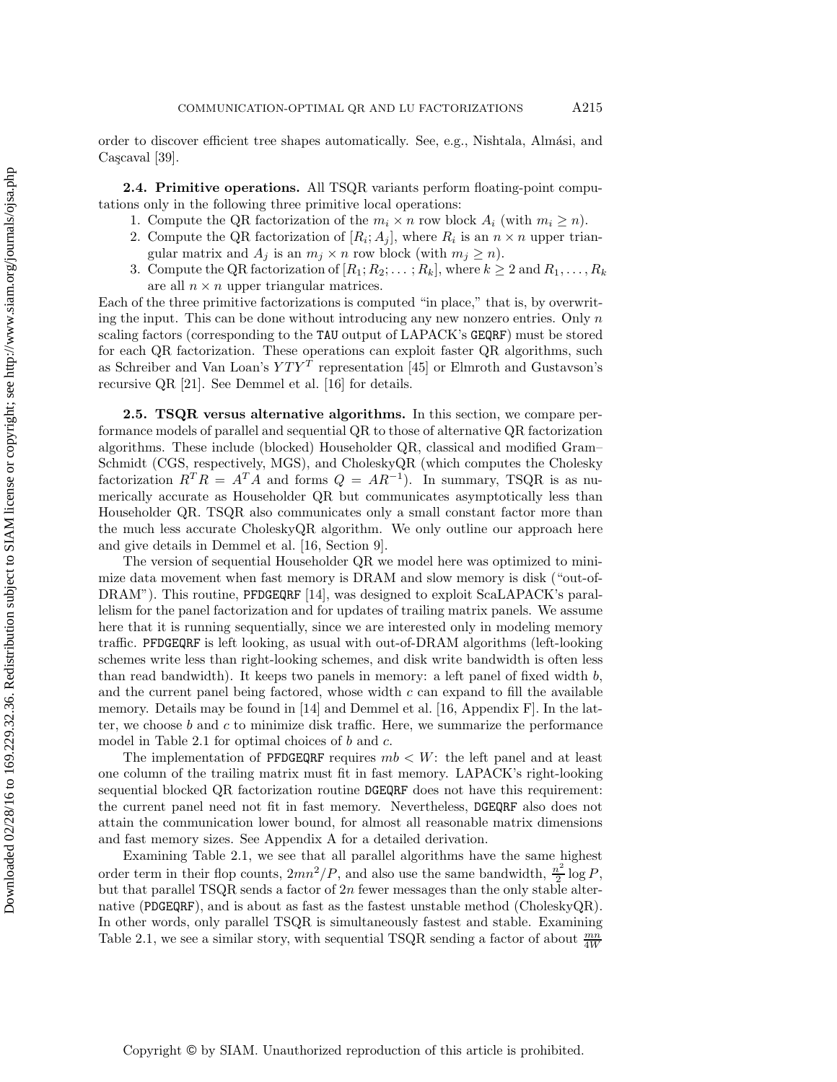order to discover efficient tree shapes automatically. See, e.g., Nishtala, Alm´asi, and Cascaval [39].

**2.4. Primitive operations.** All TSQR variants perform floating-point computations only in the following three primitive local operations:

- 1. Compute the QR factorization of the  $m_i \times n$  row block  $A_i$  (with  $m_i \geq n$ ).
- 2. Compute the QR factorization of  $[R_i; A_j]$ , where  $R_i$  is an  $n \times n$  upper triangular matrix and  $A_j$  is an  $m_j \times n$  row block (with  $m_j \geq n$ ).
- Compute the QR factorization of  $[R_1; R_2; \dots; R_k]$ , where  $k \geq 2$  and  $R_1, \dots, R_k$ are all  $n \times n$  upper triangular matrices.

Each of the three primitive factorizations is computed "in place," that is, by overwriting the input. This can be done without introducing any new nonzero entries. Only  $n$ scaling factors (corresponding to the TAU output of LAPACK's GEQRF) must be stored for each QR factorization. These operations can exploit faster QR algorithms, such as Schreiber and Van Loan's  $YTY^T$  representation [45] or Elmroth and Gustavson's recursive QR [21]. See Demmel et al. [16] for details.

**2.5. TSQR versus alternative algorithms.** In this section, we compare performance models of parallel and sequential QR to those of alternative QR factorization algorithms. These include (blocked) Householder QR, classical and modified Gram– Schmidt (CGS, respectively, MGS), and CholeskyQR (which computes the Cholesky factorization  $R^T R = A^T A$  and forms  $Q = AR^{-1}$ ). In summary, TSQR is as numerically accurate as Householder QR but communicates asymptotically less than Householder QR. TSQR also communicates only a small constant factor more than the much less accurate CholeskyQR algorithm. We only outline our approach here and give details in Demmel et al. [16, Section 9].

The version of sequential Householder QR we model here was optimized to minimize data movement when fast memory is DRAM and slow memory is disk ("out-of-DRAM"). This routine, PFDGEQRF [14], was designed to exploit ScaLAPACK's parallelism for the panel factorization and for updates of trailing matrix panels. We assume here that it is running sequentially, since we are interested only in modeling memory traffic. PFDGEQRF is left looking, as usual with out-of-DRAM algorithms (left-looking schemes write less than right-looking schemes, and disk write bandwidth is often less than read bandwidth). It keeps two panels in memory: a left panel of fixed width  $b$ , and the current panel being factored, whose width  $c$  can expand to fill the available memory. Details may be found in [14] and Demmel et al. [16, Appendix F]. In the latter, we choose  $b$  and  $c$  to minimize disk traffic. Here, we summarize the performance model in Table 2.1 for optimal choices of  $b$  and  $c$ .

The implementation of PFDGEQRF requires  $mb < W$ : the left panel and at least one column of the trailing matrix must fit in fast memory. LAPACK's right-looking sequential blocked QR factorization routine DGEQRF does not have this requirement: the current panel need not fit in fast memory. Nevertheless, DGEQRF also does not attain the communication lower bound, for almost all reasonable matrix dimensions and fast memory sizes. See Appendix A for a detailed derivation.

Examining Table 2.1, we see that all parallel algorithms have the same highest order term in their flop counts,  $2mn^2/P$ , and also use the same bandwidth,  $\frac{n^2}{2} \log P$ , but that parallel TSQR sends a factor of  $2n$  fewer messages than the only stable alternative (PDGEQRF), and is about as fast as the fastest unstable method (CholeskyQR). In other words, only parallel TSQR is simultaneously fastest and stable. Examining Table 2.1, we see a similar story, with sequential TSQR sending a factor of about  $\frac{mn}{4W}$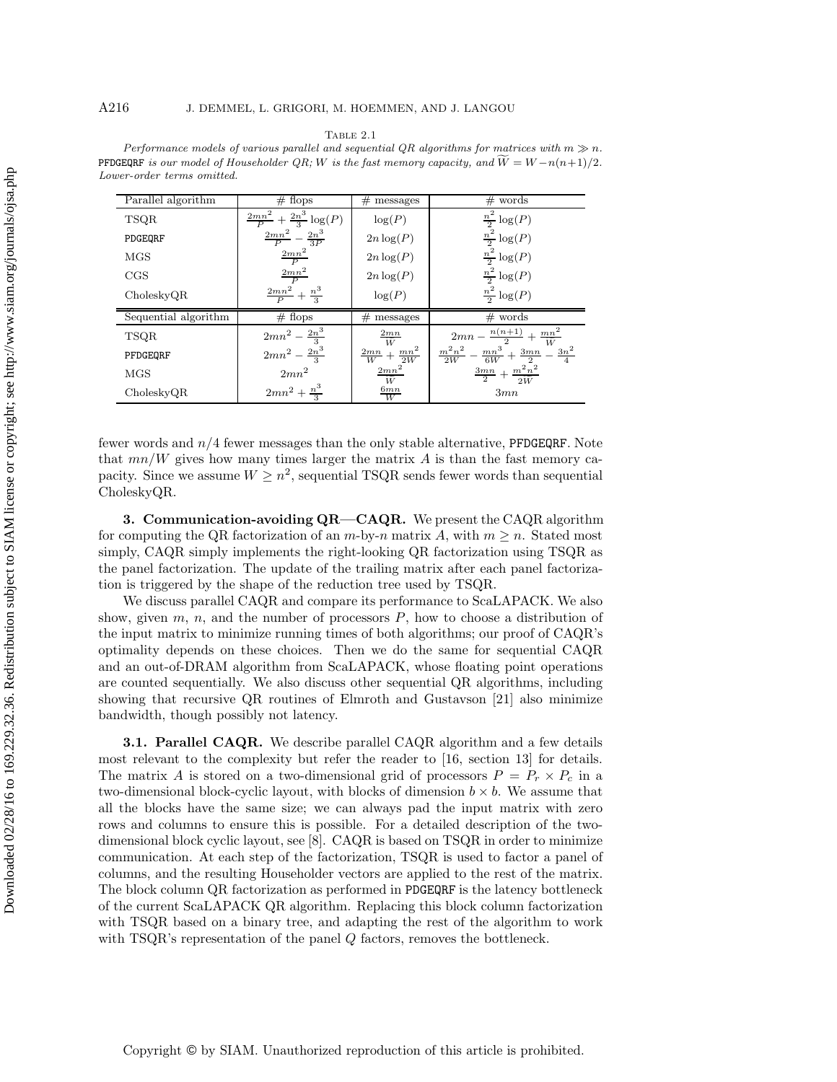| Parallel algorithm   | # flops                                    | #<br>messages                   | $#$ words                                                               |
|----------------------|--------------------------------------------|---------------------------------|-------------------------------------------------------------------------|
| <b>TSQR</b>          | $\frac{2mn^2}{P} + \frac{2n^3}{3} \log(P)$ | log(P)                          | $\frac{n^2}{2} \log(P)$                                                 |
| PDGEQRF              | $\frac{2mn^2}{P} - \frac{2n^3}{3P}$        | $2n \log(P)$                    | $\frac{n^2}{2} \log(P)$                                                 |
| <b>MGS</b>           | $\frac{2mn^2}{P}$                          | $2n \log(P)$                    | $\frac{n^2}{2} \log(P)$                                                 |
| CGS                  | $\frac{2mn^2}{P}$                          | $2n \log(P)$                    | $\frac{n^2}{2} \log(P)$                                                 |
| CholeskyQR           | $\frac{2mn^2}{P} + \frac{n^3}{2}$          | log(P)                          | $\frac{n^2}{2} \log(P)$                                                 |
| Sequential algorithm | $#$ flops                                  | #<br>messages                   | $#$ words                                                               |
| <b>TSQR</b>          | $2mn^2 - \frac{2n^3}{3}$                   | 2mn<br>W                        | $2mn - \frac{n(n+1)}{2} + \frac{mn^2}{2}$                               |
| PFDGEQRF             | $2mn^2 - \frac{2n^3}{3}$                   | $\frac{2mn}{W}+\frac{mn^2}{2W}$ | $\frac{m^2n^2}{2W} - \frac{mn^3}{6W} + \frac{3mn}{2}$<br>$rac{3n^2}{4}$ |
| <b>MGS</b>           | $2mn^2$                                    | $\frac{2mn^2}{\widetilde{W}}$   | $\frac{3mn}{2}+\frac{m^2n^2}{2\widetilde{W}}$                           |
| CholeskyQR           | $2mn^2 + \frac{n^3}{2}$                    | $\frac{6mn}{W}$                 | 3mn                                                                     |

Table 2.1 Performance models of various parallel and sequential QR algorithms for matrices with  $m \gg n$ . PFDGEQRF is our model of Householder  $QR$ ; *W* is the fast memory capacity, and  $W = W - n(n+1)/2$ . Lower-order terms omitted.

fewer words and  $n/4$  fewer messages than the only stable alternative, PFDGEQRF. Note that  $mn/W$  gives how many times larger the matrix A is than the fast memory capacity. Since we assume  $W \geq n^2$ , sequential TSQR sends fewer words than sequential CholeskyQR.

**3. Communication-avoiding QR—CAQR.** We present the CAQR algorithm for computing the QR factorization of an  $m$ -by-n matrix A, with  $m \geq n$ . Stated most simply, CAQR simply implements the right-looking QR factorization using TSQR as the panel factorization. The update of the trailing matrix after each panel factorization is triggered by the shape of the reduction tree used by TSQR.

We discuss parallel CAQR and compare its performance to ScaLAPACK. We also show, given  $m, n$ , and the number of processors  $P$ , how to choose a distribution of the input matrix to minimize running times of both algorithms; our proof of CAQR's optimality depends on these choices. Then we do the same for sequential CAQR and an out-of-DRAM algorithm from ScaLAPACK, whose floating point operations are counted sequentially. We also discuss other sequential QR algorithms, including showing that recursive QR routines of Elmroth and Gustavson [21] also minimize bandwidth, though possibly not latency.

**3.1. Parallel CAQR.** We describe parallel CAQR algorithm and a few details most relevant to the complexity but refer the reader to [16, section 13] for details. The matrix A is stored on a two-dimensional grid of processors  $P = P_r \times P_c$  in a two-dimensional block-cyclic layout, with blocks of dimension  $b \times b$ . We assume that all the blocks have the same size; we can always pad the input matrix with zero rows and columns to ensure this is possible. For a detailed description of the twodimensional block cyclic layout, see [8]. CAQR is based on TSQR in order to minimize communication. At each step of the factorization, TSQR is used to factor a panel of columns, and the resulting Householder vectors are applied to the rest of the matrix. The block column QR factorization as performed in PDGEQRF is the latency bottleneck of the current ScaLAPACK QR algorithm. Replacing this block column factorization with TSQR based on a binary tree, and adapting the rest of the algorithm to work with TSQR's representation of the panel Q factors, removes the bottleneck.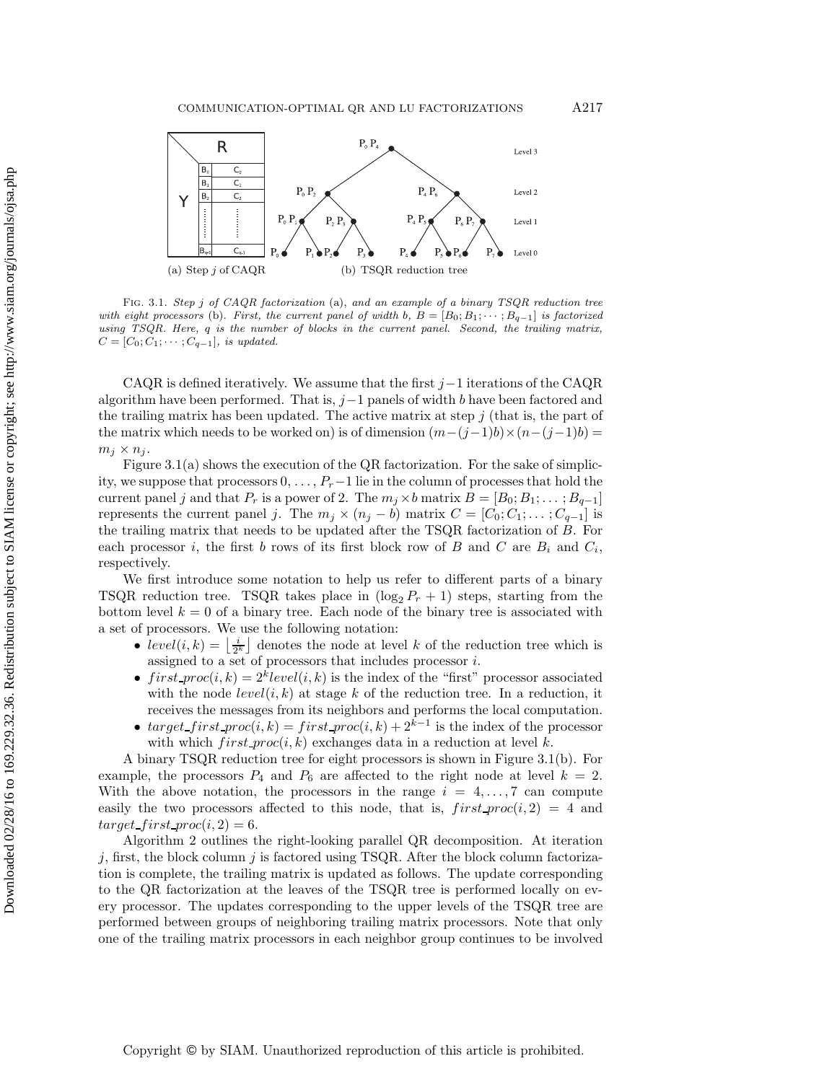

Fig. 3.1. Step *j* of CAQR factorization (a), and an example of a binary TSQR reduction tree with eight processors (b). First, the current panel of width  $b, B = [B_0; B_1; \cdots; B_{q-1}]$  is factorized using TSQR. Here, *q* is the number of blocks in the current panel. Second, the trailing matrix,  $C = [C_0; C_1; \cdots; C_{q-1}],$  is updated.

CAQR is defined iteratively. We assume that the first  $j-1$  iterations of the CAQR algorithm have been performed. That is,  $j-1$  panels of width b have been factored and the trailing matrix has been updated. The active matrix at step  $j$  (that is, the part of the matrix which needs to be worked on) is of dimension  $(m-(j-1)b) \times (n-(j-1)b) =$  $m_j \times n_j$ .

Figure  $3.1(a)$  shows the execution of the QR factorization. For the sake of simplicity, we suppose that processors 0, ... , P*r*−1 lie in the column of processes that hold the current panel j and that  $P_r$  is a power of 2. The  $m_j \times b$  matrix  $B = [B_0; B_1; \dots; B_{q-1}]$ represents the current panel j. The  $m_j \times (n_j - b)$  matrix  $C = [C_0; C_1; \dots; C_{q-1}]$  is the trailing matrix that needs to be updated after the TSQR factorization of B. For each processor i, the first b rows of its first block row of  $B$  and  $C$  are  $B_i$  and  $C_i$ , respectively.

We first introduce some notation to help us refer to different parts of a binary TSQR reduction tree. TSQR takes place in  $(\log_2 P_r + 1)$  steps, starting from the bottom level  $k = 0$  of a binary tree. Each node of the binary tree is associated with a set of processors. We use the following notation:

- $level(i, k) = \left\lfloor \frac{i}{2^k} \right\rfloor$  denotes the node at level k of the reduction tree which is assigned to a set of processors that includes processor i.
- first  $proc(i, k) = 2<sup>k</sup>level(i, k)$  is the index of the "first" processor associated with the node  $level(i, k)$  at stage k of the reduction tree. In a reduction, it receives the messages from its neighbors and performs the local computation.
- target first  $proc(i, k) = first\_proc(i, k) + 2^{k-1}$  is the index of the processor with which  $first\_proc(i, k)$  exchanges data in a reduction at level k.

A binary TSQR reduction tree for eight processors is shown in Figure 3.1(b). For example, the processors  $P_4$  and  $P_6$  are affected to the right node at level  $k = 2$ . With the above notation, the processors in the range  $i = 4, \ldots, 7$  can compute easily the two processors affected to this node, that is,  $first\_proc(i, 2) = 4$  and  $target\_first\_proc(i, 2) = 6.$ 

Algorithm 2 outlines the right-looking parallel QR decomposition. At iteration  $j$ , first, the block column  $j$  is factored using TSQR. After the block column factorization is complete, the trailing matrix is updated as follows. The update corresponding to the QR factorization at the leaves of the TSQR tree is performed locally on every processor. The updates corresponding to the upper levels of the TSQR tree are performed between groups of neighboring trailing matrix processors. Note that only one of the trailing matrix processors in each neighbor group continues to be involved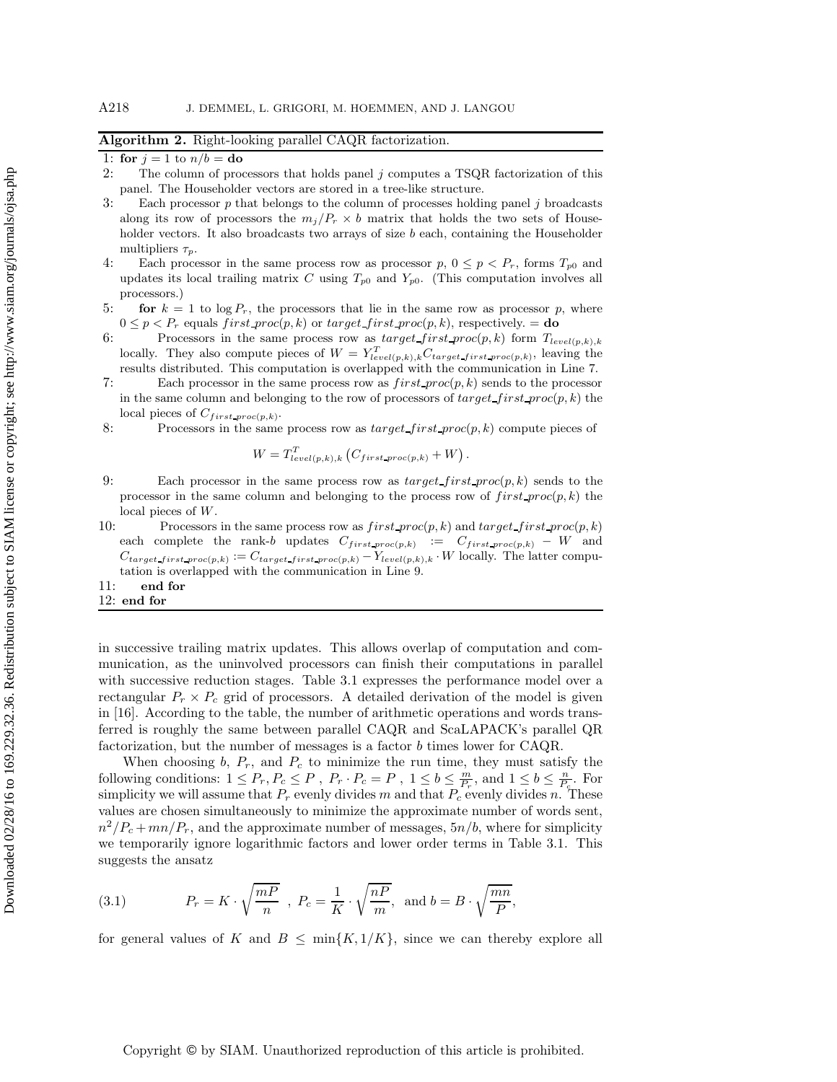# **Algorithm 2.** Right-looking parallel CAQR factorization.

1: **for**  $j = 1$  to  $n/b =$ **do**<br>2: The column of prod

- The column of processors that holds panel  $j$  computes a TSQR factorization of this panel. The Householder vectors are stored in a tree-like structure.
- 3: Each processor p that belongs to the column of processes holding panel j broadcasts along its row of processors the  $m_j/P_r \times b$  matrix that holds the two sets of Householder vectors. It also broadcasts two arrays of size  $b$  each, containing the Householder multipliers  $\tau_p$ .
- 4: Each processor in the same process row as processor  $p, 0 \leq p < P_r$ , forms  $T_{p0}$  and updates its local trailing matrix C using  $T_{p0}$  and  $Y_{p0}$ . (This computation involves all processors.)
- 5: **for**  $k = 1$  to  $\log P_r$ , the processors that lie in the same row as processor p, where  $0 \leq p < P_r$  equals first proc(p, k) or target first proc(p, k), respectively. = **do**<br>Processors in the same process row as target first proc(p, k) form  $T_{level(p,k),k}$
- 6: Processors in the same process row as  $target\_first\_proc(p, k)$  form  $T_{level(p, k), k}$ <br>locally They also compute pieces of  $W = Y^T$ locally. They also compute pieces of  $W = Y_{level(p,k),k}^{T} C_{target\_first\_proc(p,k)}$ , leaving the results distributed. This computation is overlapped with the communication in Line 7.
- 7: Each processor in the same process row as  $first\_proc(p, k)$  sends to the processor in the same column and belonging to the row of processors of  $target\_first\_proc(p, k)$  the local pieces of <sup>C</sup>*f irst proc*(*p,k*).
- 8: Processors in the same process row as  $target\_first\_proc(p, k)$  compute pieces of

$$
W = T_{level(p,k),k}^T (C_{first\_proc(p,k)} + W).
$$

- 9: Each processor in the same process row as  $target\_first\_proc(p, k)$  sends to the processor in the same column and belonging to the process row of  $first\_proc(p, k)$  the local pieces of W.
- 10: Processors in the same process row as  $first\text{ }proc(p, k)$  and  $target\text{ }first\text{ }proc(p, k)$ each complete the rank-b updates  $C_{first\_proc(p,k)}$  :=  $C_{first\_proc(p,k)} - W$  and  $C_{target\_first\_proc(p,k)} := C_{target\_first\_proc(p,k)} - Y_{level(p,k),k} \cdot W$  locally. The latter computation is overlapped with the communication in Line 9.
- 11: **end for**
- 12: **end for**

in successive trailing matrix updates. This allows overlap of computation and communication, as the uninvolved processors can finish their computations in parallel with successive reduction stages. Table 3.1 expresses the performance model over a rectangular  $P_r \times P_c$  grid of processors. A detailed derivation of the model is given in [16]. According to the table, the number of arithmetic operations and words transferred is roughly the same between parallel CAQR and ScaLAPACK's parallel QR factorization, but the number of messages is a factor b times lower for CAQR.

When choosing  $b$ ,  $P_r$ , and  $P_c$  to minimize the run time, they must satisfy the following conditions:  $1 \le P_r, P_c \le P$ ,  $P_r \cdot P_c = P$ ,  $1 \le b \le \frac{m}{P_r}$ , and  $1 \le b \le \frac{n}{P_c}$ . For simplicity we will assume that  $P_r$  evenly divides m and that  $P_c$  evenly divides n. These values are chosen simultaneously to minimize the approximate number of words sent,  $n^2/P_c + mn/P_r$ , and the approximate number of messages,  $5n/b$ , where for simplicity we temporarily ignore logarithmic factors and lower order terms in Table 3.1. This suggests the ansatz

(3.1) 
$$
P_r = K \cdot \sqrt{\frac{mP}{n}} \, , P_c = \frac{1}{K} \cdot \sqrt{\frac{nP}{m}}, \text{ and } b = B \cdot \sqrt{\frac{mn}{P}},
$$

for general values of K and  $B \le \min\{K, 1/K\}$ , since we can thereby explore all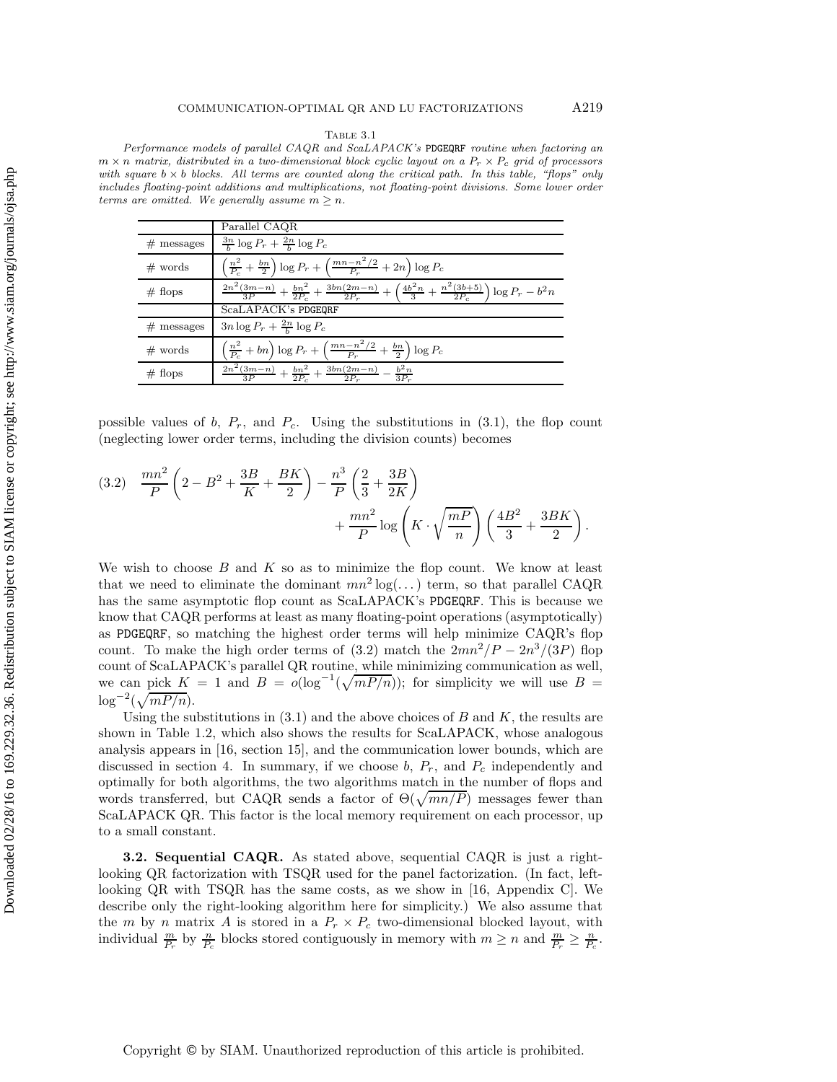Table 3.1

Performance models of parallel CAQR and ScaLAPACK's PDGEQRF routine when factoring an  $m \times n$  matrix, distributed in a two-dimensional block cyclic layout on a  $P_r \times P_c$  grid of processors with square  $b \times b$  blocks. All terms are counted along the critical path. In this table, "flops" only includes floating-point additions and multiplications, not floating-point divisions. Some lower order terms are omitted. We generally assume  $m \geq n$ .

|              | Parallel CAQR                                                                                                                     |
|--------------|-----------------------------------------------------------------------------------------------------------------------------------|
| $#$ messages | $rac{3n}{b} \log P_r + \frac{2n}{b} \log P_c$                                                                                     |
| $#$ words    | $\left(\frac{n^2}{P_c}+\frac{bn}{2}\right) \log P_r+\left(\frac{mn-n^2/2}{P_r}+2n\right) \log P_c$                                |
| $#$ flops    | $\frac{2n^2(3m-n)}{3P}+\frac{bn^2}{2P_1}+\frac{3bn(2m-n)}{2P_2}+\left(\frac{4b^2n}{3}+\frac{n^2(3b+5)}{2P_2}\right)\log P_r-b^2n$ |
|              | ScaLAPACK's PDGEQRF                                                                                                               |
| $#$ messages | $3n\log P_r + \frac{2n}{h}\log P_c$                                                                                               |
| $#$ words    | $\left(\frac{n^2}{P_c}+bn\right) \log P_r+\left(\frac{mn-n^2/2}{P_r}+\frac{bn}{2}\right) \log P_c$                                |
| $#$ flops    | $\frac{2n^2(3m-n)}{3P} + \frac{bn^2}{2P_c} + \frac{3bn(2m-n)}{2P_r} - \frac{b^2n}{3P_r}$                                          |

possible values of  $b$ ,  $P_r$ , and  $P_c$ . Using the substitutions in  $(3.1)$ , the flop count (neglecting lower order terms, including the division counts) becomes

(3.2) 
$$
\frac{mn^2}{P} \left( 2 - B^2 + \frac{3B}{K} + \frac{BK}{2} \right) - \frac{n^3}{P} \left( \frac{2}{3} + \frac{3B}{2K} \right) + \frac{mn^2}{P} \log \left( K \cdot \sqrt{\frac{mP}{n}} \right) \left( \frac{4B^2}{3} + \frac{3BK}{2} \right).
$$

We wish to choose  $B$  and  $K$  so as to minimize the flop count. We know at least that we need to eliminate the dominant  $mn^2 \log(\dots)$  term, so that parallel CAQR has the same asymptotic flop count as ScaLAPACK's PDGEQRF. This is because we know that CAQR performs at least as many floating-point operations (asymptotically) as PDGEQRF, so matching the highest order terms will help minimize CAQR's flop count. To make the high order terms of (3.2) match the  $2mn^2/P - 2n^3/(3P)$  flop count of ScaLAPACK's parallel QR routine, while minimizing communication as well, we can pick  $K = 1$  and  $B = o(\log^{-1}(\sqrt{mP/n}))$ ; for simplicity we will use  $B =$  $\log^{-2}(\sqrt{mP/n}).$ 

Using the substitutions in  $(3.1)$  and the above choices of B and K, the results are shown in Table 1.2, which also shows the results for ScaLAPACK, whose analogous analysis appears in [16, section 15], and the communication lower bounds, which are discussed in section 4. In summary, if we choose  $b, P_r$ , and  $P_c$  independently and optimally for both algorithms, the two algorithms match in the number of flops and words transferred, but CAQR sends a factor of  $\Theta(\sqrt{mn/P})$  messages fewer than ScaLAPACK QR. This factor is the local memory requirement on each processor, up to a small constant.

**3.2. Sequential CAQR.** As stated above, sequential CAQR is just a rightlooking QR factorization with TSQR used for the panel factorization. (In fact, leftlooking QR with TSQR has the same costs, as we show in [16, Appendix C]. We describe only the right-looking algorithm here for simplicity.) We also assume that the *m* by *n* matrix *A* is stored in a  $P_r \times P_c$  two-dimensional blocked layout, with individual  $\frac{m}{P_r}$  by  $\frac{n}{P_c}$  blocks stored contiguously in memory with  $m \ge n$  and  $\frac{m}{P_r} \ge \frac{n}{P_c}$ .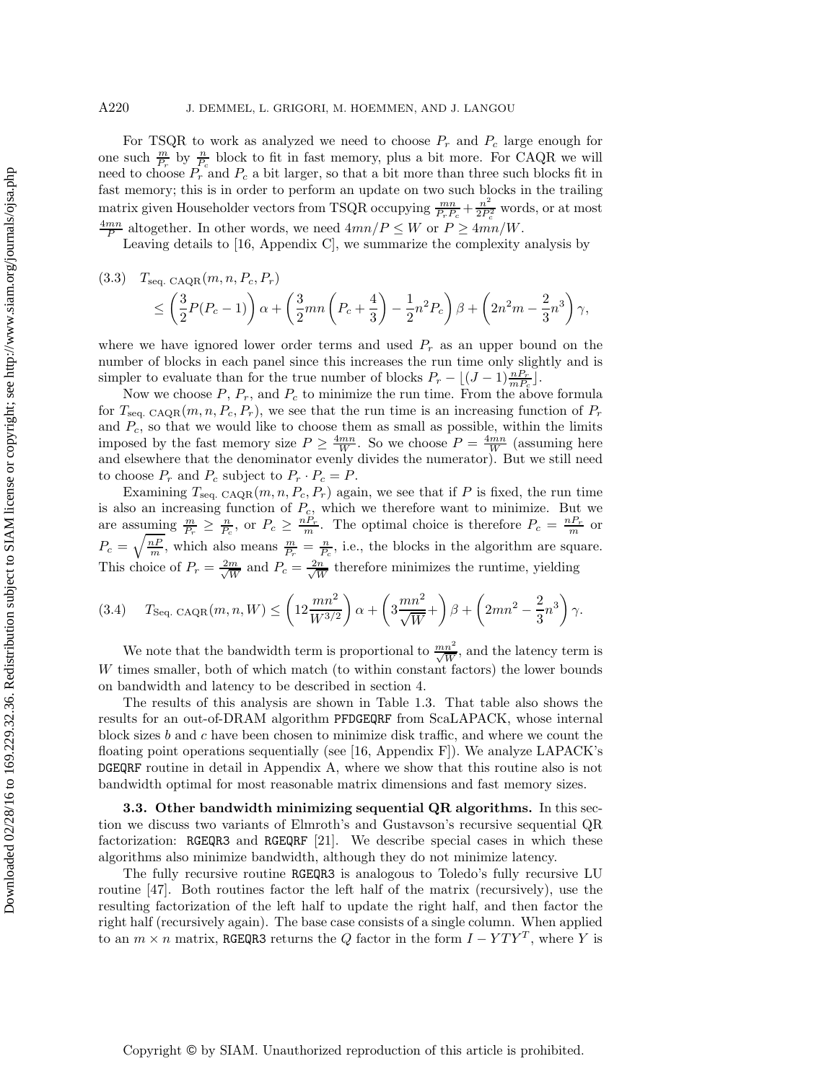## A220 J. DEMMEL, L. GRIGORI, M. HOEMMEN, AND J. LANGOU

For TSQR to work as analyzed we need to choose  $P_r$  and  $P_c$  large enough for one such  $\frac{m}{P_r}$  by  $\frac{n}{P_c}$  block to fit in fast memory, plus a bit more. For CAQR we will need to choose  $P_r$  and  $P_c$  a bit larger, so that a bit more than three such blocks fit in fast memory; this is in order to perform an update on two such blocks in the trailing matrix given Householder vectors from TSQR occupying  $\frac{mn}{P_rP_c} + \frac{n^2}{2P_c^2}$  words, or at most  $\frac{4mn}{P}$  altogether. In other words, we need  $4mn/P \leq W$  or  $P \geq 4mn/W$ .

Leaving details to [16, Appendix C], we summarize the complexity analysis by

(3.3) 
$$
T_{\text{seq. CAQR}}(m, n, P_c, P_r)
$$
  
\n
$$
\leq \left(\frac{3}{2}P(P_c - 1)\right)\alpha + \left(\frac{3}{2}mn\left(P_c + \frac{4}{3}\right) - \frac{1}{2}n^2P_c\right)\beta + \left(2n^2m - \frac{2}{3}n^3\right)\gamma,
$$

where we have ignored lower order terms and used  $P_r$  as an upper bound on the number of blocks in each panel since this increases the run time only slightly and is simpler to evaluate than for the true number of blocks  $P_r - \lfloor (J-1) \frac{nP_r}{mP_c} \rfloor$ .

Now we choose  $P$ ,  $P_r$ , and  $P_c$  to minimize the run time. From the above formula for  $T_{\text{seq. CAQR}(m, n, P_c, P_r)$ , we see that the run time is an increasing function of  $P_r$ and P*c*, so that we would like to choose them as small as possible, within the limits imposed by the fast memory size  $P \ge \frac{4mn}{W}$ . So we choose  $P = \frac{4mn}{W}$  (assuming here and elsewhere that the denominator evenly divides the numerator). But we still need to choose  $P_r$  and  $P_c$  subject to  $P_r \cdot P_c = P$ .

Examining  $T_{\text{seq. CAQR}}(m, n, P_c, P_r)$  again, we see that if P is fixed, the run time is also an increasing function of P*c*, which we therefore want to minimize. But we are assuming  $\frac{m}{P_r} \geq \frac{n}{P_c}$ , or  $P_c \geq \frac{nP_r}{m}$ . The optimal choice is therefore  $P_c = \frac{nP_r}{m}$  or  $P_c = \sqrt{\frac{nP}{m}}$ , which also means  $\frac{m}{P_r} = \frac{n}{P_c}$ , i.e., the blocks in the algorithm are square. This choice of  $P_r = \frac{2m}{\sqrt{W}}$  and  $P_c = \frac{2n}{\sqrt{W}}$  therefore minimizes the runtime, yielding

$$
(3.4) \tTSeq. CAQR(m, n, W) \leq \left(12\frac{mn^2}{W^{3/2}}\right)\alpha + \left(3\frac{mn^2}{\sqrt{W}} + \right)\beta + \left(2mn^2 - \frac{2}{3}n^3\right)\gamma.
$$

We note that the bandwidth term is proportional to  $\frac{mn^2}{\sqrt{W}}$ , and the latency term is W times smaller, both of which match (to within constant factors) the lower bounds on bandwidth and latency to be described in section 4.

The results of this analysis are shown in Table 1.3. That table also shows the results for an out-of-DRAM algorithm PFDGEQRF from ScaLAPACK, whose internal block sizes  $b$  and  $c$  have been chosen to minimize disk traffic, and where we count the floating point operations sequentially (see [16, Appendix F]). We analyze LAPACK's DGEQRF routine in detail in Appendix A, where we show that this routine also is not bandwidth optimal for most reasonable matrix dimensions and fast memory sizes.

**3.3. Other bandwidth minimizing sequential QR algorithms.** In this section we discuss two variants of Elmroth's and Gustavson's recursive sequential QR factorization: RGEQR3 and RGEQRF [21]. We describe special cases in which these algorithms also minimize bandwidth, although they do not minimize latency.

The fully recursive routine RGEQR3 is analogous to Toledo's fully recursive LU routine [47]. Both routines factor the left half of the matrix (recursively), use the resulting factorization of the left half to update the right half, and then factor the right half (recursively again). The base case consists of a single column. When applied to an  $m \times n$  matrix, RGEQR3 returns the Q factor in the form  $I - YTY^T$ , where Y is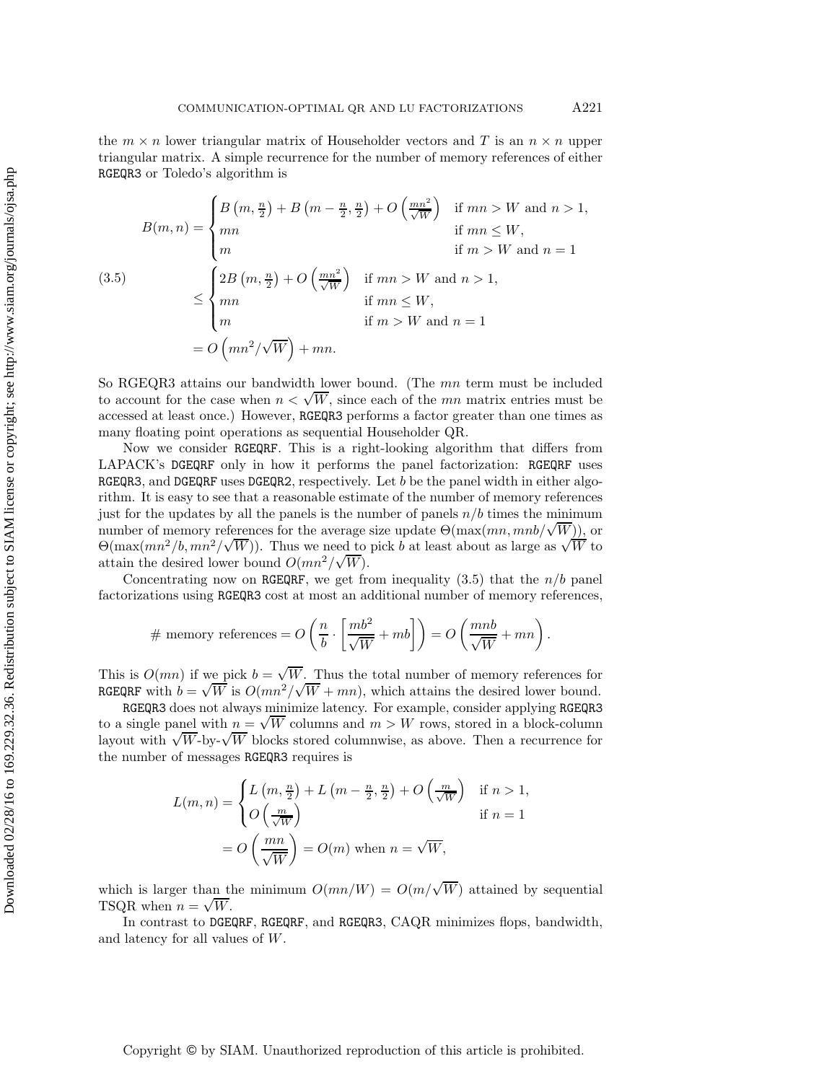the  $m \times n$  lower triangular matrix of Householder vectors and T is an  $n \times n$  upper triangular matrix. A simple recurrence for the number of memory references of either RGEQR3 or Toledo's algorithm is

$$
B(m, n) = \begin{cases} B\left(m, \frac{n}{2}\right) + B\left(m - \frac{n}{2}, \frac{n}{2}\right) + O\left(\frac{mn^2}{\sqrt{W}}\right) & \text{if } mn > W \text{ and } n > 1, \\ mn & \text{if } mn \le W, \\ m & \text{if } m > W \text{ and } n = 1 \end{cases}
$$
  

$$
\leq \begin{cases} 2B\left(m, \frac{n}{2}\right) + O\left(\frac{mn^2}{\sqrt{W}}\right) & \text{if } mn > W \text{ and } n > 1, \\ mn & \text{if } mn \le W, \\ m & \text{if } m > W \text{ and } n = 1 \end{cases}
$$

$$
= O\left(mn^2/\sqrt{W}\right) + mn.
$$

So RGEQR3 attains our bandwidth lower bound. (The mn term must be included to account for the case when  $n < \sqrt{W}$ , since each of the mn matrix entries must be account for the case when  $n < \sqrt{W}$ , since each of the mn matrix entries must be accessed at least once.) However, RGEQR3 performs a factor greater than one times as many floating point operations as sequential Householder QR.

Now we consider RGEQRF. This is a right-looking algorithm that differs from LAPACK's DGEQRF only in how it performs the panel factorization: RGEQRF uses RGEQR3, and DGEQRF uses DGEQR2, respectively. Let b be the panel width in either algorithm. It is easy to see that a reasonable estimate of the number of memory references just for the updates by all the panels is the number of panels  $n/b$  times the minimum number of memory references for the average size update  $\Theta(\max(mn, mnb/\sqrt{W}))$ , or number of memory references for the average size update  $\Theta(\max(mn, mno) \vee W)$ , or  $\Theta(\max(mn^2/b, mn^2/\sqrt{W}))$ . Thus we need to pick b at least about as large as  $\sqrt{W}$  to attain the desired lower bound  $O(mn^2/\sqrt{W})$ .

Concentrating now on RGEQRF, we get from inequality  $(3.5)$  that the  $n/b$  panel factorizations using RGEQR3 cost at most an additional number of memory references,

# memory references = 
$$
O\left(\frac{n}{b} \cdot \left[\frac{mb^2}{\sqrt{W}} + mb\right]\right) = O\left(\frac{mnb}{\sqrt{W}} + mn\right).
$$

This is  $O(mn)$  if we pick  $b = \sqrt{W}$ . Thus the total number of memory references for This is  $O(mn)$  if we pick  $\delta = \sqrt{W}$ . Thus the total number of memory references for RGEQRF with  $b = \sqrt{W}$  is  $O(mn^2/\sqrt{W} + mn)$ , which attains the desired lower bound.

RGEQR3 does not always minimize latency. For example, consider applying RGEQR3 RGEQR3 does not always minimize latency. For example, consider applying RGEQR3 to a single panel with  $n = \sqrt{W}$  columns and  $m > W$  rows, stored in a block-column to a single panel with  $n = \sqrt{W}$  columns and  $m > W$  rows, stored in a block-column<br>layout with  $\sqrt{W}$ -by- $\sqrt{W}$  blocks stored columnwise, as above. Then a recurrence for the number of messages RGEQR3 requires is

$$
L(m, n) = \begin{cases} L\left(m, \frac{n}{2}\right) + L\left(m - \frac{n}{2}, \frac{n}{2}\right) + O\left(\frac{m}{\sqrt{W}}\right) & \text{if } n > 1, \\ O\left(\frac{m}{\sqrt{W}}\right) & \text{if } n = 1 \end{cases}
$$

$$
= O\left(\frac{mn}{\sqrt{W}}\right) = O(m) \text{ when } n = \sqrt{W},
$$

which is larger than the minimum  $O(mn/W) = O(m/\sqrt{W})$  attained by sequential which is larger than the TSQR when  $n = \sqrt{W}$ .

In contrast to DGEQRF, RGEQRF, and RGEQR3, CAQR minimizes flops, bandwidth, and latency for all values of W.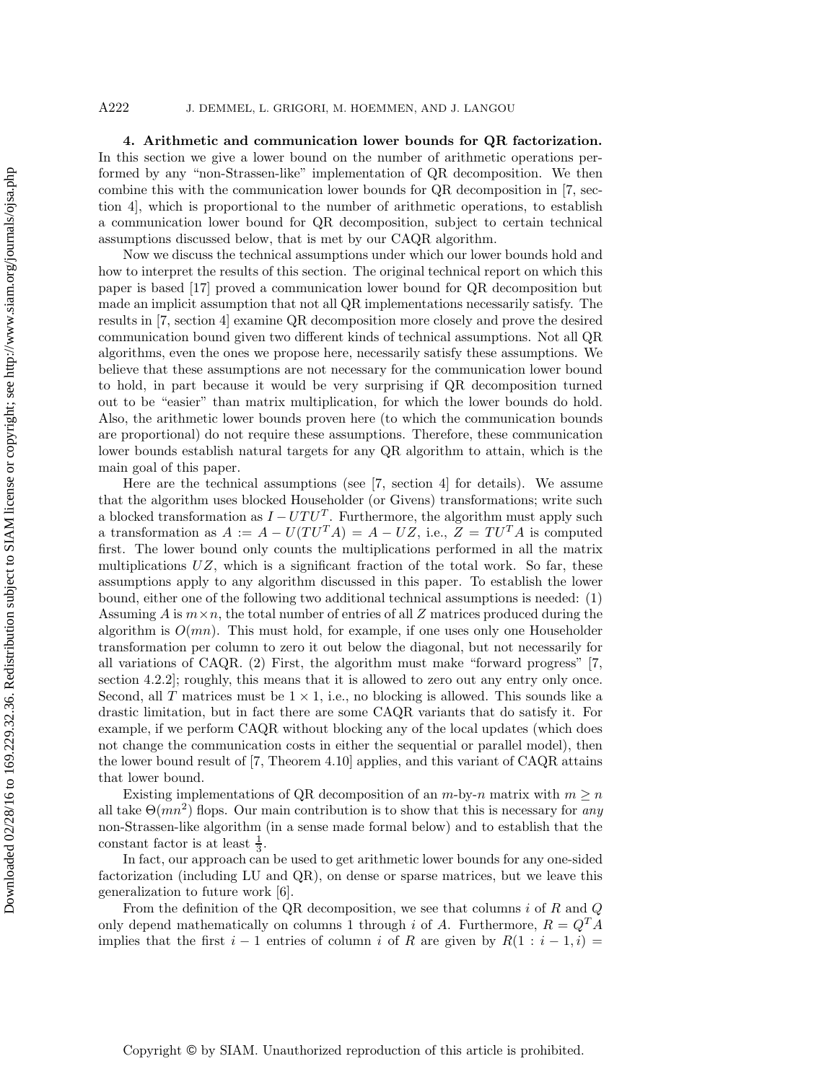**4. Arithmetic and communication lower bounds for QR factorization.** In this section we give a lower bound on the number of arithmetic operations performed by any "non-Strassen-like" implementation of QR decomposition. We then combine this with the communication lower bounds for QR decomposition in [7, section 4], which is proportional to the number of arithmetic operations, to establish a communication lower bound for QR decomposition, subject to certain technical assumptions discussed below, that is met by our CAQR algorithm.

Now we discuss the technical assumptions under which our lower bounds hold and how to interpret the results of this section. The original technical report on which this paper is based [17] proved a communication lower bound for QR decomposition but made an implicit assumption that not all QR implementations necessarily satisfy. The results in [7, section 4] examine QR decomposition more closely and prove the desired communication bound given two different kinds of technical assumptions. Not all QR algorithms, even the ones we propose here, necessarily satisfy these assumptions. We believe that these assumptions are not necessary for the communication lower bound to hold, in part because it would be very surprising if QR decomposition turned out to be "easier" than matrix multiplication, for which the lower bounds do hold. Also, the arithmetic lower bounds proven here (to which the communication bounds are proportional) do not require these assumptions. Therefore, these communication lower bounds establish natural targets for any QR algorithm to attain, which is the main goal of this paper.

Here are the technical assumptions (see [7, section 4] for details). We assume that the algorithm uses blocked Householder (or Givens) transformations; write such a blocked transformation as  $I - UTU<sup>T</sup>$ . Furthermore, the algorithm must apply such a transformation as  $A := A - U(TU^{T}A) = A - UZ$ , i.e.,  $Z = TU^{T}A$  is computed first. The lower bound only counts the multiplications performed in all the matrix multiplications  $UZ$ , which is a significant fraction of the total work. So far, these assumptions apply to any algorithm discussed in this paper. To establish the lower bound, either one of the following two additional technical assumptions is needed: (1) Assuming  $\tilde{A}$  is  $m \times n$ , the total number of entries of all  $Z$  matrices produced during the algorithm is  $O(mn)$ . This must hold, for example, if one uses only one Householder transformation per column to zero it out below the diagonal, but not necessarily for all variations of CAQR. (2) First, the algorithm must make "forward progress" [7, section 4.2.2]; roughly, this means that it is allowed to zero out any entry only once. Second, all T matrices must be  $1 \times 1$ , i.e., no blocking is allowed. This sounds like a drastic limitation, but in fact there are some CAQR variants that do satisfy it. For example, if we perform CAQR without blocking any of the local updates (which does not change the communication costs in either the sequential or parallel model), then the lower bound result of [7, Theorem 4.10] applies, and this variant of CAQR attains that lower bound.

Existing implementations of QR decomposition of an  $m$ -by-n matrix with  $m \geq n$ all take  $\Theta(mn^2)$  flops. Our main contribution is to show that this is necessary for *any* non-Strassen-like algorithm (in a sense made formal below) and to establish that the constant factor is at least  $\frac{1}{3}$ .

In fact, our approach can be used to get arithmetic lower bounds for any one-sided factorization (including LU and QR), on dense or sparse matrices, but we leave this generalization to future work [6].

From the definition of the QR decomposition, we see that columns  $i$  of  $R$  and  $Q$ only depend mathematically on columns 1 through i of A. Furthermore,  $R = Q<sup>T</sup> A$ implies that the first  $i-1$  entries of column i of R are given by  $R(1:i-1,i)$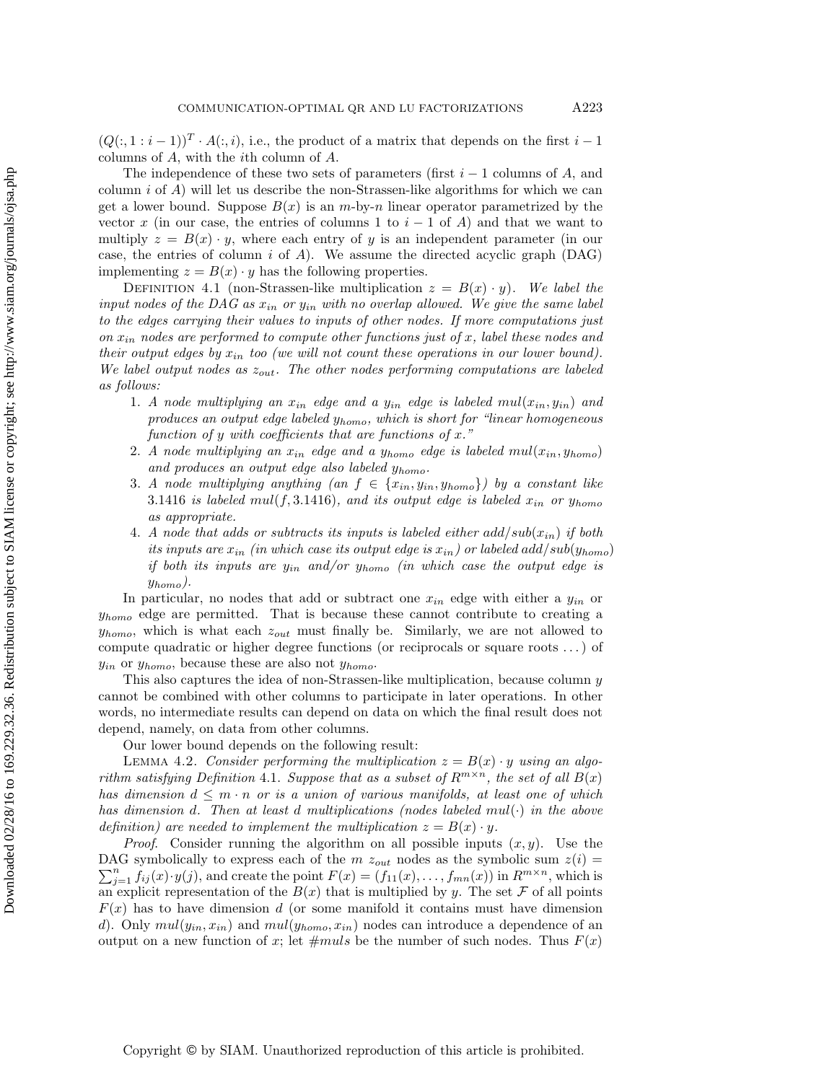$(Q(:, 1:i-1))^T \cdot A(:, i)$ , i.e., the product of a matrix that depends on the first  $i-1$ columns of A, with the ith column of A.

The independence of these two sets of parameters (first  $i-1$  columns of A, and column i of  $\vec{A}$ ) will let us describe the non-Strassen-like algorithms for which we can get a lower bound. Suppose  $B(x)$  is an m-by-n linear operator parametrized by the vector x (in our case, the entries of columns 1 to  $i-1$  of A) and that we want to multiply  $z = B(x) \cdot y$ , where each entry of y is an independent parameter (in our case, the entries of column i of  $A$ ). We assume the directed acyclic graph (DAG) implementing  $z = B(x) \cdot y$  has the following properties.

DEFINITION 4.1 (non-Strassen-like multiplication  $z = B(x) \cdot y$ ). We label the *input nodes of the DAG as* x*in or* y*in with no overlap allowed. We give the same label to the edges carrying their values to inputs of other nodes. If more computations just on* x*in nodes are performed to compute other functions just of* x*, label these nodes and their output edges by*  $x_{in}$  *too (we will not count these operations in our lower bound). We label output nodes as* z*out. The other nodes performing computations are labeled as follows:*

- 1. *A node multiplying an*  $x_{in}$  *edge and a*  $y_{in}$  *edge is labeled*  $mul(x_{in}, y_{in})$  *and produces an output edge labeled* y*homo, which is short for "linear homogeneous function of* y *with coefficients that are functions of* x*."*
- 2. *A* node multiplying an  $x_{in}$  *edge and a*  $y_{homo}$  *edge is labeled*  $mul(x_{in}, y_{homo})$ *and produces an output edge also labeled* y*homo.*
- 3. *A node multiplying anything*  $(an \ f \in \{x_{in}, y_{in}, y_{homo}\})$  *by a constant like* 3.1416 *is labeled*  $mul(f, 3.1416)$ *, and its output edge is labeled*  $x_{in}$  *or*  $y_{homo}$ *as appropriate.*
- 4. *A node that adds or subtracts its inputs is labeled either*  $add/sub(x_{in})$  *if both its inputs are*  $x_{in}$  *(in which case its output edge is*  $x_{in}$ *) or labeled add/sub(y<sub>homo</sub>) if both its inputs are* y*in and/or* y*homo (in which case the output edge is* y*homo).*

In particular, no nodes that add or subtract one x*in* edge with either a y*in* or y*homo* edge are permitted. That is because these cannot contribute to creating a y*homo*, which is what each z*out* must finally be. Similarly, we are not allowed to compute quadratic or higher degree functions (or reciprocals or square roots ...) of y*in* or y*homo*, because these are also not y*homo*.

This also captures the idea of non-Strassen-like multiplication, because column y cannot be combined with other columns to participate in later operations. In other words, no intermediate results can depend on data on which the final result does not depend, namely, on data from other columns.

Our lower bound depends on the following result:

Downloaded 02/28/16 to 169.229.32.36. Redistribution subject to SIAM license or copyright; see http://www.siam.org/journals/ojsa.php Downloaded 02/28/16 to 169.229.32.36. Redistribution subject to SIAM license or copyright; see http://www.siam.org/journals/ojsa.php

LEMMA 4.2. *Consider performing the multiplication*  $z = B(x) \cdot y$  *using an algorithm satisfying Definition* 4.1. *Suppose that as a subset of*  $R^{m \times n}$ *, the set of all*  $B(x)$ *has dimension*  $d \leq m \cdot n$  *or is a union of various manifolds, at least one of which has dimension* d*. Then at least* d *multiplications (nodes labeled* mul(·) *in the above definition)* are needed to implement the multiplication  $z = B(x) \cdot y$ .

*Proof.* Consider running the algorithm on all possible inputs  $(x, y)$ . Use the  $\sum_{j=1}^{n} f_{ij}(x) \cdot y(j)$ , and create the point  $F(x) = (f_{11}(x), \ldots, f_{mn}(x))$  in  $R^{m \times n}$ , which is DAG symbolically to express each of the  $m z_{out}$  nodes as the symbolic sum  $z(i)$ an explicit representation of the  $B(x)$  that is multiplied by y. The set F of all points  $F(x)$  has to have dimension d (or some manifold it contains must have dimension d). Only  $mul(y_{in}, x_{in})$  and  $mul(y_{homo}, x_{in})$  nodes can introduce a dependence of an output on a new function of x; let  $\#muls$  be the number of such nodes. Thus  $F(x)$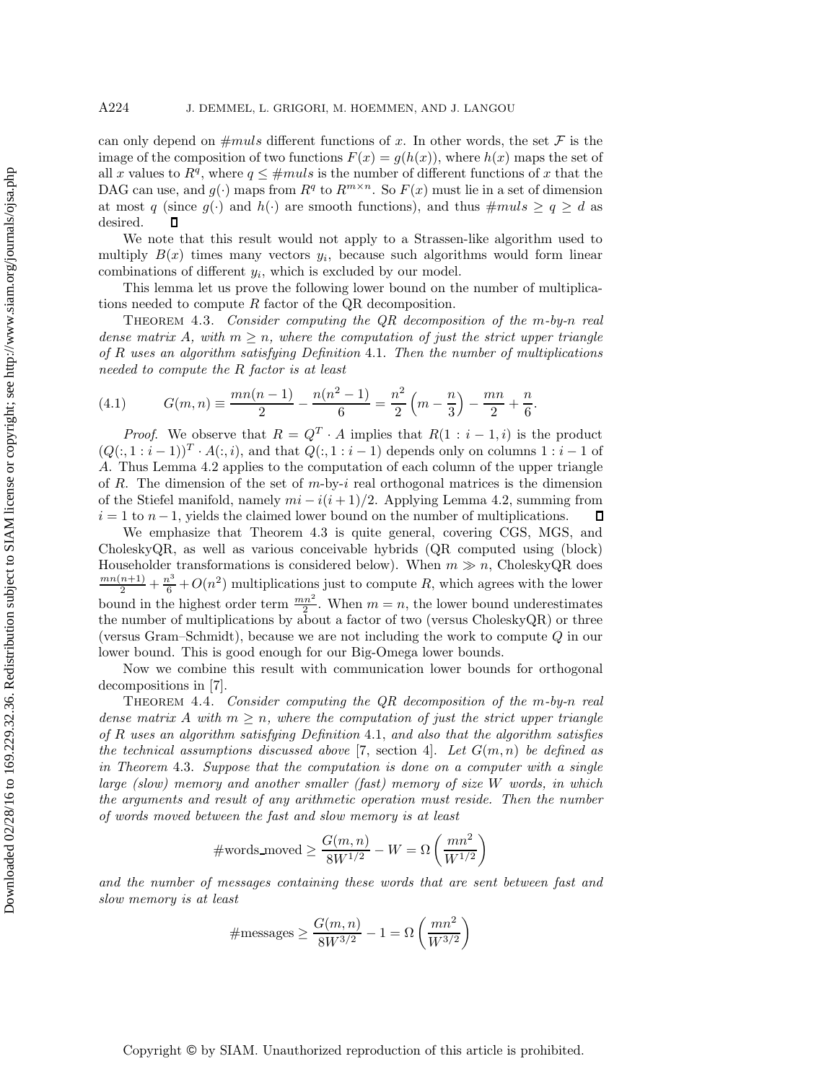can only depend on  $\#muls$  different functions of x. In other words, the set F is the image of the composition of two functions  $F(x) = g(h(x))$ , where  $h(x)$  maps the set of all x values to  $R^q$ , where  $q \leq \text{\#muls}$  is the number of different functions of x that the DAG can use, and  $g(\cdot)$  maps from  $R^q$  to  $R^{m \times n}$ . So  $F(x)$  must lie in a set of dimension at most q (since  $g(\cdot)$  and  $h(\cdot)$  are smooth functions), and thus  $\#muls \ge q \ge d$  as desired.  $\mathbf \Pi$ 

We note that this result would not apply to a Strassen-like algorithm used to multiply  $B(x)$  times many vectors  $y_i$ , because such algorithms would form linear combinations of different y*i*, which is excluded by our model.

This lemma let us prove the following lower bound on the number of multiplications needed to compute  $R$  factor of the QR decomposition.

Theorem 4.3. *Consider computing the QR decomposition of the* m*-by-*n *real dense matrix* A, with  $m \geq n$ , where the computation of just the strict upper triangle *of* R *uses an algorithm satisfying Definition* 4.1. *Then the number of multiplications needed to compute the* R *factor is at least*

.

(4.1) 
$$
G(m,n) \equiv \frac{mn(n-1)}{2} - \frac{n(n^2-1)}{6} = \frac{n^2}{2} \left( m - \frac{n}{3} \right) - \frac{mn}{2} + \frac{n}{6}
$$

*Proof.* We observe that  $R = Q^T \cdot A$  implies that  $R(1 : i - 1, i)$  is the product  $(Q(:, 1:i-1))^T \cdot A(:, i)$ , and that  $Q(:, 1:i-1)$  depends only on columns  $1:i-1$  of A. Thus Lemma 4.2 applies to the computation of each column of the upper triangle of R. The dimension of the set of  $m$ -by-i real orthogonal matrices is the dimension of the Stiefel manifold, namely  $mi - i(i + 1)/2$ . Applying Lemma 4.2, summing from  $i = 1$  to  $n-1$ , yields the claimed lower bound on the number of multiplications.  $\Box$ 

We emphasize that Theorem 4.3 is quite general, covering CGS, MGS, and CholeskyQR, as well as various conceivable hybrids (QR computed using (block) Householder transformations is considered below). When  $m \gg n$ , CholeskyQR does  $\frac{mn(n+1)}{2} + \frac{n^3}{6} + O(n^2)$  multiplications just to compute R, which agrees with the lower bound in the highest order term  $\frac{mn^2}{2}$ . When  $m = n$ , the lower bound underestimates the number of multiplications by about a factor of two (versus CholeskyQR) or three (versus Gram–Schmidt), because we are not including the work to compute Q in our lower bound. This is good enough for our Big-Omega lower bounds.

Now we combine this result with communication lower bounds for orthogonal decompositions in [7].

Theorem 4.4. *Consider computing the QR decomposition of the* m*-by-*n *real dense matrix* A *with*  $m \geq n$ *, where the computation of just the strict upper triangle of* R *uses an algorithm satisfying Definition* 4.1, *and also that the algorithm satisfies the technical assumptions discussed above* [7, section 4]. Let  $G(m, n)$  be defined as *in Theorem* 4.3. *Suppose that the computation is done on a computer with a single large (slow) memory and another smaller (fast) memory of size* W *words, in which the arguments and result of any arithmetic operation must reside. Then the number of words moved between the fast and slow memory is at least*

$$
\# \text{words\_move} \geq \frac{G(m,n)}{8W^{1/2}} - W = \Omega\left(\frac{mn^2}{W^{1/2}}\right)
$$

*and the number of messages containing these words that are sent between fast and slow memory is at least*

$$
\# \text{messages} \ge \frac{G(m,n)}{8W^{3/2}} - 1 = \Omega\left(\frac{mn^2}{W^{3/2}}\right)
$$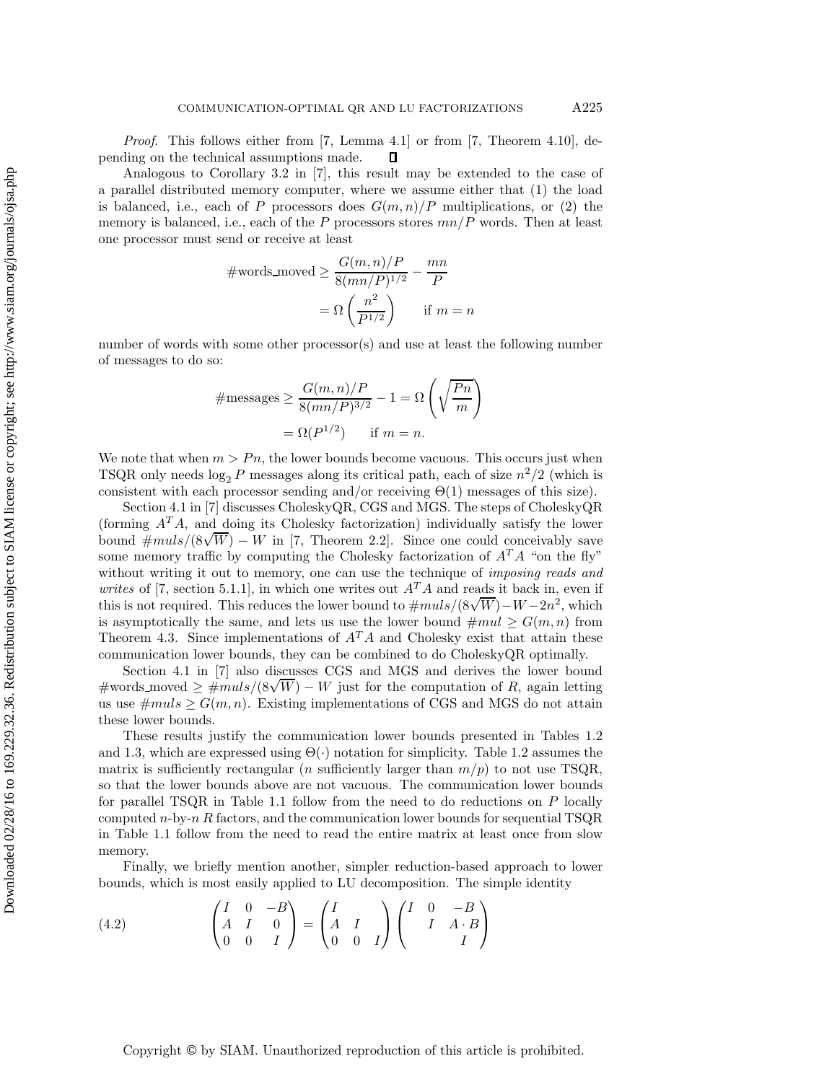*Proof*. This follows either from [7, Lemma 4.1] or from [7, Theorem 4.10], depending on the technical assumptions made. П

Analogous to Corollary 3.2 in [7], this result may be extended to the case of a parallel distributed memory computer, where we assume either that (1) the load is balanced, i.e., each of P processors does  $G(m, n)/P$  multiplications, or (2) the memory is balanced, i.e., each of the P processors stores  $mn/P$  words. Then at least one processor must send or receive at least

#words moved 
$$
\ge \frac{G(m, n)/P}{8(mn/P)^{1/2}} - \frac{mn}{P}
$$
  
=  $\Omega \left(\frac{n^2}{P^{1/2}}\right)$  if  $m = n$ 

number of words with some other processor(s) and use at least the following number of messages to do so:

$$
\# \text{messages} \ge \frac{G(m, n)/P}{8(mn/P)^{3/2}} - 1 = \Omega\left(\sqrt{\frac{Pn}{m}}\right)
$$

$$
= \Omega(P^{1/2}) \quad \text{if } m = n.
$$

We note that when  $m > P_n$ , the lower bounds become vacuous. This occurs just when TSQR only needs  $\log_2 P$  messages along its critical path, each of size  $n^2/2$  (which is consistent with each processor sending and/or receiving  $\Theta(1)$  messages of this size).

Section 4.1 in [7] discusses CholeskyQR, CGS and MGS. The steps of CholeskyQR (forming A*<sup>T</sup>* A, and doing its Cholesky factorization) individually satisfy the lower (forming  $A^2 A$ , and doing its Choiesky factorization) individually satisfy the lower<br>bound  $\#muls/(8\sqrt{W}) - W$  in [7, Theorem 2.2]. Since one could conceivably save some memory traffic by computing the Cholesky factorization of  $A<sup>T</sup>A$  "on the fly" without writing it out to memory, one can use the technique of *imposing reads and writes* of [7, section 5.1.1], in which one writes out  $A<sup>T</sup>A$  and reads it back in, even if writes of [*i*, section 5.1.1], in which one writes out  $A^2 A$  and reads it back in, even if this is not required. This reduces the lower bound to  $\#muls/(8\sqrt{W})-W-2n^2$ , which is asymptotically the same, and lets us use the lower bound  $\#mul \geq G(m, n)$  from Theorem 4.3. Since implementations of  $A<sup>T</sup>A$  and Cholesky exist that attain these communication lower bounds, they can be combined to do CholeskyQR optimally.

Section 4.1 in [7] also discusses CGS and MGS and derives the lower bound bection 4.1 in [t] also discusses  $C$ GS and MGS and derives the lower bound  $\#$ words moved  $\geq \#muls/(8\sqrt{W}) - W$  just for the computation of R, again letting us use  $\#muls \geq G(m, n)$ . Existing implementations of CGS and MGS do not attain these lower bounds.

These results justify the communication lower bounds presented in Tables 1.2 and 1.3, which are expressed using  $\Theta(\cdot)$  notation for simplicity. Table 1.2 assumes the matrix is sufficiently rectangular (*n* sufficiently larger than  $m/p$ ) to not use TSQR, so that the lower bounds above are not vacuous. The communication lower bounds for parallel TSQR in Table 1.1 follow from the need to do reductions on  $P$  locally computed  $n$ -by- $n R$  factors, and the communication lower bounds for sequential TSQR in Table 1.1 follow from the need to read the entire matrix at least once from slow memory.

Finally, we briefly mention another, simpler reduction-based approach to lower bounds, which is most easily applied to LU decomposition. The simple identity

(4.2) 
$$
\begin{pmatrix} I & 0 & -B \ A & I & 0 \ 0 & 0 & I \end{pmatrix} = \begin{pmatrix} I & 0 & -B \ A & I & 0 \ 0 & 0 & I \end{pmatrix} \begin{pmatrix} I & 0 & -B \ & I & A \cdot B \ & & I \end{pmatrix}
$$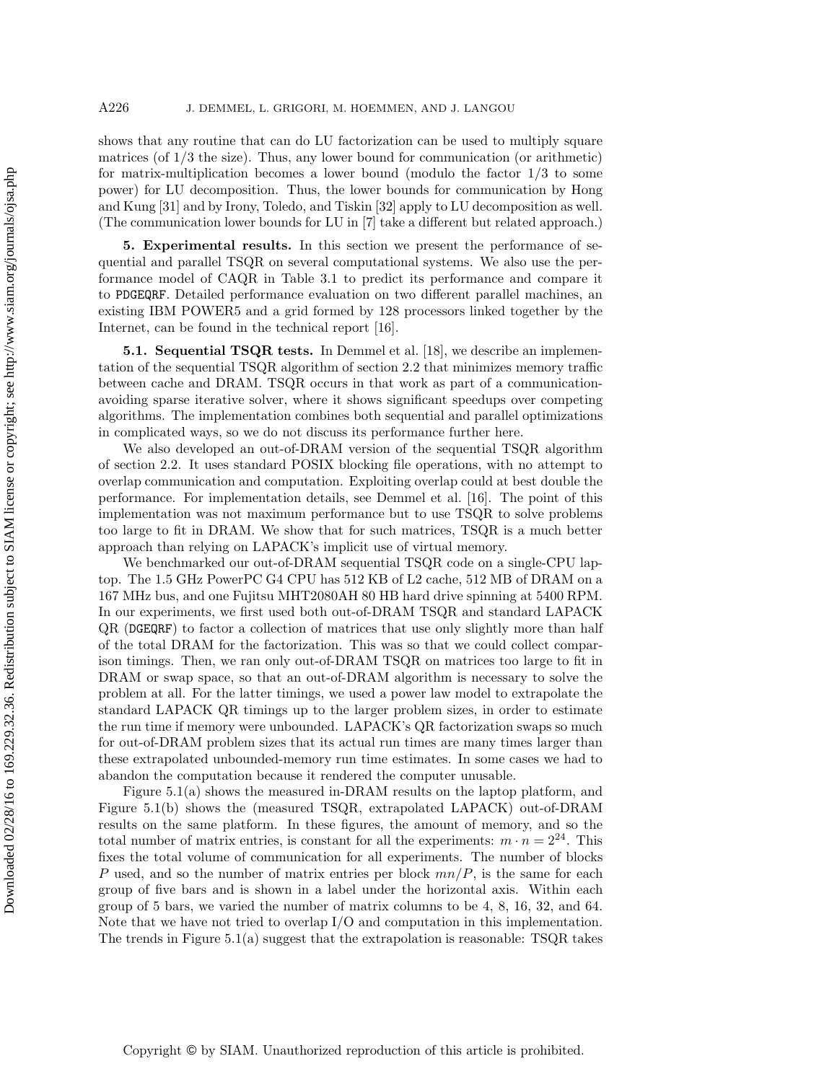shows that any routine that can do LU factorization can be used to multiply square matrices (of  $1/3$  the size). Thus, any lower bound for communication (or arithmetic) for matrix-multiplication becomes a lower bound (modulo the factor 1/3 to some power) for LU decomposition. Thus, the lower bounds for communication by Hong and Kung [31] and by Irony, Toledo, and Tiskin [32] apply to LU decomposition as well. (The communication lower bounds for LU in [7] take a different but related approach.)

**5. Experimental results.** In this section we present the performance of sequential and parallel TSQR on several computational systems. We also use the performance model of CAQR in Table 3.1 to predict its performance and compare it to PDGEQRF. Detailed performance evaluation on two different parallel machines, an existing IBM POWER5 and a grid formed by 128 processors linked together by the Internet, can be found in the technical report [16].

**5.1. Sequential TSQR tests.** In Demmel et al. [18], we describe an implementation of the sequential TSQR algorithm of section 2.2 that minimizes memory traffic between cache and DRAM. TSQR occurs in that work as part of a communicationavoiding sparse iterative solver, where it shows significant speedups over competing algorithms. The implementation combines both sequential and parallel optimizations in complicated ways, so we do not discuss its performance further here.

We also developed an out-of-DRAM version of the sequential TSQR algorithm of section 2.2. It uses standard POSIX blocking file operations, with no attempt to overlap communication and computation. Exploiting overlap could at best double the performance. For implementation details, see Demmel et al. [16]. The point of this implementation was not maximum performance but to use TSQR to solve problems too large to fit in DRAM. We show that for such matrices, TSQR is a much better approach than relying on LAPACK's implicit use of virtual memory.

We benchmarked our out-of-DRAM sequential TSQR code on a single-CPU laptop. The 1.5 GHz PowerPC G4 CPU has 512 KB of L2 cache, 512 MB of DRAM on a 167 MHz bus, and one Fujitsu MHT2080AH 80 HB hard drive spinning at 5400 RPM. In our experiments, we first used both out-of-DRAM TSQR and standard LAPACK QR (DGEQRF) to factor a collection of matrices that use only slightly more than half of the total DRAM for the factorization. This was so that we could collect comparison timings. Then, we ran only out-of-DRAM TSQR on matrices too large to fit in DRAM or swap space, so that an out-of-DRAM algorithm is necessary to solve the problem at all. For the latter timings, we used a power law model to extrapolate the standard LAPACK QR timings up to the larger problem sizes, in order to estimate the run time if memory were unbounded. LAPACK's QR factorization swaps so much for out-of-DRAM problem sizes that its actual run times are many times larger than these extrapolated unbounded-memory run time estimates. In some cases we had to abandon the computation because it rendered the computer unusable.

Figure  $5.1(a)$  shows the measured in-DRAM results on the laptop platform, and Figure 5.1(b) shows the (measured TSQR, extrapolated LAPACK) out-of-DRAM results on the same platform. In these figures, the amount of memory, and so the total number of matrix entries, is constant for all the experiments:  $m \cdot n = 2^{24}$ . This fixes the total volume of communication for all experiments. The number of blocks P used, and so the number of matrix entries per block  $mn/P$ , is the same for each group of five bars and is shown in a label under the horizontal axis. Within each group of 5 bars, we varied the number of matrix columns to be 4, 8, 16, 32, and 64. Note that we have not tried to overlap I/O and computation in this implementation. The trends in Figure 5.1(a) suggest that the extrapolation is reasonable: TSQR takes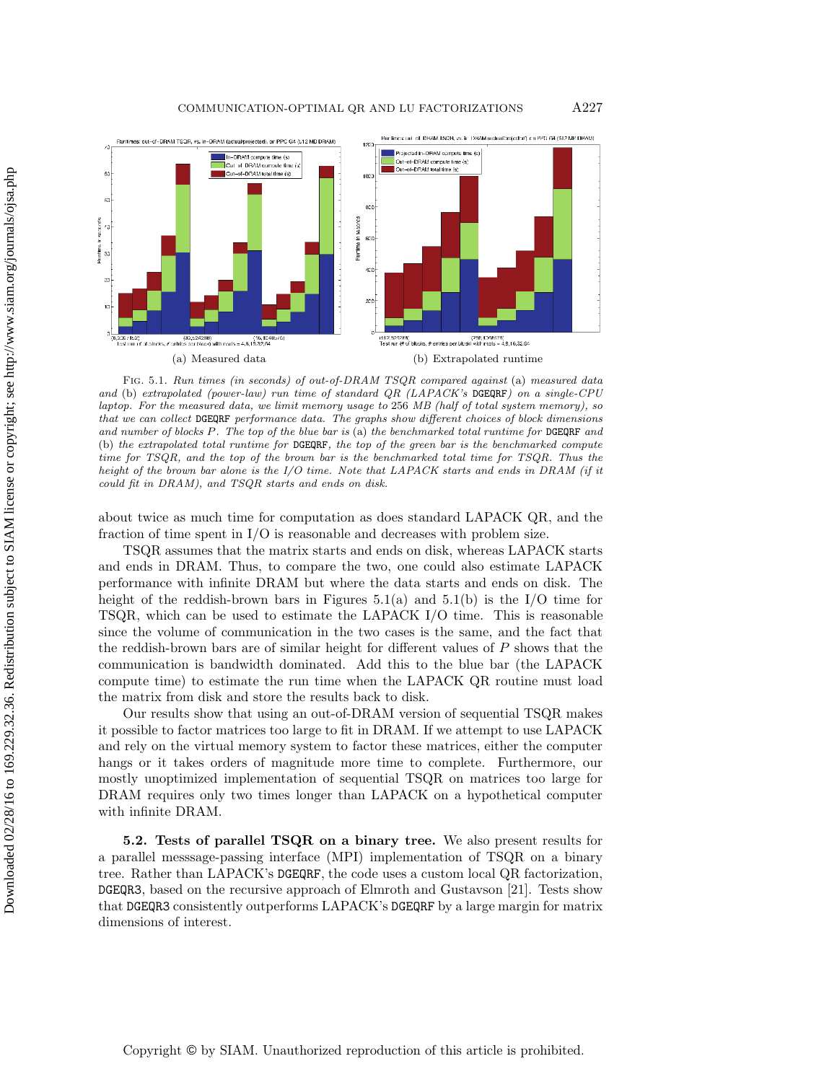

Fig. 5.1. Run times (in seconds) of out-of-DRAM TSQR compared against (a) measured data and (b) extrapolated (power-law) run time of standard QR (LAPACK's DGEQRF) on a single-CPU laptop. For the measured data, we limit memory usage to 256 MB (half of total system memory), so that we can collect DGEQRF performance data. The graphs show different choices of block dimensions and number of blocks *P*. The top of the blue bar is (a) the benchmarked total runtime for DGEQRF and (b) the extrapolated total runtime for DGEQRF, the top of the green bar is the benchmarked compute time for TSQR, and the top of the brown bar is the benchmarked total time for TSQR. Thus the height of the brown bar alone is the I/O time. Note that LAPACK starts and ends in DRAM (if it could fit in DRAM), and TSQR starts and ends on disk.

about twice as much time for computation as does standard LAPACK QR, and the fraction of time spent in I/O is reasonable and decreases with problem size.

TSQR assumes that the matrix starts and ends on disk, whereas LAPACK starts and ends in DRAM. Thus, to compare the two, one could also estimate LAPACK performance with infinite DRAM but where the data starts and ends on disk. The height of the reddish-brown bars in Figures  $5.1(a)$  and  $5.1(b)$  is the I/O time for TSQR, which can be used to estimate the LAPACK I/O time. This is reasonable since the volume of communication in the two cases is the same, and the fact that the reddish-brown bars are of similar height for different values of P shows that the communication is bandwidth dominated. Add this to the blue bar (the LAPACK compute time) to estimate the run time when the LAPACK QR routine must load the matrix from disk and store the results back to disk.

Our results show that using an out-of-DRAM version of sequential TSQR makes it possible to factor matrices too large to fit in DRAM. If we attempt to use LAPACK and rely on the virtual memory system to factor these matrices, either the computer hangs or it takes orders of magnitude more time to complete. Furthermore, our mostly unoptimized implementation of sequential TSQR on matrices too large for DRAM requires only two times longer than LAPACK on a hypothetical computer with infinite DRAM.

**5.2. Tests of parallel TSQR on a binary tree.** We also present results for a parallel messsage-passing interface (MPI) implementation of TSQR on a binary tree. Rather than LAPACK's DGEQRF, the code uses a custom local QR factorization, DGEQR3, based on the recursive approach of Elmroth and Gustavson [21]. Tests show that DGEQR3 consistently outperforms LAPACK's DGEQRF by a large margin for matrix dimensions of interest.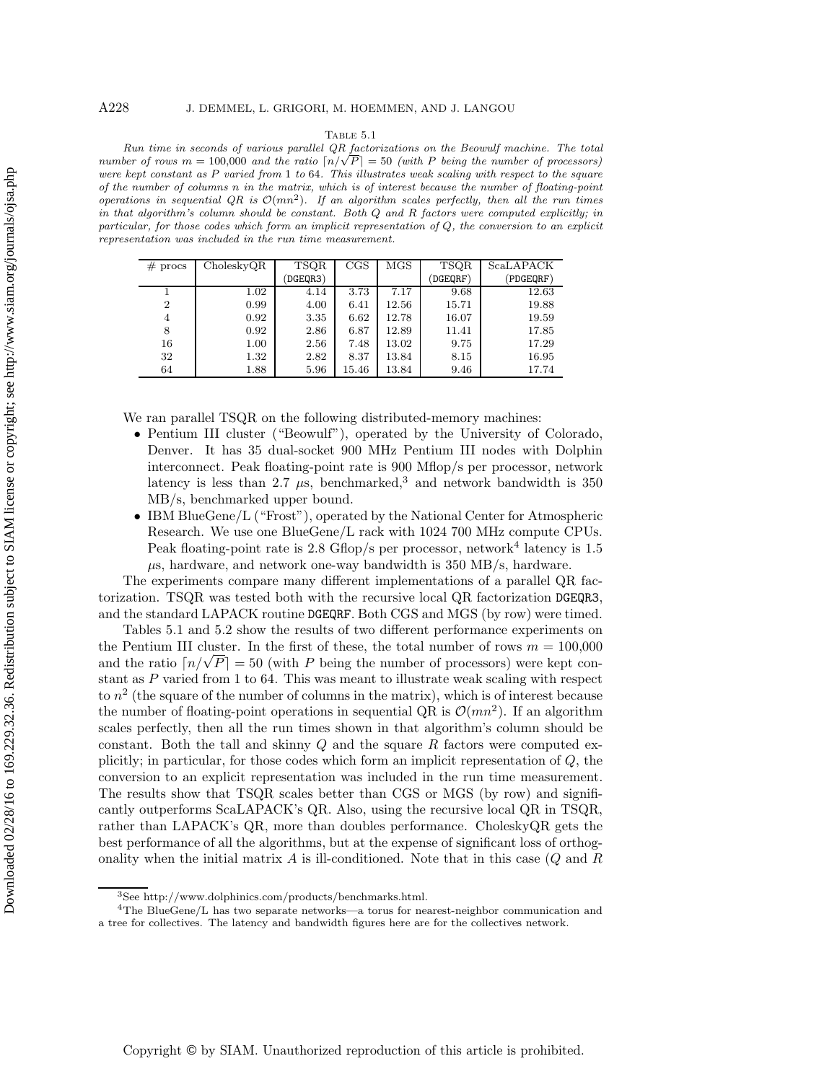### Table 5.1

Run time in seconds of various parallel QR factorizations on the Beowulf machine. The total number of rows  $m = 100,000$  and the ratio  $\lceil n/\sqrt{P} \rceil = 50$  (with P being the number of processors) were kept constant as P varied from 1 to 64. This illustrates weak scaling with respect to the square of the number of columns *n* in the matrix, which is of interest because the number of floating-point operations in sequential  $QR$  is  $\mathcal{O}(mn^2)$ . If an algorithm scales perfectly, then all the run times in that algorithm's column should be constant. Both *Q* and *R* factors were computed explicitly; in particular, for those codes which form an implicit representation of *Q*, the conversion to an explicit representation was included in the run time measurement.

| $#$ procs      | CholeskyQR | <b>TSQR</b> | $_{\rm CGS}$ | MGS   | TSQR                    | <b>ScaLAPACK</b> |
|----------------|------------|-------------|--------------|-------|-------------------------|------------------|
|                |            | DGEQR3)     |              |       | $\overline{\rm DGEQRF}$ | (PDGEQRF)        |
|                | 1.02       | 4.14        | 3.73         | 7.17  | 9.68                    | 12.63            |
| $\overline{2}$ | 0.99       | 4.00        | 6.41         | 12.56 | 15.71                   | 19.88            |
| 4              | 0.92       | 3.35        | 6.62         | 12.78 | 16.07                   | 19.59            |
| 8              | 0.92       | 2.86        | 6.87         | 12.89 | 11.41                   | 17.85            |
| 16             | 1.00       | 2.56        | 7.48         | 13.02 | 9.75                    | 17.29            |
| 32             | 1.32       | 2.82        | 8.37         | 13.84 | 8.15                    | 16.95            |
| 64             | 1.88       | 5.96        | 15.46        | 13.84 | 9.46                    | 17.74            |

We ran parallel TSQR on the following distributed-memory machines:

- Pentium III cluster ("Beowulf"), operated by the University of Colorado, Denver. It has 35 dual-socket 900 MHz Pentium III nodes with Dolphin interconnect. Peak floating-point rate is 900 Mflop/s per processor, network latency is less than 2.7  $\mu$ s, benchmarked,<sup>3</sup> and network bandwidth is 350 MB/s, benchmarked upper bound.
- IBM BlueGene/L ("Frost"), operated by the National Center for Atmospheric Research. We use one BlueGene/L rack with 1024 700 MHz compute CPUs. Peak floating-point rate is 2.8 Gflop/s per processor, network<sup>4</sup> latency is 1.5  $\mu$ s, hardware, and network one-way bandwidth is 350 MB/s, hardware.

The experiments compare many different implementations of a parallel QR factorization. TSQR was tested both with the recursive local QR factorization DGEQR3, and the standard LAPACK routine DGEQRF. Both CGS and MGS (by row) were timed.

Tables 5.1 and 5.2 show the results of two different performance experiments on the Pentium III cluster. In the first of these, the total number of rows  $m = 100,000$ the Pentium III cluster. In the first of these, the total number of rows  $m = 100,000$ <br>and the ratio  $\lceil n/\sqrt{P} \rceil = 50$  (with P being the number of processors) were kept constant as P varied from 1 to 64. This was meant to illustrate weak scaling with respect to  $n^2$  (the square of the number of columns in the matrix), which is of interest because the number of floating-point operations in sequential QR is  $\mathcal{O}(mn^2)$ . If an algorithm scales perfectly, then all the run times shown in that algorithm's column should be constant. Both the tall and skinny  $Q$  and the square  $R$  factors were computed explicitly; in particular, for those codes which form an implicit representation of Q, the conversion to an explicit representation was included in the run time measurement. The results show that TSQR scales better than CGS or MGS (by row) and significantly outperforms ScaLAPACK's QR. Also, using the recursive local QR in TSQR, rather than LAPACK's QR, more than doubles performance. CholeskyQR gets the best performance of all the algorithms, but at the expense of significant loss of orthogonality when the initial matrix  $A$  is ill-conditioned. Note that in this case  $(Q \text{ and } R)$ 

<sup>3</sup>See http://www.dolphinics.com/products/benchmarks.html.

 $4$ The BlueGene/L has two separate networks—a torus for nearest-neighbor communication and a tree for collectives. The latency and bandwidth figures here are for the collectives network.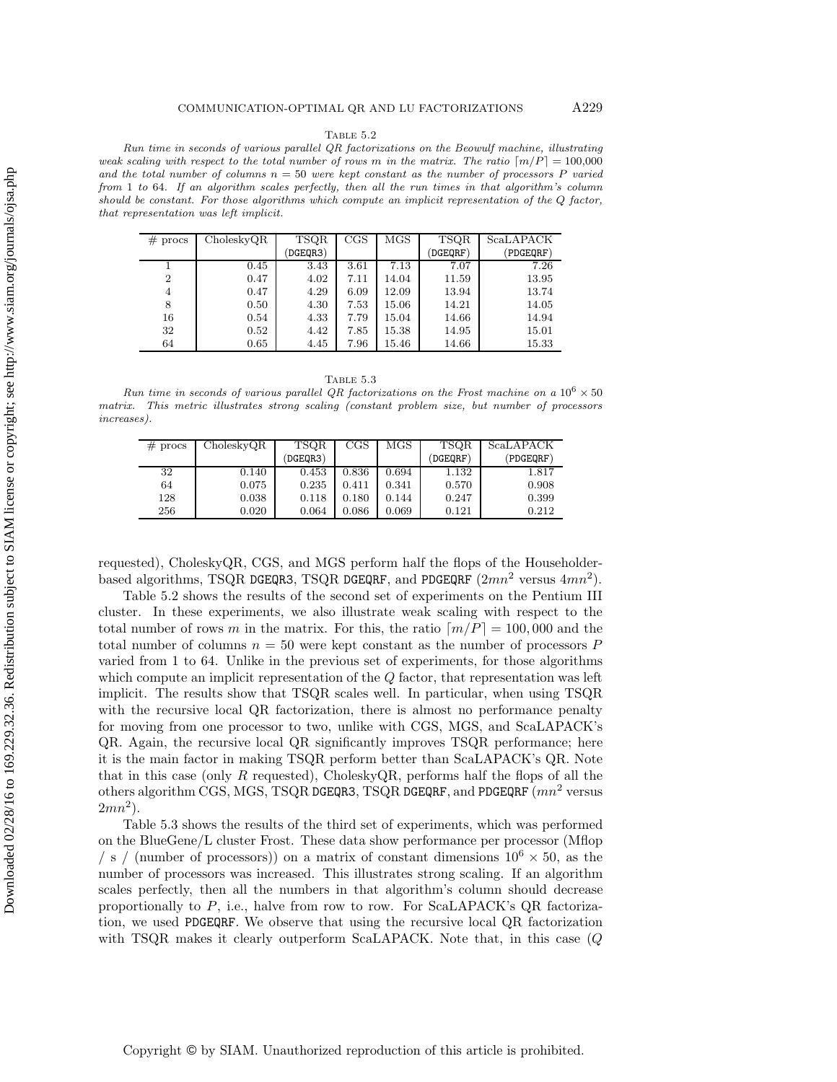#### Table 5.2

Run time in seconds of various parallel QR factorizations on the Beowulf machine, illustrating weak scaling with respect to the total number of rows *m* in the matrix. The ratio  $\lfloor m/P \rfloor = 100,000$ and the total number of columns  $n = 50$  were kept constant as the number of processors  $P$  varied from 1 to 64. If an algorithm scales perfectly, then all the run times in that algorithm's column should be constant. For those algorithms which compute an implicit representation of the *Q* factor, that representation was left implicit.

| #<br>procs     | CholeskyQR | TSQR    | CGS  | <b>MGS</b> | <b>TSQR</b> | <b>ScaLAPACK</b> |
|----------------|------------|---------|------|------------|-------------|------------------|
|                |            | DGEQR3) |      |            | (DGEQRF)    | (PDGEQRF)        |
|                | 0.45       | 3.43    | 3.61 | 7.13       | 7.07        | 7.26             |
| $\overline{2}$ | 0.47       | 4.02    | 7.11 | 14.04      | 11.59       | 13.95            |
| 4              | 0.47       | 4.29    | 6.09 | 12.09      | 13.94       | 13.74            |
| 8              | 0.50       | 4.30    | 7.53 | 15.06      | 14.21       | 14.05            |
| 16             | 0.54       | 4.33    | 7.79 | 15.04      | 14.66       | 14.94            |
| 32             | 0.52       | 4.42    | 7.85 | 15.38      | 14.95       | 15.01            |
| 64             | 0.65       | 4.45    | 7.96 | 15.46      | 14.66       | 15.33            |

Table 5.3

Run time in seconds of various parallel QR factorizations on the Frost machine on a  $10^6 \times 50$ matrix. This metric illustrates strong scaling (constant problem size, but number of processors increases).

| $#$ procs | CholeskyQR | TSQR     | $_{\rm CGS}$ | MGS   | <b>TSQR</b> | ScaLAPACK |
|-----------|------------|----------|--------------|-------|-------------|-----------|
|           |            | (DGEOR3) |              |       | (DGEORF)    | (PDGEORF) |
| 32        | 0.140      | 0.453    | 0.836        | 0.694 | 1.132       | 1.817     |
| 64        | 0.075      | 0.235    | 0.411        | 0.341 | 0.570       | 0.908     |
| 128       | 0.038      | 0.118    | 0.180        | 0.144 | 0.247       | 0.399     |
| 256       | 0.020      | 0.064    | 0.086        | 0.069 | 0.121       | 0.212     |

requested), CholeskyQR, CGS, and MGS perform half the flops of the Householderbased algorithms, TSQR DGEQR3, TSQR DGEQRF, and PDGEQRF  $(2mn^2 \text{ versus } 4mn^2)$ .

Table 5.2 shows the results of the second set of experiments on the Pentium III cluster. In these experiments, we also illustrate weak scaling with respect to the total number of rows m in the matrix. For this, the ratio  $\lceil m/P \rceil = 100,000$  and the total number of columns  $n = 50$  were kept constant as the number of processors P varied from 1 to 64. Unlike in the previous set of experiments, for those algorithms which compute an implicit representation of the Q factor, that representation was left implicit. The results show that TSQR scales well. In particular, when using TSQR with the recursive local QR factorization, there is almost no performance penalty for moving from one processor to two, unlike with CGS, MGS, and ScaLAPACK's QR. Again, the recursive local QR significantly improves TSQR performance; here it is the main factor in making TSQR perform better than ScaLAPACK's QR. Note that in this case (only R requested), CholeskyQR, performs half the flops of all the others algorithm CGS, MGS, TSQR DGEQR3, TSQR DGEQRF, and PDGEQRF  $(mn^2$  versus  $2mn^2$ ).

Table 5.3 shows the results of the third set of experiments, which was performed on the BlueGene/L cluster Frost. These data show performance per processor (Mflop / s / (number of processors)) on a matrix of constant dimensions  $10^6 \times 50$ , as the number of processors was increased. This illustrates strong scaling. If an algorithm scales perfectly, then all the numbers in that algorithm's column should decrease proportionally to  $P$ , i.e., halve from row to row. For ScaLAPACK's QR factorization, we used PDGEQRF. We observe that using the recursive local QR factorization with TSQR makes it clearly outperform ScaLAPACK. Note that, in this case (Q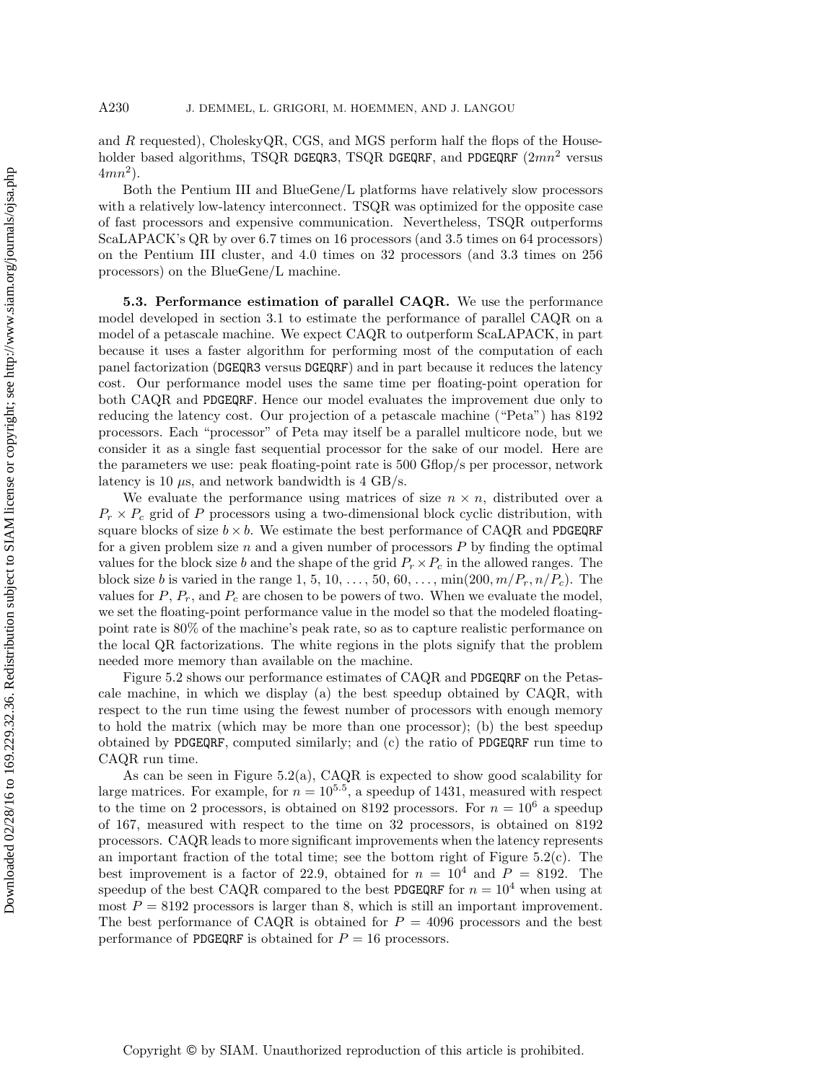and  $R$  requested), CholeskyQR, CGS, and MGS perform half the flops of the Householder based algorithms, TSQR DGEQR3, TSQR DGEQRF, and PDGEQRF  $(2mn^2$  versus  $4mn^2$ ).

Both the Pentium III and BlueGene/L platforms have relatively slow processors with a relatively low-latency interconnect. TSQR was optimized for the opposite case of fast processors and expensive communication. Nevertheless, TSQR outperforms ScaLAPACK's QR by over 6.7 times on 16 processors (and 3.5 times on 64 processors) on the Pentium III cluster, and 4.0 times on 32 processors (and 3.3 times on 256 processors) on the BlueGene/L machine.

**5.3. Performance estimation of parallel CAQR.** We use the performance model developed in section 3.1 to estimate the performance of parallel CAQR on a model of a petascale machine. We expect CAQR to outperform ScaLAPACK, in part because it uses a faster algorithm for performing most of the computation of each panel factorization (DGEQR3 versus DGEQRF) and in part because it reduces the latency cost. Our performance model uses the same time per floating-point operation for both CAQR and PDGEQRF. Hence our model evaluates the improvement due only to reducing the latency cost. Our projection of a petascale machine ("Peta") has 8192 processors. Each "processor" of Peta may itself be a parallel multicore node, but we consider it as a single fast sequential processor for the sake of our model. Here are the parameters we use: peak floating-point rate is 500 Gflop/s per processor, network latency is 10  $\mu$ s, and network bandwidth is 4 GB/s.

We evaluate the performance using matrices of size  $n \times n$ , distributed over a  $P_r \times P_c$  grid of P processors using a two-dimensional block cyclic distribution, with square blocks of size  $b \times b$ . We estimate the best performance of CAQR and PDGEQRF for a given problem size  $n$  and a given number of processors  $P$  by finding the optimal values for the block size b and the shape of the grid  $P_r \times P_c$  in the allowed ranges. The block size *b* is varied in the range 1, 5, 10, ..., 50, 60, ...,  $\min(200, m/P_r, n/P_c)$ . The values for  $P$ ,  $P_r$ , and  $P_c$  are chosen to be powers of two. When we evaluate the model, we set the floating-point performance value in the model so that the modeled floatingpoint rate is 80% of the machine's peak rate, so as to capture realistic performance on the local QR factorizations. The white regions in the plots signify that the problem needed more memory than available on the machine.

Figure 5.2 shows our performance estimates of CAQR and PDGEQRF on the Petascale machine, in which we display (a) the best speedup obtained by CAQR, with respect to the run time using the fewest number of processors with enough memory to hold the matrix (which may be more than one processor); (b) the best speedup obtained by PDGEQRF, computed similarly; and (c) the ratio of PDGEQRF run time to CAQR run time.

As can be seen in Figure 5.2(a), CAQR is expected to show good scalability for large matrices. For example, for  $n = 10^{5.5}$ , a speedup of 1431, measured with respect to the time on 2 processors, is obtained on 8192 processors. For  $n = 10^6$  a speedup of 167, measured with respect to the time on 32 processors, is obtained on 8192 processors. CAQR leads to more significant improvements when the latency represents an important fraction of the total time; see the bottom right of Figure  $5.2(c)$ . The best improvement is a factor of 22.9, obtained for  $n = 10^4$  and  $P = 8192$ . The speedup of the best CAQR compared to the best PDGEQRF for  $n = 10^4$  when using at most  $P = 8192$  processors is larger than 8, which is still an important improvement. The best performance of CAQR is obtained for  $P = 4096$  processors and the best performance of PDGEQRF is obtained for  $P = 16$  processors.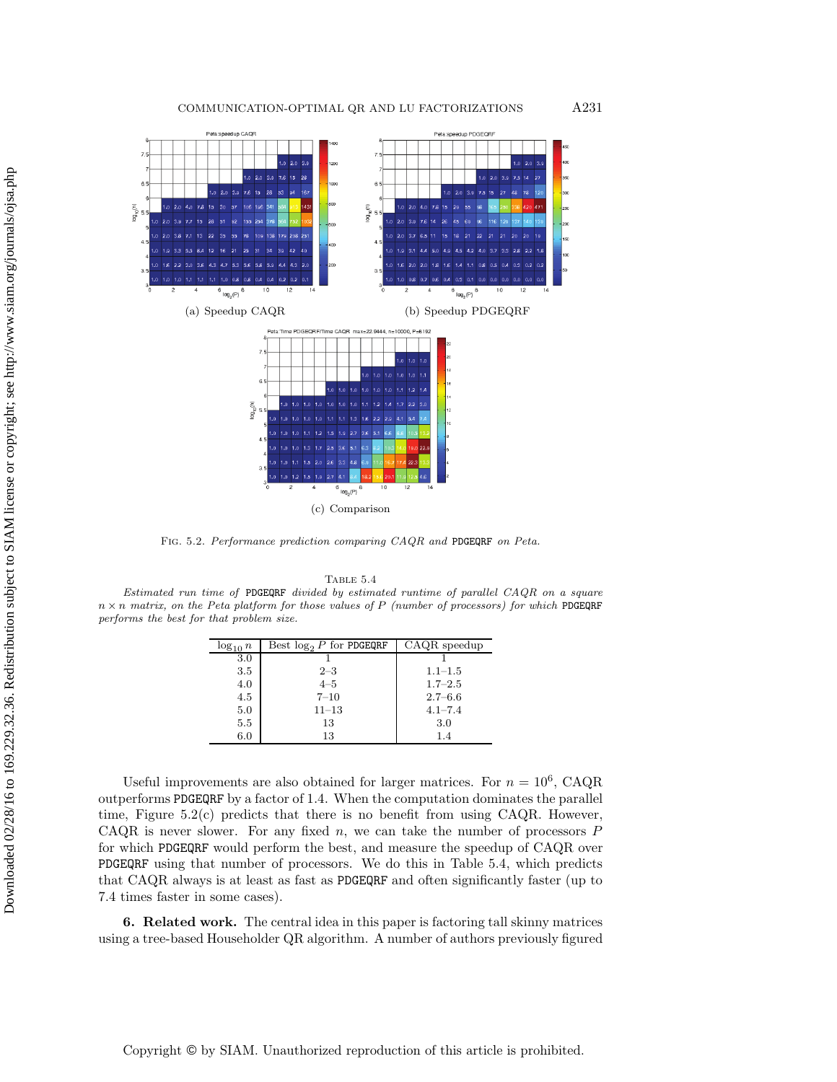

Fig. 5.2. Performance prediction comparing CAQR and PDGEQRF on Peta.

Table 5.4

Estimated run time of PDGEQRF divided by estimated runtime of parallel CAQR on a square  $n \times n$  matrix, on the Peta platform for those values of P (number of processors) for which PDGEQRF performs the best for that problem size.

| $\log_{10} n$ | Best $\log_2 P$ for PDGEQRF | CAQR speedup |
|---------------|-----------------------------|--------------|
| 3.0           |                             |              |
| 3.5           | $2 - 3$                     | $1.1 - 1.5$  |
| 4.0           | $4 - 5$                     | $1.7 - 2.5$  |
| 4.5           | $7 - 10$                    | $2.7 - 6.6$  |
| 5.0           | $11 - 13$                   | $4.1 - 7.4$  |
| 5.5           | 13                          | 3.0          |
| 6.0           | 13                          | 1.4          |
|               |                             |              |

Useful improvements are also obtained for larger matrices. For  $n = 10^6$ , CAQR outperforms PDGEQRF by a factor of 1.4. When the computation dominates the parallel time, Figure 5.2(c) predicts that there is no benefit from using CAQR. However, CAQR is never slower. For any fixed  $n$ , we can take the number of processors  $P$ for which PDGEQRF would perform the best, and measure the speedup of CAQR over PDGEQRF using that number of processors. We do this in Table 5.4, which predicts that CAQR always is at least as fast as PDGEQRF and often significantly faster (up to 7.4 times faster in some cases).

**6. Related work.** The central idea in this paper is factoring tall skinny matrices using a tree-based Householder QR algorithm. A number of authors previously figured

Copyright © by SIAM. Unauthorized reproduction of this article is prohibited.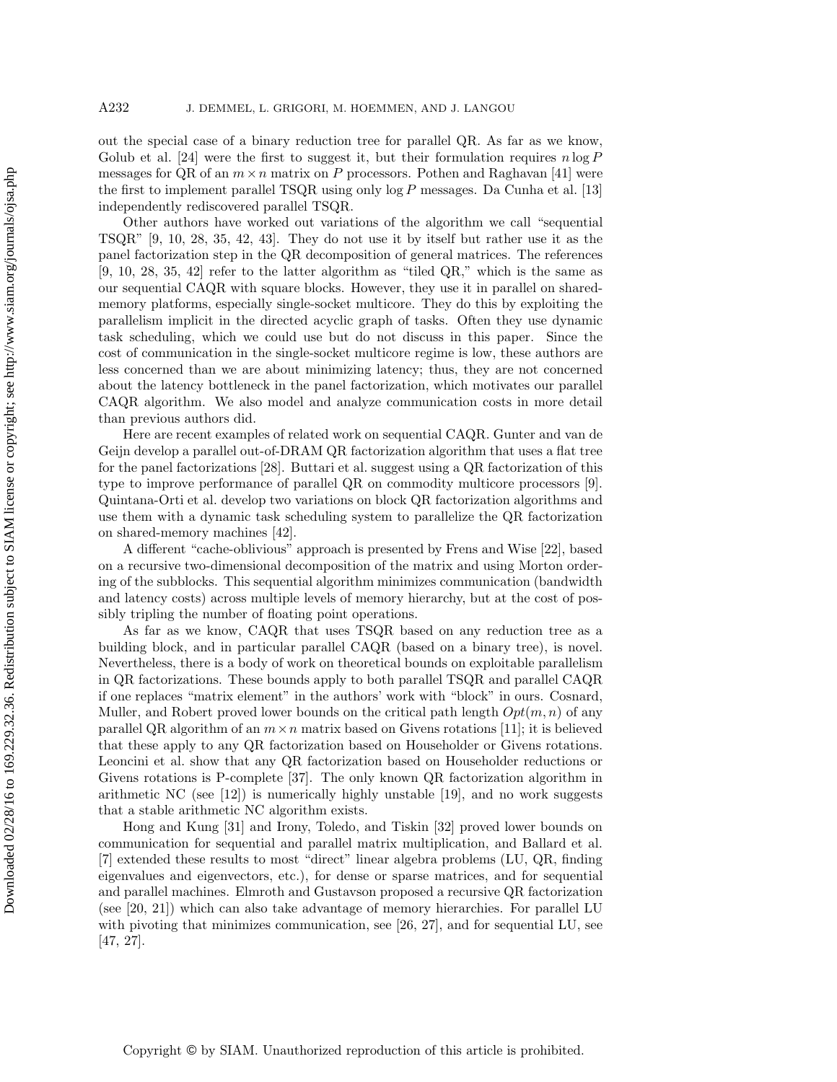out the special case of a binary reduction tree for parallel QR. As far as we know, Golub et al. [24] were the first to suggest it, but their formulation requires  $n \log P$ messages for QR of an  $m \times n$  matrix on P processors. Pothen and Raghavan [41] were the first to implement parallel TSQR using only  $\log P$  messages. Da Cunha et al. [13] independently rediscovered parallel TSQR.

Other authors have worked out variations of the algorithm we call "sequential TSQR" [9, 10, 28, 35, 42, 43]. They do not use it by itself but rather use it as the panel factorization step in the QR decomposition of general matrices. The references  $[9, 10, 28, 35, 42]$  refer to the latter algorithm as "tiled QR," which is the same as our sequential CAQR with square blocks. However, they use it in parallel on sharedmemory platforms, especially single-socket multicore. They do this by exploiting the parallelism implicit in the directed acyclic graph of tasks. Often they use dynamic task scheduling, which we could use but do not discuss in this paper. Since the cost of communication in the single-socket multicore regime is low, these authors are less concerned than we are about minimizing latency; thus, they are not concerned about the latency bottleneck in the panel factorization, which motivates our parallel CAQR algorithm. We also model and analyze communication costs in more detail than previous authors did.

Here are recent examples of related work on sequential CAQR. Gunter and van de Geijn develop a parallel out-of-DRAM QR factorization algorithm that uses a flat tree for the panel factorizations [28]. Buttari et al. suggest using a QR factorization of this type to improve performance of parallel QR on commodity multicore processors [9]. Quintana-Orti et al. develop two variations on block QR factorization algorithms and use them with a dynamic task scheduling system to parallelize the QR factorization on shared-memory machines [42].

A different "cache-oblivious" approach is presented by Frens and Wise [22], based on a recursive two-dimensional decomposition of the matrix and using Morton ordering of the subblocks. This sequential algorithm minimizes communication (bandwidth and latency costs) across multiple levels of memory hierarchy, but at the cost of possibly tripling the number of floating point operations.

As far as we know, CAQR that uses TSQR based on any reduction tree as a building block, and in particular parallel CAQR (based on a binary tree), is novel. Nevertheless, there is a body of work on theoretical bounds on exploitable parallelism in QR factorizations. These bounds apply to both parallel TSQR and parallel CAQR if one replaces "matrix element" in the authors' work with "block" in ours. Cosnard, Muller, and Robert proved lower bounds on the critical path length  $Opt(m, n)$  of any parallel QR algorithm of an  $m \times n$  matrix based on Givens rotations [11]; it is believed that these apply to any QR factorization based on Householder or Givens rotations. Leoncini et al. show that any QR factorization based on Householder reductions or Givens rotations is P-complete [37]. The only known QR factorization algorithm in arithmetic NC (see  $[12]$ ) is numerically highly unstable  $[19]$ , and no work suggests that a stable arithmetic NC algorithm exists.

Hong and Kung [31] and Irony, Toledo, and Tiskin [32] proved lower bounds on communication for sequential and parallel matrix multiplication, and Ballard et al. [7] extended these results to most "direct" linear algebra problems (LU, QR, finding eigenvalues and eigenvectors, etc.), for dense or sparse matrices, and for sequential and parallel machines. Elmroth and Gustavson proposed a recursive QR factorization (see [20, 21]) which can also take advantage of memory hierarchies. For parallel LU with pivoting that minimizes communication, see [26, 27], and for sequential LU, see [47, 27].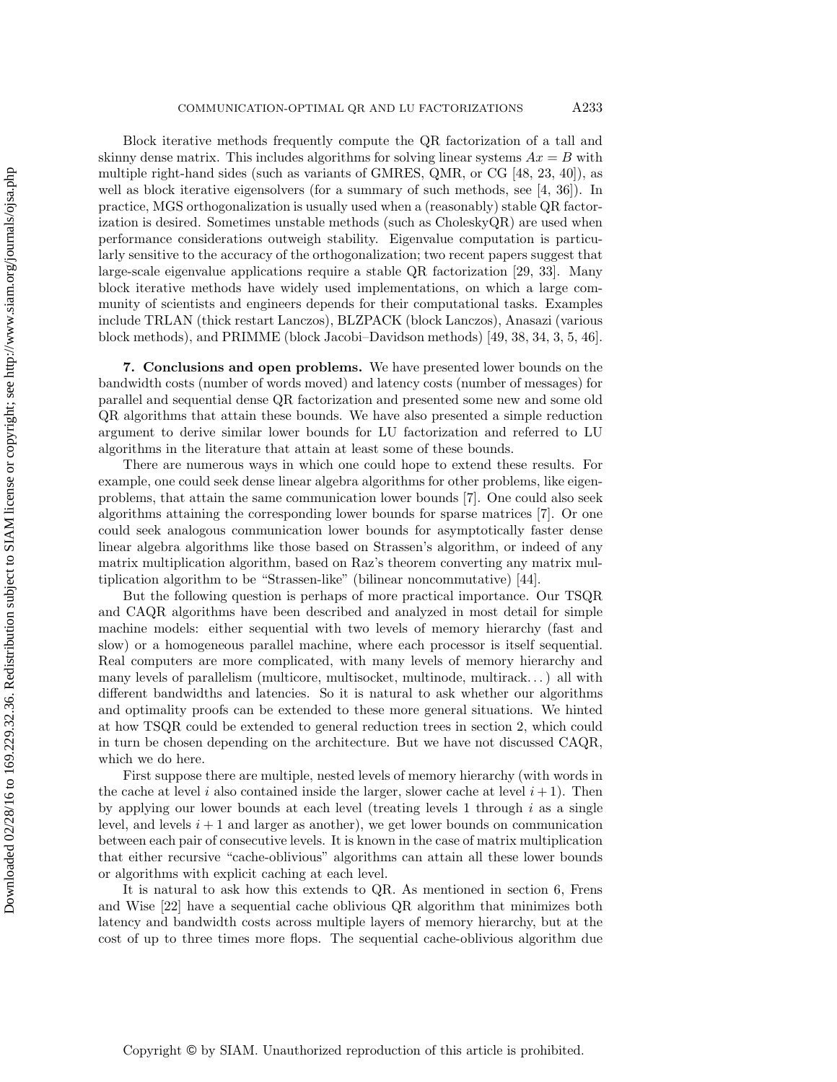Block iterative methods frequently compute the QR factorization of a tall and skinny dense matrix. This includes algorithms for solving linear systems  $Ax = B$  with multiple right-hand sides (such as variants of GMRES, QMR, or CG [48, 23, 40]), as well as block iterative eigensolvers (for a summary of such methods, see [4, 36]). In practice, MGS orthogonalization is usually used when a (reasonably) stable QR factorization is desired. Sometimes unstable methods (such as CholeskyQR) are used when performance considerations outweigh stability. Eigenvalue computation is particularly sensitive to the accuracy of the orthogonalization; two recent papers suggest that large-scale eigenvalue applications require a stable QR factorization [29, 33]. Many block iterative methods have widely used implementations, on which a large community of scientists and engineers depends for their computational tasks. Examples include TRLAN (thick restart Lanczos), BLZPACK (block Lanczos), Anasazi (various block methods), and PRIMME (block Jacobi–Davidson methods) [49, 38, 34, 3, 5, 46].

**7. Conclusions and open problems.** We have presented lower bounds on the bandwidth costs (number of words moved) and latency costs (number of messages) for parallel and sequential dense QR factorization and presented some new and some old QR algorithms that attain these bounds. We have also presented a simple reduction argument to derive similar lower bounds for LU factorization and referred to LU algorithms in the literature that attain at least some of these bounds.

There are numerous ways in which one could hope to extend these results. For example, one could seek dense linear algebra algorithms for other problems, like eigenproblems, that attain the same communication lower bounds [7]. One could also seek algorithms attaining the corresponding lower bounds for sparse matrices [7]. Or one could seek analogous communication lower bounds for asymptotically faster dense linear algebra algorithms like those based on Strassen's algorithm, or indeed of any matrix multiplication algorithm, based on Raz's theorem converting any matrix multiplication algorithm to be "Strassen-like" (bilinear noncommutative) [44].

But the following question is perhaps of more practical importance. Our TSQR and CAQR algorithms have been described and analyzed in most detail for simple machine models: either sequential with two levels of memory hierarchy (fast and slow) or a homogeneous parallel machine, where each processor is itself sequential. Real computers are more complicated, with many levels of memory hierarchy and many levels of parallelism (multicore, multisocket, multinode, multirack. . . ) all with different bandwidths and latencies. So it is natural to ask whether our algorithms and optimality proofs can be extended to these more general situations. We hinted at how TSQR could be extended to general reduction trees in section 2, which could in turn be chosen depending on the architecture. But we have not discussed CAQR, which we do here.

First suppose there are multiple, nested levels of memory hierarchy (with words in the cache at level i also contained inside the larger, slower cache at level  $i + 1$ ). Then by applying our lower bounds at each level (treating levels 1 through  $i$  as a single level, and levels  $i + 1$  and larger as another), we get lower bounds on communication between each pair of consecutive levels. It is known in the case of matrix multiplication that either recursive "cache-oblivious" algorithms can attain all these lower bounds or algorithms with explicit caching at each level.

It is natural to ask how this extends to QR. As mentioned in section 6, Frens and Wise [22] have a sequential cache oblivious QR algorithm that minimizes both latency and bandwidth costs across multiple layers of memory hierarchy, but at the cost of up to three times more flops. The sequential cache-oblivious algorithm due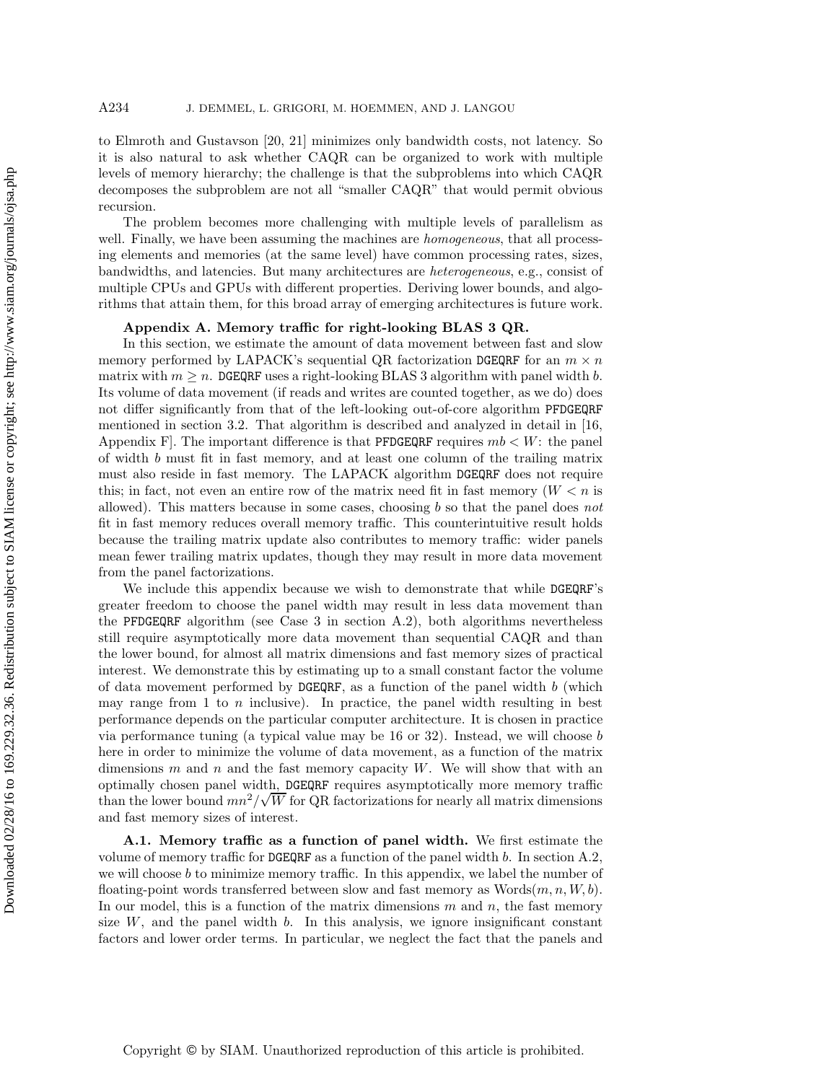to Elmroth and Gustavson [20, 21] minimizes only bandwidth costs, not latency. So it is also natural to ask whether CAQR can be organized to work with multiple levels of memory hierarchy; the challenge is that the subproblems into which CAQR decomposes the subproblem are not all "smaller CAQR" that would permit obvious recursion.

The problem becomes more challenging with multiple levels of parallelism as well. Finally, we have been assuming the machines are *homogeneous*, that all processing elements and memories (at the same level) have common processing rates, sizes, bandwidths, and latencies. But many architectures are *heterogeneous*, e.g., consist of multiple CPUs and GPUs with different properties. Deriving lower bounds, and algorithms that attain them, for this broad array of emerging architectures is future work.

## **Appendix A. Memory traffic for right-looking BLAS 3 QR.**

In this section, we estimate the amount of data movement between fast and slow memory performed by LAPACK's sequential QR factorization DGEQRF for an  $m \times n$ matrix with  $m \geq n$ . DGEQRF uses a right-looking BLAS 3 algorithm with panel width b. Its volume of data movement (if reads and writes are counted together, as we do) does not differ significantly from that of the left-looking out-of-core algorithm PFDGEQRF mentioned in section 3.2. That algorithm is described and analyzed in detail in [16, Appendix F. The important difference is that **PFDGEQRF** requires  $mb < W$ : the panel of width b must fit in fast memory, and at least one column of the trailing matrix must also reside in fast memory. The LAPACK algorithm DGEQRF does not require this; in fact, not even an entire row of the matrix need fit in fast memory  $(W < n$  is allowed). This matters because in some cases, choosing b so that the panel does *not* fit in fast memory reduces overall memory traffic. This counterintuitive result holds because the trailing matrix update also contributes to memory traffic: wider panels mean fewer trailing matrix updates, though they may result in more data movement from the panel factorizations.

We include this appendix because we wish to demonstrate that while DGEQRF's greater freedom to choose the panel width may result in less data movement than the PFDGEQRF algorithm (see Case 3 in section A.2), both algorithms nevertheless still require asymptotically more data movement than sequential CAQR and than the lower bound, for almost all matrix dimensions and fast memory sizes of practical interest. We demonstrate this by estimating up to a small constant factor the volume of data movement performed by  $\Delta EQRF$ , as a function of the panel width b (which may range from 1 to  $n$  inclusive). In practice, the panel width resulting in best performance depends on the particular computer architecture. It is chosen in practice via performance tuning (a typical value may be  $16$  or  $32$ ). Instead, we will choose b here in order to minimize the volume of data movement, as a function of the matrix dimensions  $m$  and  $n$  and the fast memory capacity  $W$ . We will show that with an optimally chosen panel width, DGEQRF requires asymptotically more memory traffic √ than the lower bound  $mn^2/\sqrt{W}$  for QR factorizations for nearly all matrix dimensions and fast memory sizes of interest.

**A.1. Memory traffic as a function of panel width.** We first estimate the volume of memory traffic for  $\mathsf{DGEQRF}$  as a function of the panel width b. In section A.2, we will choose  $b$  to minimize memory traffic. In this appendix, we label the number of floating-point words transferred between slow and fast memory as  $W(x, n, W, b)$ . In our model, this is a function of the matrix dimensions  $m$  and  $n$ , the fast memory size  $W$ , and the panel width  $b$ . In this analysis, we ignore insignificant constant factors and lower order terms. In particular, we neglect the fact that the panels and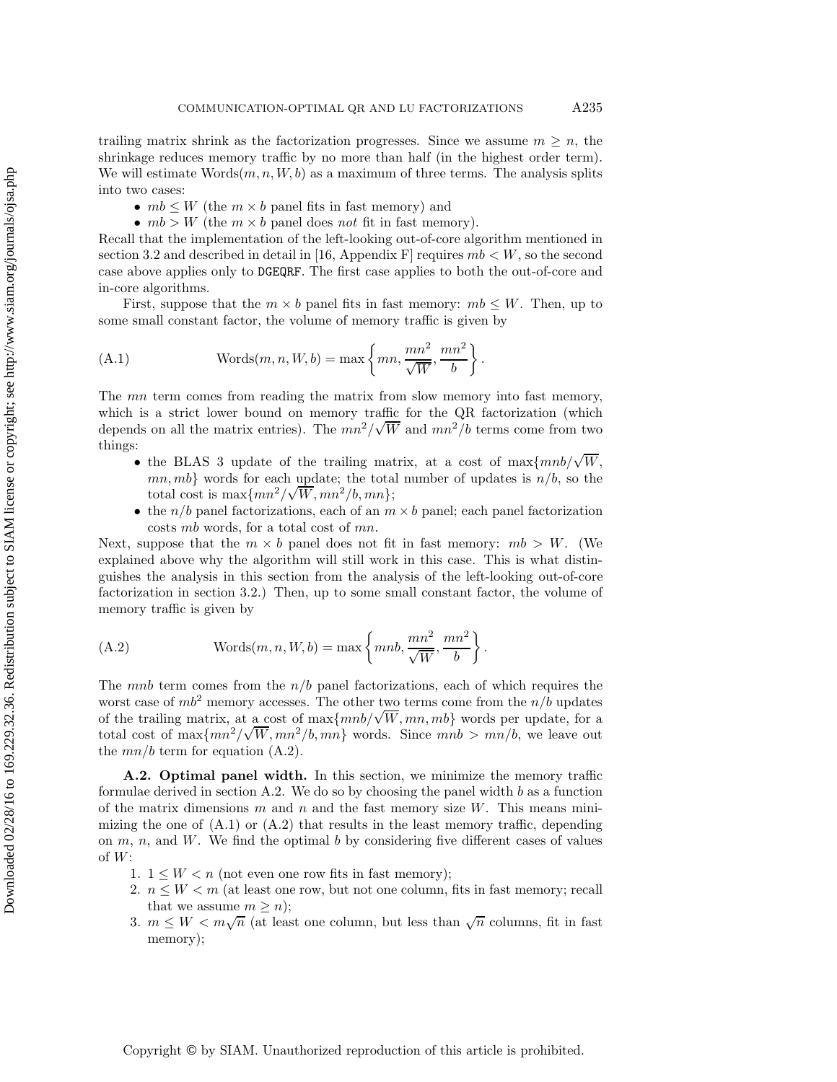trailing matrix shrink as the factorization progresses. Since we assume  $m \geq n$ , the shrinkage reduces memory traffic by no more than half (in the highest order term). We will estimate  $\text{Words}(m, n, W, b)$  as a maximum of three terms. The analysis splits into two cases:

- $mb \leq W$  (the  $m \times b$  panel fits in fast memory) and
- $mb > W$  (the  $m \times b$  panel does *not* fit in fast memory).

Recall that the implementation of the left-looking out-of-core algorithm mentioned in section 3.2 and described in detail in [16, Appendix F] requires  $mb < W$ , so the second case above applies only to DGEQRF. The first case applies to both the out-of-core and in-core algorithms.

First, suppose that the  $m \times b$  panel fits in fast memory:  $mb \leq W$ . Then, up to some small constant factor, the volume of memory traffic is given by

(A.1) 
$$
\text{Words}(m, n, W, b) = \max \left\{mn, \frac{mn^2}{\sqrt{W}}, \frac{mn^2}{b}\right\}.
$$

The mn term comes from reading the matrix from slow memory into fast memory, which is a strict lower bound on memory traffic for the QR factorization (which depends on all the matrix entries). The  $mn^2/\sqrt{W}$  and  $mn^2/b$  terms come from two things:

- the BLAS 3 update of the trailing matrix, at a cost of max $\{mnb/\sqrt{W},$  $mn, mb$ } words for each update; the total number of updates is  $n/b$ , so the total cost is  $\max\{mn^2/\sqrt{W}, mn^2/b, mn\};$
- the  $n/b$  panel factorizations, each of an  $m \times b$  panel; each panel factorization costs mb words, for a total cost of mn.

Next, suppose that the  $m \times b$  panel does not fit in fast memory:  $mb > W$ . (We explained above why the algorithm will still work in this case. This is what distinguishes the analysis in this section from the analysis of the left-looking out-of-core factorization in section 3.2.) Then, up to some small constant factor, the volume of memory traffic is given by

(A.2) 
$$
\text{Words}(m, n, W, b) = \max\left\{mnb, \frac{mn^2}{\sqrt{W}}, \frac{mn^2}{b}\right\}.
$$

The *mnb* term comes from the  $n/b$  panel factorizations, each of which requires the worst case of  $mb^2$  memory accesses. The other two terms come from the  $n/b$  updates worst case of *mo*-memory accesses. The other two terms come from the  $n/\nu$  updates<br>of the trailing matrix, at a cost of max $\{mnb/\sqrt{W}, mn, mb\}$  words per update, for a total cost of  $\max\{mn^2/\sqrt{W}, mn^2/b, mn\}$  words. Since  $mnb > mn/b$ , we leave out the  $mn/b$  term for equation (A.2).

**A.2. Optimal panel width.** In this section, we minimize the memory traffic formulae derived in section  $A.2$ . We do so by choosing the panel width b as a function of the matrix dimensions m and n and the fast memory size  $W$ . This means minimizing the one of  $(A.1)$  or  $(A.2)$  that results in the least memory traffic, depending on  $m, n$ , and  $W$ . We find the optimal  $b$  by considering five different cases of values of  $W$ :

- 1.  $1 \leq W \leq n$  (not even one row fits in fast memory);
- 2.  $n \leq W < m$  (at least one row, but not one column, fits in fast memory; recall that we assume  $m \geq n$ ;
- 3.  $m \leq W < m\sqrt{n}$  (at least one column, but less than  $\sqrt{n}$  columns, fit in fast memory);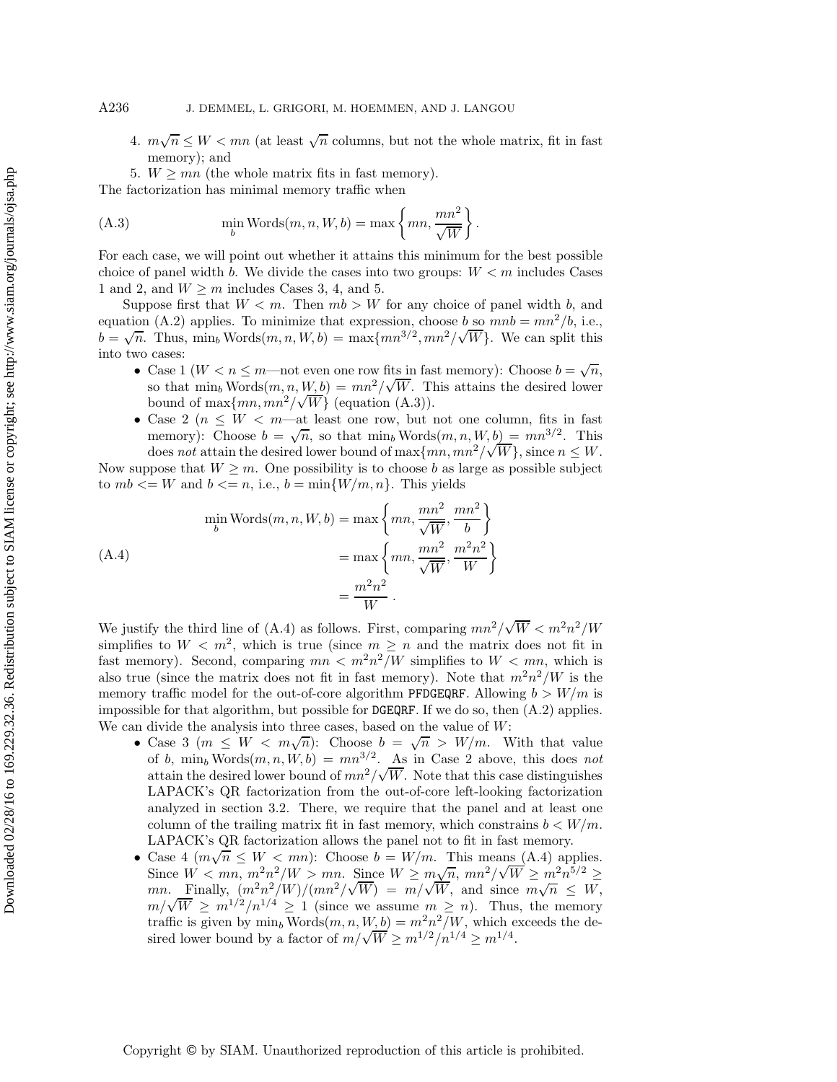- 4.  $m\sqrt{n} \leq W < mn$  (at least  $\sqrt{n}$  columns, but not the whole matrix, fit in fast memory); and
- 5.  $W \ge mn$  (the whole matrix fits in fast memory).

The factorization has minimal memory traffic when

(A.3) 
$$
\min_{b} \text{Words}(m, n, W, b) = \max \left\{mn, \frac{mn^2}{\sqrt{W}}\right\}.
$$

For each case, we will point out whether it attains this minimum for the best possible choice of panel width b. We divide the cases into two groups:  $W < m$  includes Cases 1 and 2, and  $W \geq m$  includes Cases 3, 4, and 5.

Suppose first that  $W < m$ . Then  $mb > W$  for any choice of panel width b, and equation (A.2) applies. To minimize that expression, choose b so  $mnb = mn^2/b$ , i.e., equation (A.2) applies. To minimize that expression, choose b so  $m\omega = m\omega / \omega$ , i.e.,<br>  $b = \sqrt{n}$ . Thus, min<sub>b</sub> Words $(m, n, W, b) = \max\{mn^{3/2}, mn^2/\sqrt{W}\}$ . We can split this into two cases:

- Case 1 ( $W < n \le m$ —not even one row fits in fast memory): Choose  $b = \sqrt{n}$ , so that  $\min_b \text{Words}(m, n, W, b) = mn^2/\sqrt{W}$ . This attains the desired lower bound of max $\{mn, mn^2/\sqrt{W}\}\$  (equation (A.3)).
- Case 2 ( $n \leq W < m$ —at least one row, but not one column, fits in fast Case 2 ( $n \leq W < m$ —at least one low, but not one column, its in last<br>memory): Choose  $b = \sqrt{n}$ , so that  $\min_b \text{Words}(m, n, W, b) = mn^{3/2}$ . This does *not* attain the desired lower bound of  $\max\{mn, mn^2/\sqrt{W}\}\$ , since  $n \leq W$ .

Now suppose that  $W \geq m$ . One possibility is to choose b as large as possible subject to  $mb \lt = W$  and  $b \lt = n$ , i.e.,  $b = \min\{W/m, n\}$ . This yields

$$
\min_{b} \text{Words}(m, n, W, b) = \max\left\{mn, \frac{mn^2}{\sqrt{W}}, \frac{mn^2}{b}\right\}
$$
\n
$$
= \max\left\{mn, \frac{mn^2}{\sqrt{W}}, \frac{m^2n^2}{W}\right\}
$$
\n
$$
= \frac{m^2n^2}{W}.
$$
\n(A.4)

We justify the third line of (A.4) as follows. First, comparing  $mn^2/\sqrt{W} < m^2n^2/W$ simplifies to  $W < m^2$ , which is true (since  $m \geq n$  and the matrix does not fit in fast memory). Second, comparing  $mn < m^2n^2/W$  simplifies to  $W < mn$ , which is also true (since the matrix does not fit in fast memory). Note that  $m^2n^2/W$  is the memory traffic model for the out-of-core algorithm PFDGEQRF. Allowing  $b > W/m$  is impossible for that algorithm, but possible for  $DGEGRF$ . If we do so, then  $(A.2)$  applies. We can divide the analysis into three cases, based on the value of  $W$ :

- Case 3 ( $m \leq W < m\sqrt{n}$ ): Choose  $b = \sqrt{n} > W/m$ . With that value of b, min<sub>b</sub> Words $(m, n, W, b) = mn^{3/2}$ . As in Case 2 above, this does *not* attain the desired lower bound of  $mn^2/\sqrt{W}$ . Note that this case distinguishes LAPACK's QR factorization from the out-of-core left-looking factorization analyzed in section 3.2. There, we require that the panel and at least one column of the trailing matrix fit in fast memory, which constrains  $b \lt W/m$ . LAPACK's QR factorization allows the panel not to fit in fast memory.
- Case 4  $(m\sqrt{n} \leq W < mn)$ : Choose  $b = W/m$ . This means (A.4) applies. Case 4  $(m\sqrt{n} \leq W < mn)$ : Choose  $v = W/m$ . This means  $(A.4)$  applies.<br>Since  $W < mn$ ,  $m^2n^2/W > mn$ . Since  $W \geq m\sqrt{n}$ ,  $mn^2/\sqrt{W} \geq m^2n^{5/2} \geq$ since  $W < mn$ ,  $m^2 \wedge W > mn$ . Since  $W \geq m \vee n$ ,  $mn^2 \vee W \geq m^2 \wedge n^2$ <br>mn. Finally,  $(m^2 n^2/W)/(mn^2/\sqrt{W}) = m/\sqrt{W}$ , and since  $m\sqrt{n} \leq W$ , mn. Finally,  $(m-n^{-}/W)/(mn^{-}/V) = m/\sqrt{W}$ , and since  $m\sqrt{n} \leq W$ ,<br> $m/\sqrt{W} \geq m^{1/2}/n^{1/4} \geq 1$  (since we assume  $m \geq n$ ). Thus, the memory traffic is given by  $\min_b \text{Words}(m, n, W, b) = m^2 n^2/W$ , which exceeds the desired lower bound by a factor of  $m/\sqrt{W} \ge m^{1/2}/n^{1/4} \ge m^{1/4}$ .

Copyright © by SIAM. Unauthorized reproduction of this article is prohibited.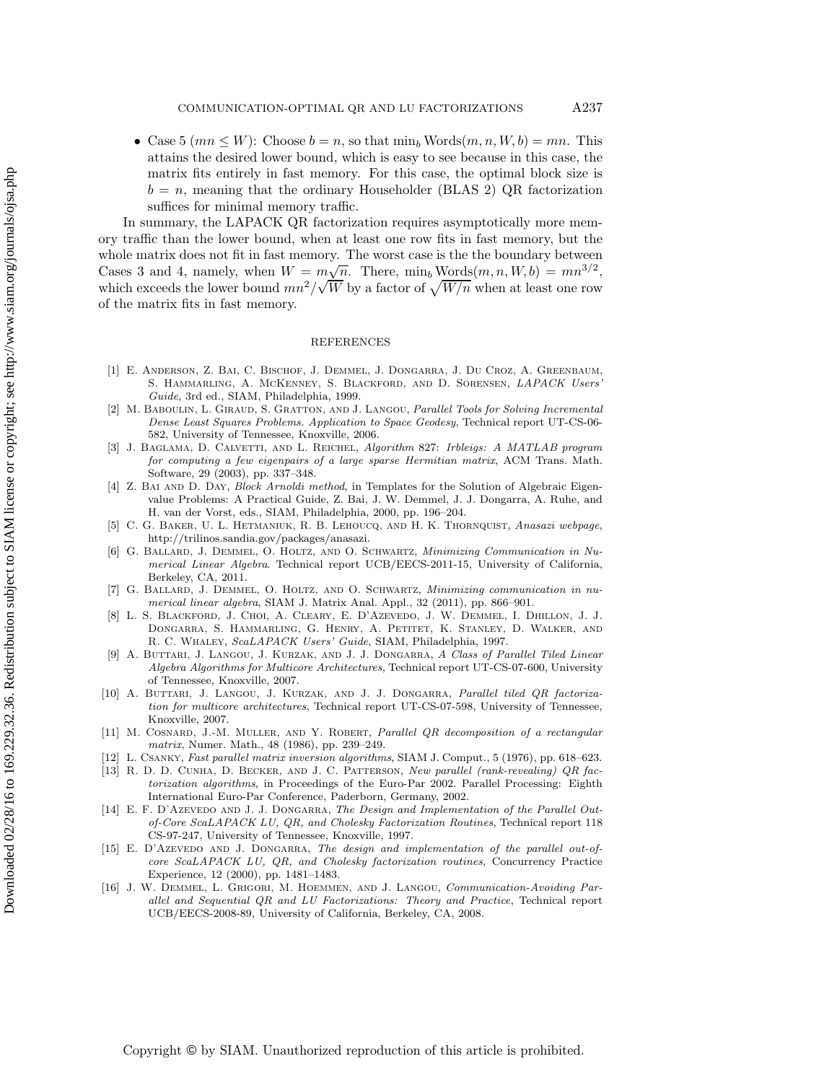• Case 5 ( $mn \leq W$ ): Choose  $b = n$ , so that  $\min_b \text{Words}(m, n, W, b) = mn$ . This attains the desired lower bound, which is easy to see because in this case, the matrix fits entirely in fast memory. For this case, the optimal block size is  $b = n$ , meaning that the ordinary Householder (BLAS 2) QR factorization suffices for minimal memory traffic.

In summary, the LAPACK QR factorization requires asymptotically more memory traffic than the lower bound, when at least one row fits in fast memory, but the whole matrix does not fit in fast memory. The worst case is the the boundary between Cases 3 and 4, namely, when  $W = m\sqrt{n}$ . There, min<sub>b</sub> Words $(m, n, W, b) = mn^{3/2}$ , which exceeds the lower bound  $mn^2/\sqrt{W}$  by a factor of  $\sqrt{W/n}$  when at least one row of the matrix fits in fast memory.

## REFERENCES

- [1] E. Anderson, Z. Bai, C. Bischof, J. Demmel, J. Dongarra, J. Du Croz, A. Greenbaum, S. HAMMARLING, A. MCKENNEY, S. BLACKFORD, AND D. SORENSEN, LAPACK Users Guide, 3rd ed., SIAM, Philadelphia, 1999.
- [2] M. BABOULIN, L. GIRAUD, S. GRATTON, AND J. LANGOU, Parallel Tools for Solving Incremental Dense Least Squares Problems. Application to Space Geodesy, Technical report UT-CS-06- 582, University of Tennessee, Knoxville, 2006.
- [3] J. Baglama, D. Calvetti, and L. Reichel, Algorithm 827: Irbleigs: A MATLAB program for computing a few eigenpairs of a large sparse Hermitian matrix, ACM Trans. Math. Software, 29 (2003), pp. 337–348.
- [4] Z. Bai and D. Day, *Block Arnoldi method*, in Templates for the Solution of Algebraic Eigenvalue Problems: A Practical Guide, Z. Bai, J. W. Demmel, J. J. Dongarra, A. Ruhe, and H. van der Vorst, eds., SIAM, Philadelphia, 2000, pp. 196–204.
- [5] C. G. Baker, U. L. Hetmaniuk, R. B. Lehoucq, and H. K. Thornquist, Anasazi webpage, http://trilinos.sandia.gov/packages/anasazi.
- [6] G. Ballard, J. Demmel, O. Holtz, and O. Schwartz, Minimizing Communication in Numerical Linear Algebra. Technical report UCB/EECS-2011-15, University of California, Berkeley, CA, 2011.
- [7] G. Ballard, J. Demmel, O. Holtz, and O. Schwartz, Minimizing communication in numerical linear algebra, SIAM J. Matrix Anal. Appl., 32 (2011), pp. 866–901.
- L. S. BLACKFORD, J. CHOI, A. CLEARY, E. D'AZEVEDO, J. W. DEMMEL, I. DHILLON, J. J. Dongarra, S. Hammarling, G. Henry, A. Petitet, K. Stanley, D. Walker, and R. C. Whaley, ScaLAPACK Users' Guide, SIAM, Philadelphia, 1997.
- [9] A. BUTTARI, J. LANGOU, J. KURZAK, AND J. J. DONGARRA, A Class of Parallel Tiled Linear Algebra Algorithms for Multicore Architectures, Technical report UT-CS-07-600, University of Tennessee, Knoxville, 2007.
- [10] A. BUTTARI, J. LANGOU, J. KURZAK, AND J. J. DONGARRA, Parallel tiled QR factorization for multicore architectures, Technical report UT-CS-07-598, University of Tennessee, Knoxville, 2007.
- [11] M. Cosnard, J.-M. Muller, and Y. Robert, Parallel QR decomposition of a rectangular matrix, Numer. Math., 48 (1986), pp. 239–249.
- [12] L. Csanky, Fast parallel matrix inversion algorithms, SIAM J. Comput., 5 (1976), pp. 618–623.
- [13] R. D. D. CUNHA, D. BECKER, AND J. C. PATTERSON, New parallel (rank-revealing) QR factorization algorithms, in Proceedings of the Euro-Par 2002. Parallel Processing: Eighth International Euro-Par Conference, Paderborn, Germany, 2002.
- [14] E. F. D'Azevedo and J. J. Dongarra, The Design and Implementation of the Parallel Outof-Core ScaLAPACK LU, QR, and Cholesky Factorization Routines, Technical report 118 CS-97-247, University of Tennessee, Knoxville, 1997.
- [15] E. D'Azevedo AND J. DONGARRA, The design and implementation of the parallel out-ofcore ScaLAPACK LU, QR, and Cholesky factorization routines, Concurrency Practice Experience, 12 (2000), pp. 1481–1483.
- [16] J. W. DEMMEL, L. GRIGORI, M. HOEMMEN, AND J. LANGOU, Communication-Avoiding Parallel and Sequential QR and LU Factorizations: Theory and Practice, Technical report UCB/EECS-2008-89, University of California, Berkeley, CA, 2008.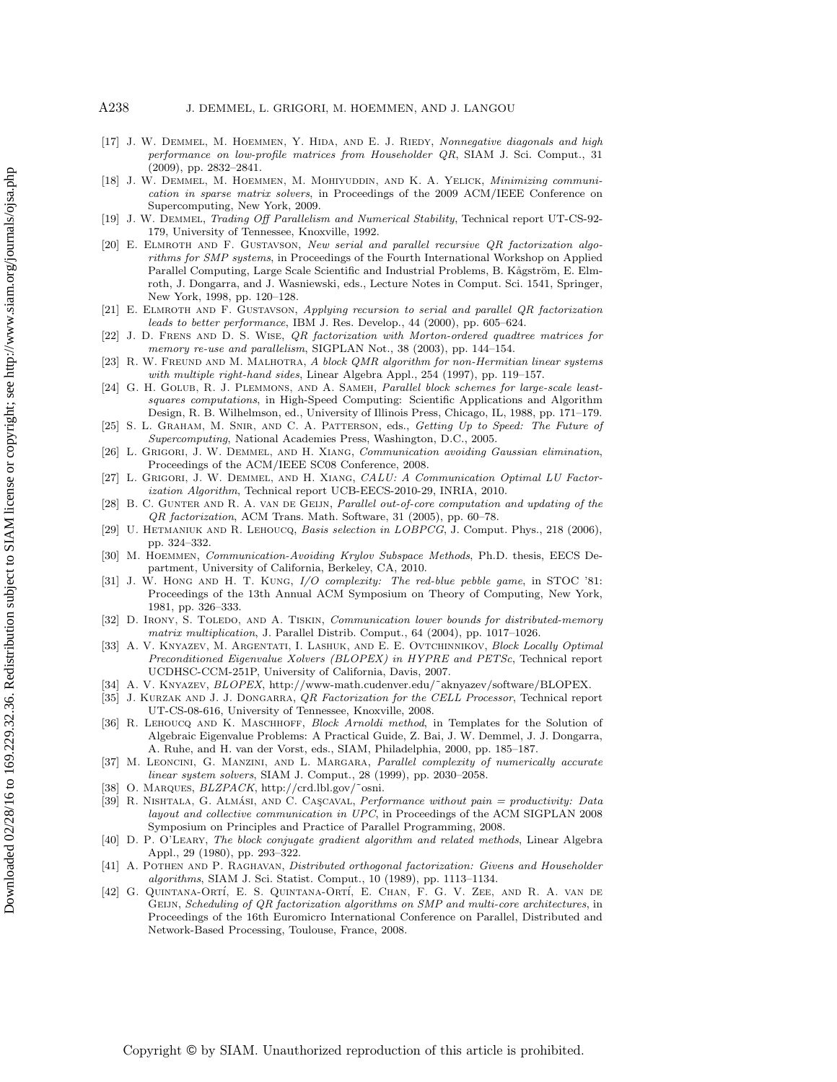- [17] J. W. DEMMEL, M. HOEMMEN, Y. HIDA, AND E. J. RIEDY, Nonnegative diagonals and high performance on low-profile matrices from Householder QR, SIAM J. Sci. Comput., 31 (2009), pp. 2832–2841.
- [18] J. W. Demmel, M. Hoemmen, M. Mohiyuddin, and K. A. Yelick, Minimizing communication in sparse matrix solvers, in Proceedings of the 2009 ACM/IEEE Conference on Supercomputing, New York, 2009.
- [19] J. W. Demmel, Trading Off Parallelism and Numerical Stability, Technical report UT-CS-92- 179, University of Tennessee, Knoxville, 1992.
- [20] E. Elmroth and F. Gustavson, New serial and parallel recursive QR factorization algorithms for SMP systems, in Proceedings of the Fourth International Workshop on Applied Parallel Computing, Large Scale Scientific and Industrial Problems, B. Kågström, E. Elmroth, J. Dongarra, and J. Wasniewski, eds., Lecture Notes in Comput. Sci. 1541, Springer, New York, 1998, pp. 120–128.
- [21] E. Elmroth and F. Gustavson, Applying recursion to serial and parallel QR factorization leads to better performance, IBM J. Res. Develop., 44 (2000), pp. 605–624.
- [22] J. D. Frens and D. S. Wise, QR factorization with Morton-ordered quadtree matrices for memory re-use and parallelism, SIGPLAN Not., 38 (2003), pp. 144–154.
- [23] R. W. FREUND AND M. MALHOTRA, A block QMR algorithm for non-Hermitian linear systems with multiple right-hand sides, Linear Algebra Appl., 254 (1997), pp. 119-157.
- [24] G. H. GOLUB, R. J. PLEMMONS, AND A. SAMEH, Parallel block schemes for large-scale leastsquares computations, in High-Speed Computing: Scientific Applications and Algorithm Design, R. B. Wilhelmson, ed., University of Illinois Press, Chicago, IL, 1988, pp. 171–179.
- [25] S. L. GRAHAM, M. SNIR, AND C. A. PATTERSON, eds., Getting Up to Speed: The Future of Supercomputing, National Academies Press, Washington, D.C., 2005.
- [26] L. Grigori, J. W. Demmel, and H. Xiang, Communication avoiding Gaussian elimination, Proceedings of the ACM/IEEE SC08 Conference, 2008.
- [27] L. Grigori, J. W. Demmel, and H. Xiang, CALU: A Communication Optimal LU Factorization Algorithm, Technical report UCB-EECS-2010-29, INRIA, 2010.
- [28] B. C. GUNTER AND R. A. VAN DE GEIJN, Parallel out-of-core computation and updating of the QR factorization, ACM Trans. Math. Software, 31 (2005), pp. 60–78.
- [29] U. Hetmaniuk and R. Lehoucq, Basis selection in LOBPCG, J. Comput. Phys., 218 (2006), pp. 324–332.
- [30] M. Hoemmen, Communication-Avoiding Krylov Subspace Methods, Ph.D. thesis, EECS Department, University of California, Berkeley, CA, 2010.
- [31] J. W. HONG AND H. T. KUNG,  $I/O$  complexity: The red-blue pebble game, in STOC '81: Proceedings of the 13th Annual ACM Symposium on Theory of Computing, New York, 1981, pp. 326–333.
- [32] D. IRONY, S. TOLEDO, AND A. TISKIN, Communication lower bounds for distributed-memory matrix multiplication, J. Parallel Distrib. Comput., 64 (2004), pp. 1017–1026.
- [33] A. V. Knyazev, M. Argentati, I. Lashuk, and E. E. Ovtchinnikov, Block Locally Optimal Preconditioned Eigenvalue Xolvers (BLOPEX) in HYPRE and PETSc, Technical report UCDHSC-CCM-251P, University of California, Davis, 2007.
- [34] A. V. Knyazev, BLOPEX, http://www-math.cudenver.edu/˜aknyazev/software/BLOPEX.
- [35] J. KURZAK AND J. J. DONGARRA, QR Factorization for the CELL Processor, Technical report UT-CS-08-616, University of Tennessee, Knoxville, 2008.
- [36] R. LEHOUCQ AND K. MASCHHOFF, Block Arnoldi method, in Templates for the Solution of Algebraic Eigenvalue Problems: A Practical Guide, Z. Bai, J. W. Demmel, J. J. Dongarra, A. Ruhe, and H. van der Vorst, eds., SIAM, Philadelphia, 2000, pp. 185–187.
- [37] M. LEONCINI, G. MANZINI, AND L. MARGARA, Parallel complexity of numerically accurate linear system solvers, SIAM J. Comput., 28 (1999), pp. 2030–2058.
- [38] O. MARQUES, BLZPACK, http://crd.lbl.gov/~osni.
- [39] R. NISHTALA, G. ALMÁSI, AND C. CASCAVAL, Performance without pain = productivity: Data layout and collective communication in UPC, in Proceedings of the ACM SIGPLAN 2008 Symposium on Principles and Practice of Parallel Programming, 2008.
- [40] D. P. O'Leary, The block conjugate gradient algorithm and related methods, Linear Algebra Appl., 29 (1980), pp. 293–322.
- [41] A. POTHEN AND P. RAGHAVAN, *Distributed orthogonal factorization: Givens and Householder* algorithms, SIAM J. Sci. Statist. Comput., 10 (1989), pp. 1113–1134.
- [42] G. Quintana-Ort´ı, E. S. Quintana-Ort´ı, E. Chan, F. G. V. Zee, and R. A. van de GEIJN, Scheduling of QR factorization algorithms on SMP and multi-core architectures, in Proceedings of the 16th Euromicro International Conference on Parallel, Distributed and Network-Based Processing, Toulouse, France, 2008.